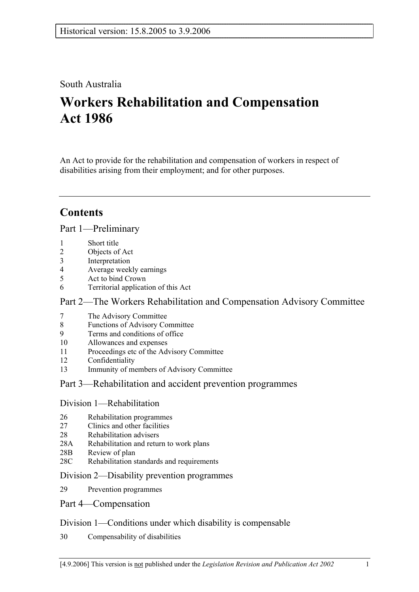# South Australia

# **Workers Rehabilitation and Compensation Act 1986**

An Act to provide for the rehabilitation and compensation of workers in respect of disabilities arising from their employment; and for other purposes.

# **Contents**

Part 1—Preliminary

- 1 Short title
- 2 Objects of Act
- 3 Interpretation
- 4 Average weekly earnings
- 5 Act to bind Crown
- 6 Territorial application of this Act

# Part 2—The Workers Rehabilitation and Compensation Advisory Committee

- 7 The Advisory Committee
- 8 Functions of Advisory Committee
- 9 Terms and conditions of office
- 10 Allowances and expenses
- 11 Proceedings etc of the Advisory Committee
- 12 Confidentiality
- 13 Immunity of members of Advisory Committee

# Part 3—Rehabilitation and accident prevention programmes

## Division 1—Rehabilitation

- 26 Rehabilitation programmes
- 27 Clinics and other facilities
- 28 Rehabilitation advisers
- 28A Rehabilitation and return to work plans
- 28B Review of plan
- 28C Rehabilitation standards and requirements

## Division 2—Disability prevention programmes

29 Prevention programmes

## Part 4—Compensation

# Division 1—Conditions under which disability is compensable

30 Compensability of disabilities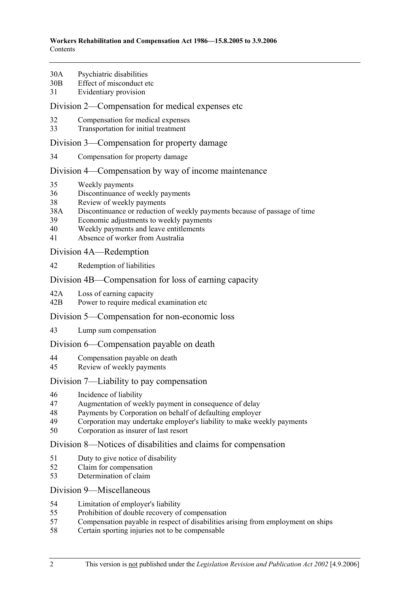- 30A Psychiatric disabilities
- 30B Effect of misconduct etc
- 31 Evidentiary provision

### Division 2—Compensation for medical expenses etc

- 32 Compensation for medical expenses
- 33 Transportation for initial treatment

### Division 3—Compensation for property damage

34 Compensation for property damage

### Division 4—Compensation by way of income maintenance

- 35 Weekly payments
- 36 Discontinuance of weekly payments
- 38 Review of weekly payments
- 38A Discontinuance or reduction of weekly payments because of passage of time
- 39 Economic adjustments to weekly payments
- 40 Weekly payments and leave entitlements
- 41 Absence of worker from Australia

Division 4A—Redemption

42 Redemption of liabilities

### Division 4B—Compensation for loss of earning capacity

- 42A Loss of earning capacity
- 42B Power to require medical examination etc

### Division 5—Compensation for non-economic loss

43 Lump sum compensation

### Division 6—Compensation payable on death

- 44 Compensation payable on death
- 45 Review of weekly payments

## Division 7—Liability to pay compensation

- 46 Incidence of liability
- 47 Augmentation of weekly payment in consequence of delay
- 48 Payments by Corporation on behalf of defaulting employer
- 49 Corporation may undertake employer's liability to make weekly payments
- 50 Corporation as insurer of last resort

### Division 8—Notices of disabilities and claims for compensation

- 51 Duty to give notice of disability
- 52 Claim for compensation
- 53 Determination of claim

### Division 9—Miscellaneous

- 54 Limitation of employer's liability
- 55 Prohibition of double recovery of compensation
- 57 Compensation payable in respect of disabilities arising from employment on ships
- 58 Certain sporting injuries not to be compensable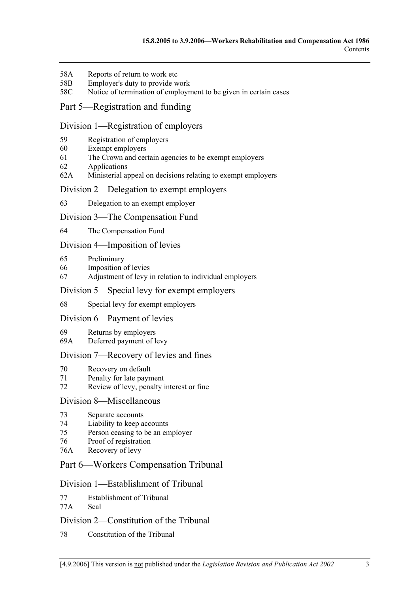- 58A Reports of return to work etc
- 58B Employer's duty to provide work
- 58C Notice of termination of employment to be given in certain cases

# Part 5—Registration and funding

### Division 1—Registration of employers

- 59 Registration of employers
- 60 Exempt employers
- 61 The Crown and certain agencies to be exempt employers
- 62 Applications
- 62A Ministerial appeal on decisions relating to exempt employers

### Division 2—Delegation to exempt employers

63 Delegation to an exempt employer

### Division 3—The Compensation Fund

64 The Compensation Fund

### Division 4—Imposition of levies

- 65 Preliminary
- 66 Imposition of levies
- 67 Adjustment of levy in relation to individual employers

### Division 5—Special levy for exempt employers

### 68 Special levy for exempt employers

### Division 6—Payment of levies

- 69 Returns by employers
- 69A Deferred payment of levy

### Division 7—Recovery of levies and fines

- 70 Recovery on default
- 71 Penalty for late payment
- 72 Review of levy, penalty interest or fine

### Division 8—Miscellaneous

- 73 Separate accounts
- 74 Liability to keep accounts
- 75 Person ceasing to be an employer
- 76 Proof of registration
- 76A Recovery of levy

## Part 6—Workers Compensation Tribunal

### Division 1—Establishment of Tribunal

- 77 Establishment of Tribunal
- 77A Seal

### Division 2—Constitution of the Tribunal

78 Constitution of the Tribunal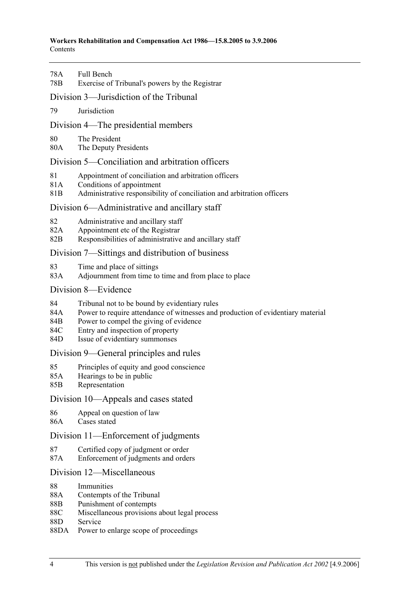#### **Workers Rehabilitation and Compensation Act 1986—15.8.2005 to 3.9.2006**  Contents

| 78A<br>78B                                       | Full Bench<br>Exercise of Tribunal's powers by the Registrar                                                                                                                                                                                     |
|--------------------------------------------------|--------------------------------------------------------------------------------------------------------------------------------------------------------------------------------------------------------------------------------------------------|
| Division 3—Jurisdiction of the Tribunal          |                                                                                                                                                                                                                                                  |
| 79                                               | Jurisdiction                                                                                                                                                                                                                                     |
| Division 4—The presidential members              |                                                                                                                                                                                                                                                  |
| 80<br>80A                                        | The President<br>The Deputy Presidents                                                                                                                                                                                                           |
| Division 5—Conciliation and arbitration officers |                                                                                                                                                                                                                                                  |
| 81<br>81A<br>81B                                 | Appointment of conciliation and arbitration officers<br>Conditions of appointment<br>Administrative responsibility of conciliation and arbitration officers                                                                                      |
| Division 6—Administrative and ancillary staff    |                                                                                                                                                                                                                                                  |
| 82<br>82A<br>82B                                 | Administrative and ancillary staff<br>Appointment etc of the Registrar<br>Responsibilities of administrative and ancillary staff                                                                                                                 |
| Division 7—Sittings and distribution of business |                                                                                                                                                                                                                                                  |
| 83<br>83A                                        | Time and place of sittings<br>Adjournment from time to time and from place to place                                                                                                                                                              |
| Division 8—Evidence                              |                                                                                                                                                                                                                                                  |
| 84<br>84A<br>84B<br>84C<br>84D                   | Tribunal not to be bound by evidentiary rules<br>Power to require attendance of witnesses and production of evidentiary material<br>Power to compel the giving of evidence<br>Entry and inspection of property<br>Issue of evidentiary summonses |
| Division 9—General principles and rules          |                                                                                                                                                                                                                                                  |
| 85<br>85A<br>85B                                 | Principles of equity and good conscience<br>Hearings to be in public<br>Representation                                                                                                                                                           |
| Division 10—Appeals and cases stated             |                                                                                                                                                                                                                                                  |
| 86<br>86A                                        | Appeal on question of law<br>Cases stated                                                                                                                                                                                                        |
| Division 11—Enforcement of judgments             |                                                                                                                                                                                                                                                  |
| 87<br>87A                                        | Certified copy of judgment or order<br>Enforcement of judgments and orders                                                                                                                                                                       |
| Division 12—Miscellaneous                        |                                                                                                                                                                                                                                                  |
| 88<br>88A<br>88B                                 | Immunities<br>Contempts of the Tribunal<br>Punishment of contempts                                                                                                                                                                               |

- 88C Miscellaneous provisions about legal process
- 88D Service
- 88DA Power to enlarge scope of proceedings

i.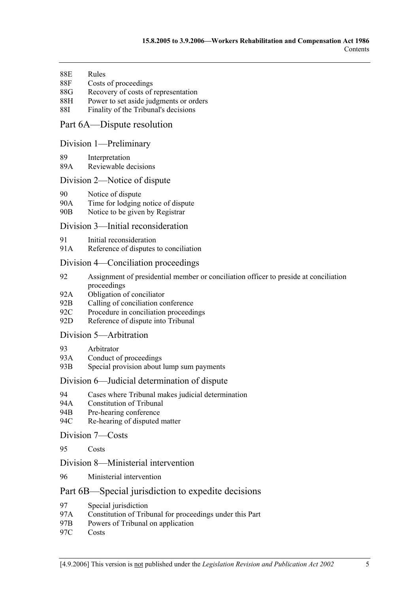- 88E Rules
- 88F Costs of proceedings
- 88G Recovery of costs of representation
- 88H Power to set aside judgments or orders
- 88I Finality of the Tribunal's decisions

## Part 6A—Dispute resolution

### Division 1—Preliminary

- 89 Interpretation
- 89A Reviewable decisions

### Division 2—Notice of dispute

- 90 Notice of dispute
- 90A Time for lodging notice of dispute
- 90B Notice to be given by Registrar

### Division 3—Initial reconsideration

- 91 Initial reconsideration
- 91A Reference of disputes to conciliation

### Division 4—Conciliation proceedings

- 92 Assignment of presidential member or conciliation officer to preside at conciliation proceedings
- 92A Obligation of conciliator
- 92B Calling of conciliation conference
- 92C Procedure in conciliation proceedings
- 92D Reference of dispute into Tribunal

# Division 5—Arbitration

- 93 Arbitrator
- 93A Conduct of proceedings
- 93B Special provision about lump sum payments

### Division 6—Judicial determination of dispute

- 94 Cases where Tribunal makes judicial determination
- 94A Constitution of Tribunal
- 94B Pre-hearing conference
- 94C Re-hearing of disputed matter

### Division 7—Costs

95 Costs

### Division 8—Ministerial intervention

96 Ministerial intervention

### Part 6B—Special jurisdiction to expedite decisions

- 97 Special jurisdiction
- 97A Constitution of Tribunal for proceedings under this Part
- 97B Powers of Tribunal on application
- 97C Costs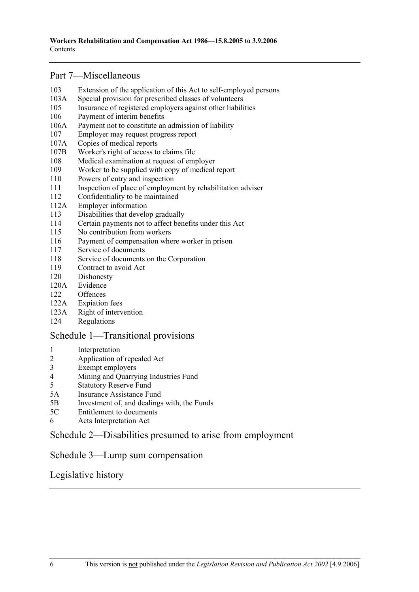# Part 7—Miscellaneous

- 103 Extension of the application of this Act to self-employed persons
- 103A Special provision for prescribed classes of volunteers
- 105 Insurance of registered employers against other liabilities
- 106 Payment of interim benefits
- 106A Payment not to constitute an admission of liability
- 107 Employer may request progress report
- 107A Copies of medical reports
- 107B Worker's right of access to claims file
- 108 Medical examination at request of employer
- 109 Worker to be supplied with copy of medical report
- 110 Powers of entry and inspection
- 111 Inspection of place of employment by rehabilitation adviser
- 112 Confidentiality to be maintained
- 112A Employer information
- 113 Disabilities that develop gradually
- 114 Certain payments not to affect benefits under this Act
- 115 No contribution from workers
- 116 Payment of compensation where worker in prison
- 117 Service of documents
- 118 Service of documents on the Corporation
- 119 Contract to avoid Act
- 120 Dishonesty
- 120A Evidence
- 122 Offences
- 122A Expiation fees
- 123A Right of intervention
- 124 Regulations

## Schedule 1—Transitional provisions

- 1 Interpretation<br>2 Application of
- 2 Application of repealed Act
- 3 Exempt employers
- 4 Mining and Quarrying Industries Fund
- 5 Statutory Reserve Fund
- 5A Insurance Assistance Fund
- 5B Investment of, and dealings with, the Funds
- 5C Entitlement to documents
- 6 Acts Interpretation Act

# Schedule 2—Disabilities presumed to arise from employment

## Schedule 3—Lump sum compensation

# Legislative history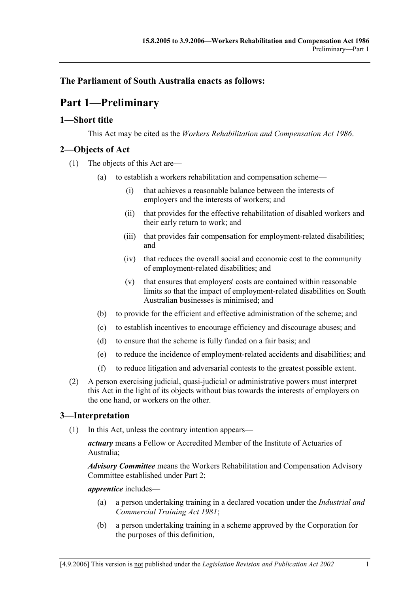# **The Parliament of South Australia enacts as follows:**

# **Part 1—Preliminary**

# **1—Short title**

This Act may be cited as the *Workers Rehabilitation and Compensation Act 1986*.

# **2—Objects of Act**

- (1) The objects of this Act are—
	- (a) to establish a workers rehabilitation and compensation scheme—
		- (i) that achieves a reasonable balance between the interests of employers and the interests of workers; and
		- (ii) that provides for the effective rehabilitation of disabled workers and their early return to work; and
		- (iii) that provides fair compensation for employment-related disabilities; and
		- (iv) that reduces the overall social and economic cost to the community of employment-related disabilities; and
		- (v) that ensures that employers' costs are contained within reasonable limits so that the impact of employment-related disabilities on South Australian businesses is minimised; and
	- (b) to provide for the efficient and effective administration of the scheme; and
	- (c) to establish incentives to encourage efficiency and discourage abuses; and
	- (d) to ensure that the scheme is fully funded on a fair basis; and
	- (e) to reduce the incidence of employment-related accidents and disabilities; and
	- (f) to reduce litigation and adversarial contests to the greatest possible extent.
- (2) A person exercising judicial, quasi-judicial or administrative powers must interpret this Act in the light of its objects without bias towards the interests of employers on the one hand, or workers on the other.

# **3—Interpretation**

(1) In this Act, unless the contrary intention appears—

*actuary* means a Fellow or Accredited Member of the Institute of Actuaries of Australia;

*Advisory Committee* means the Workers Rehabilitation and Compensation Advisory Committee established under Part 2;

*apprentice* includes—

- (a) a person undertaking training in a declared vocation under the *Industrial and Commercial Training Act 1981*;
- (b) a person undertaking training in a scheme approved by the Corporation for the purposes of this definition,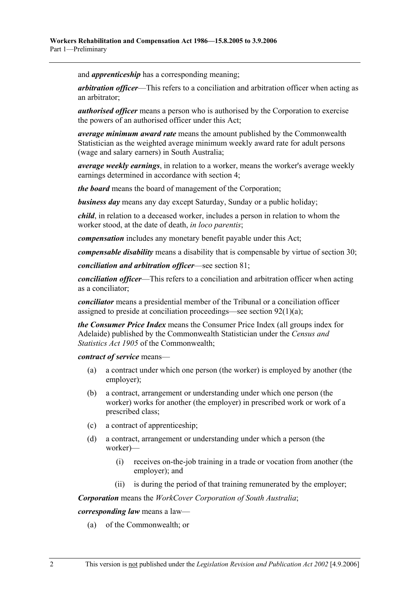and *apprenticeship* has a corresponding meaning;

*arbitration officer*—This refers to a conciliation and arbitration officer when acting as an arbitrator;

*authorised officer* means a person who is authorised by the Corporation to exercise the powers of an authorised officer under this Act;

*average minimum award rate* means the amount published by the Commonwealth Statistician as the weighted average minimum weekly award rate for adult persons (wage and salary earners) in South Australia;

*average weekly earnings*, in relation to a worker, means the worker's average weekly earnings determined in accordance with section 4;

*the board* means the board of management of the Corporation;

*business day* means any day except Saturday, Sunday or a public holiday;

*child*, in relation to a deceased worker, includes a person in relation to whom the worker stood, at the date of death, *in loco parentis*;

*compensation* includes any monetary benefit payable under this Act;

*compensable disability* means a disability that is compensable by virtue of section 30;

*conciliation and arbitration officer*—see section 81;

*conciliation officer*—This refers to a conciliation and arbitration officer when acting as a conciliator;

*conciliator* means a presidential member of the Tribunal or a conciliation officer assigned to preside at conciliation proceedings—see section 92(1)(a);

*the Consumer Price Index* means the Consumer Price Index (all groups index for Adelaide) published by the Commonwealth Statistician under the *Census and Statistics Act 1905* of the Commonwealth;

*contract of service* means—

- (a) a contract under which one person (the worker) is employed by another (the employer);
- (b) a contract, arrangement or understanding under which one person (the worker) works for another (the employer) in prescribed work or work of a prescribed class;
- (c) a contract of apprenticeship;
- (d) a contract, arrangement or understanding under which a person (the worker)—
	- (i) receives on-the-job training in a trade or vocation from another (the employer); and
	- (ii) is during the period of that training remunerated by the employer;

*Corporation* means the *WorkCover Corporation of South Australia*;

*corresponding law* means a law—

(a) of the Commonwealth; or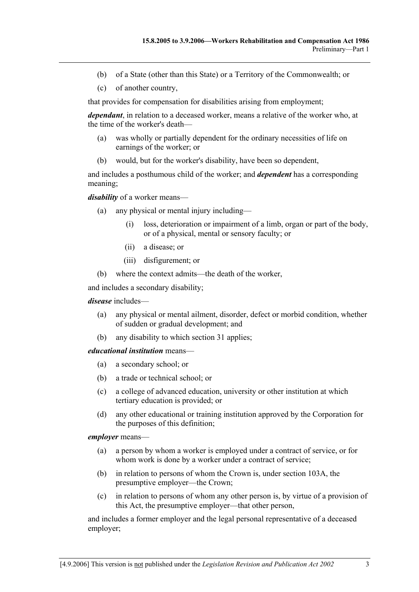- (b) of a State (other than this State) or a Territory of the Commonwealth; or
- (c) of another country,

that provides for compensation for disabilities arising from employment;

*dependant*, in relation to a deceased worker, means a relative of the worker who, at the time of the worker's death—

- (a) was wholly or partially dependent for the ordinary necessities of life on earnings of the worker; or
- (b) would, but for the worker's disability, have been so dependent,

and includes a posthumous child of the worker; and *dependent* has a corresponding meaning;

*disability* of a worker means—

- (a) any physical or mental injury including—
	- (i) loss, deterioration or impairment of a limb, organ or part of the body, or of a physical, mental or sensory faculty; or
	- (ii) a disease; or
	- (iii) disfigurement; or
- (b) where the context admits—the death of the worker,

and includes a secondary disability;

### *disease* includes—

- (a) any physical or mental ailment, disorder, defect or morbid condition, whether of sudden or gradual development; and
- (b) any disability to which section 31 applies;

#### *educational institution* means—

- (a) a secondary school; or
- (b) a trade or technical school; or
- (c) a college of advanced education, university or other institution at which tertiary education is provided; or
- (d) any other educational or training institution approved by the Corporation for the purposes of this definition;

#### *employer* means—

- (a) a person by whom a worker is employed under a contract of service, or for whom work is done by a worker under a contract of service:
- (b) in relation to persons of whom the Crown is, under section 103A, the presumptive employer—the Crown;
- (c) in relation to persons of whom any other person is, by virtue of a provision of this Act, the presumptive employer—that other person,

and includes a former employer and the legal personal representative of a deceased employer;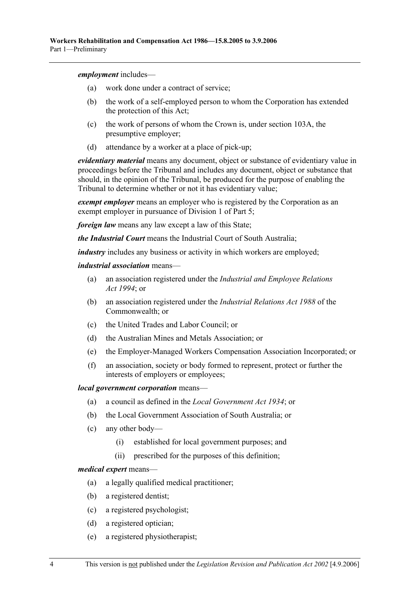*employment* includes—

- (a) work done under a contract of service;
- (b) the work of a self-employed person to whom the Corporation has extended the protection of this Act;
- (c) the work of persons of whom the Crown is, under section 103A, the presumptive employer;
- (d) attendance by a worker at a place of pick-up;

*evidentiary material* means any document, object or substance of evidentiary value in proceedings before the Tribunal and includes any document, object or substance that should, in the opinion of the Tribunal, be produced for the purpose of enabling the Tribunal to determine whether or not it has evidentiary value;

*exempt employer* means an employer who is registered by the Corporation as an exempt employer in pursuance of Division 1 of Part 5;

*foreign law* means any law except a law of this State;

*the Industrial Court* means the Industrial Court of South Australia;

*industry* includes any business or activity in which workers are employed;

#### *industrial association* means—

- (a) an association registered under the *Industrial and Employee Relations Act 1994*; or
- (b) an association registered under the *Industrial Relations Act 1988* of the Commonwealth; or
- (c) the United Trades and Labor Council; or
- (d) the Australian Mines and Metals Association; or
- (e) the Employer-Managed Workers Compensation Association Incorporated; or
- (f) an association, society or body formed to represent, protect or further the interests of employers or employees;

### *local government corporation* means—

- (a) a council as defined in the *Local Government Act 1934*; or
- (b) the Local Government Association of South Australia; or
- (c) any other body—
	- (i) established for local government purposes; and
	- (ii) prescribed for the purposes of this definition;

#### *medical expert* means—

- (a) a legally qualified medical practitioner;
- (b) a registered dentist;
- (c) a registered psychologist;
- (d) a registered optician;
- (e) a registered physiotherapist;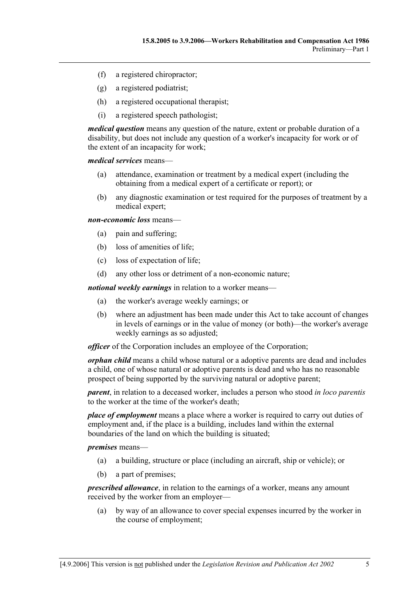- (f) a registered chiropractor;
- (g) a registered podiatrist;
- (h) a registered occupational therapist;
- (i) a registered speech pathologist;

*medical question* means any question of the nature, extent or probable duration of a disability, but does not include any question of a worker's incapacity for work or of the extent of an incapacity for work;

*medical services* means—

- (a) attendance, examination or treatment by a medical expert (including the obtaining from a medical expert of a certificate or report); or
- (b) any diagnostic examination or test required for the purposes of treatment by a medical expert;

*non-economic loss* means—

- (a) pain and suffering;
- (b) loss of amenities of life;
- (c) loss of expectation of life;
- (d) any other loss or detriment of a non-economic nature;

*notional weekly earnings* in relation to a worker means—

- (a) the worker's average weekly earnings; or
- (b) where an adjustment has been made under this Act to take account of changes in levels of earnings or in the value of money (or both)—the worker's average weekly earnings as so adjusted;

*officer* of the Corporation includes an employee of the Corporation;

*orphan child* means a child whose natural or a adoptive parents are dead and includes a child, one of whose natural or adoptive parents is dead and who has no reasonable prospect of being supported by the surviving natural or adoptive parent;

*parent*, in relation to a deceased worker, includes a person who stood *in loco parentis* to the worker at the time of the worker's death;

*place of employment* means a place where a worker is required to carry out duties of employment and, if the place is a building, includes land within the external boundaries of the land on which the building is situated;

*premises* means—

- (a) a building, structure or place (including an aircraft, ship or vehicle); or
- (b) a part of premises;

*prescribed allowance*, in relation to the earnings of a worker, means any amount received by the worker from an employer—

 (a) by way of an allowance to cover special expenses incurred by the worker in the course of employment;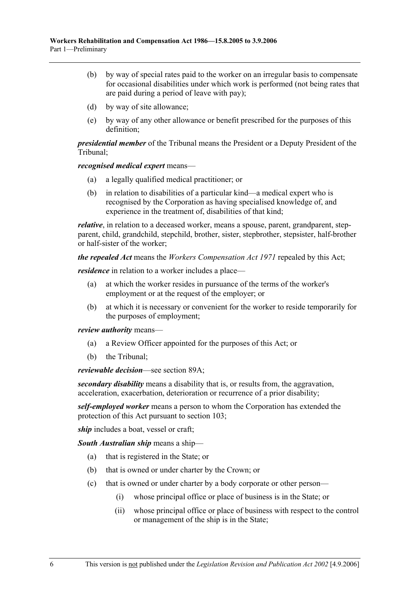- (b) by way of special rates paid to the worker on an irregular basis to compensate for occasional disabilities under which work is performed (not being rates that are paid during a period of leave with pay);
- (d) by way of site allowance;
- (e) by way of any other allowance or benefit prescribed for the purposes of this definition;

*presidential member* of the Tribunal means the President or a Deputy President of the Tribunal;

*recognised medical expert* means—

- (a) a legally qualified medical practitioner; or
- (b) in relation to disabilities of a particular kind—a medical expert who is recognised by the Corporation as having specialised knowledge of, and experience in the treatment of, disabilities of that kind;

*relative*, in relation to a deceased worker, means a spouse, parent, grandparent, stepparent, child, grandchild, stepchild, brother, sister, stepbrother, stepsister, half-brother or half-sister of the worker;

*the repealed Act* means the *Workers Compensation Act 1971* repealed by this Act;

*residence* in relation to a worker includes a place—

- (a) at which the worker resides in pursuance of the terms of the worker's employment or at the request of the employer; or
- (b) at which it is necessary or convenient for the worker to reside temporarily for the purposes of employment;

*review authority* means—

- (a) a Review Officer appointed for the purposes of this Act; or
- (b) the Tribunal;

*reviewable decision*—see section 89A;

*secondary disability* means a disability that is, or results from, the aggravation, acceleration, exacerbation, deterioration or recurrence of a prior disability;

*self-employed worker* means a person to whom the Corporation has extended the protection of this Act pursuant to section 103;

*ship* includes a boat, vessel or craft;

*South Australian ship* means a ship—

- (a) that is registered in the State; or
- (b) that is owned or under charter by the Crown; or
- (c) that is owned or under charter by a body corporate or other person—
	- (i) whose principal office or place of business is in the State; or
	- (ii) whose principal office or place of business with respect to the control or management of the ship is in the State;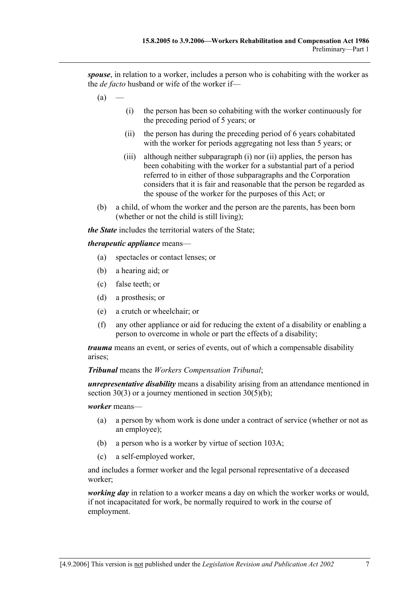*spouse*, in relation to a worker, includes a person who is cohabiting with the worker as the *de facto* husband or wife of the worker if—

- $(a)$
- (i) the person has been so cohabiting with the worker continuously for the preceding period of 5 years; or
- (ii) the person has during the preceding period of 6 years cohabitated with the worker for periods aggregating not less than 5 years; or
- (iii) although neither subparagraph (i) nor (ii) applies, the person has been cohabiting with the worker for a substantial part of a period referred to in either of those subparagraphs and the Corporation considers that it is fair and reasonable that the person be regarded as the spouse of the worker for the purposes of this Act; or
- (b) a child, of whom the worker and the person are the parents, has been born (whether or not the child is still living);

*the State* includes the territorial waters of the State;

### *therapeutic appliance* means—

- (a) spectacles or contact lenses; or
- (b) a hearing aid; or
- (c) false teeth; or
- (d) a prosthesis; or
- (e) a crutch or wheelchair; or
- (f) any other appliance or aid for reducing the extent of a disability or enabling a person to overcome in whole or part the effects of a disability;

*trauma* means an event, or series of events, out of which a compensable disability arises;

#### *Tribunal* means the *Workers Compensation Tribunal*;

*unrepresentative disability* means a disability arising from an attendance mentioned in section 30(3) or a journey mentioned in section 30(5)(b);

#### *worker* means—

- (a) a person by whom work is done under a contract of service (whether or not as an employee);
- (b) a person who is a worker by virtue of section 103A;
- (c) a self-employed worker,

and includes a former worker and the legal personal representative of a deceased worker;

*working day* in relation to a worker means a day on which the worker works or would, if not incapacitated for work, be normally required to work in the course of employment.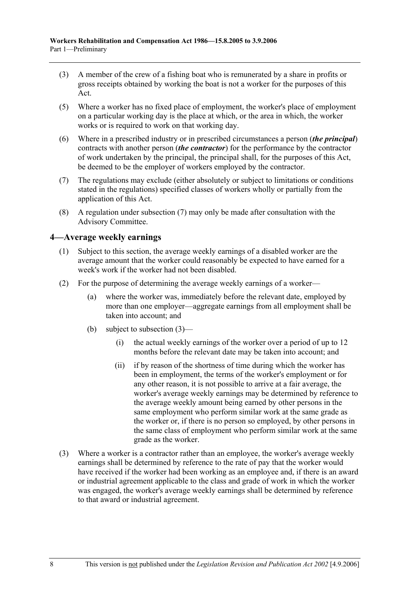- (3) A member of the crew of a fishing boat who is remunerated by a share in profits or gross receipts obtained by working the boat is not a worker for the purposes of this Act.
- (5) Where a worker has no fixed place of employment, the worker's place of employment on a particular working day is the place at which, or the area in which, the worker works or is required to work on that working day.
- (6) Where in a prescribed industry or in prescribed circumstances a person (*the principal*) contracts with another person (*the contractor*) for the performance by the contractor of work undertaken by the principal, the principal shall, for the purposes of this Act, be deemed to be the employer of workers employed by the contractor.
- (7) The regulations may exclude (either absolutely or subject to limitations or conditions stated in the regulations) specified classes of workers wholly or partially from the application of this Act.
- (8) A regulation under subsection (7) may only be made after consultation with the Advisory Committee.

# **4—Average weekly earnings**

- (1) Subject to this section, the average weekly earnings of a disabled worker are the average amount that the worker could reasonably be expected to have earned for a week's work if the worker had not been disabled.
- (2) For the purpose of determining the average weekly earnings of a worker—
	- (a) where the worker was, immediately before the relevant date, employed by more than one employer—aggregate earnings from all employment shall be taken into account; and
	- (b) subject to subsection (3)—
		- (i) the actual weekly earnings of the worker over a period of up to 12 months before the relevant date may be taken into account; and
		- (ii) if by reason of the shortness of time during which the worker has been in employment, the terms of the worker's employment or for any other reason, it is not possible to arrive at a fair average, the worker's average weekly earnings may be determined by reference to the average weekly amount being earned by other persons in the same employment who perform similar work at the same grade as the worker or, if there is no person so employed, by other persons in the same class of employment who perform similar work at the same grade as the worker.
- (3) Where a worker is a contractor rather than an employee, the worker's average weekly earnings shall be determined by reference to the rate of pay that the worker would have received if the worker had been working as an employee and, if there is an award or industrial agreement applicable to the class and grade of work in which the worker was engaged, the worker's average weekly earnings shall be determined by reference to that award or industrial agreement.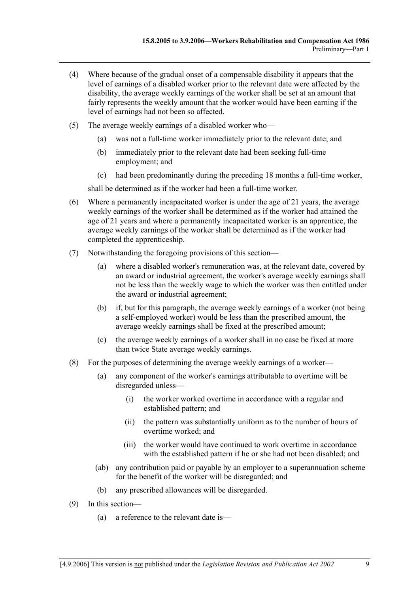- (4) Where because of the gradual onset of a compensable disability it appears that the level of earnings of a disabled worker prior to the relevant date were affected by the disability, the average weekly earnings of the worker shall be set at an amount that fairly represents the weekly amount that the worker would have been earning if the level of earnings had not been so affected.
- (5) The average weekly earnings of a disabled worker who—
	- (a) was not a full-time worker immediately prior to the relevant date; and
	- (b) immediately prior to the relevant date had been seeking full-time employment; and
	- (c) had been predominantly during the preceding 18 months a full-time worker,

shall be determined as if the worker had been a full-time worker.

- (6) Where a permanently incapacitated worker is under the age of 21 years, the average weekly earnings of the worker shall be determined as if the worker had attained the age of 21 years and where a permanently incapacitated worker is an apprentice, the average weekly earnings of the worker shall be determined as if the worker had completed the apprenticeship.
- (7) Notwithstanding the foregoing provisions of this section—
	- (a) where a disabled worker's remuneration was, at the relevant date, covered by an award or industrial agreement, the worker's average weekly earnings shall not be less than the weekly wage to which the worker was then entitled under the award or industrial agreement;
	- (b) if, but for this paragraph, the average weekly earnings of a worker (not being a self-employed worker) would be less than the prescribed amount, the average weekly earnings shall be fixed at the prescribed amount;
	- (c) the average weekly earnings of a worker shall in no case be fixed at more than twice State average weekly earnings.
- (8) For the purposes of determining the average weekly earnings of a worker—
	- (a) any component of the worker's earnings attributable to overtime will be disregarded unless—
		- (i) the worker worked overtime in accordance with a regular and established pattern; and
		- (ii) the pattern was substantially uniform as to the number of hours of overtime worked; and
		- (iii) the worker would have continued to work overtime in accordance with the established pattern if he or she had not been disabled; and
	- (ab) any contribution paid or payable by an employer to a superannuation scheme for the benefit of the worker will be disregarded; and
	- (b) any prescribed allowances will be disregarded.
- (9) In this section—
	- (a) a reference to the relevant date is—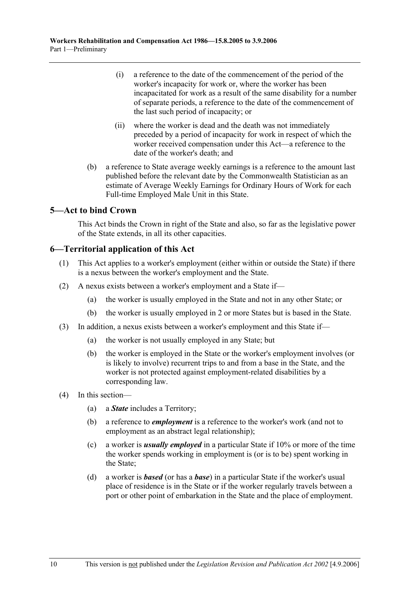- (i) a reference to the date of the commencement of the period of the worker's incapacity for work or, where the worker has been incapacitated for work as a result of the same disability for a number of separate periods, a reference to the date of the commencement of the last such period of incapacity; or
- (ii) where the worker is dead and the death was not immediately preceded by a period of incapacity for work in respect of which the worker received compensation under this Act—a reference to the date of the worker's death; and
- (b) a reference to State average weekly earnings is a reference to the amount last published before the relevant date by the Commonwealth Statistician as an estimate of Average Weekly Earnings for Ordinary Hours of Work for each Full-time Employed Male Unit in this State.

## **5—Act to bind Crown**

This Act binds the Crown in right of the State and also, so far as the legislative power of the State extends, in all its other capacities.

## **6—Territorial application of this Act**

- (1) This Act applies to a worker's employment (either within or outside the State) if there is a nexus between the worker's employment and the State.
- (2) A nexus exists between a worker's employment and a State if—
	- (a) the worker is usually employed in the State and not in any other State; or
	- (b) the worker is usually employed in 2 or more States but is based in the State.
- (3) In addition, a nexus exists between a worker's employment and this State if—
	- (a) the worker is not usually employed in any State; but
	- (b) the worker is employed in the State or the worker's employment involves (or is likely to involve) recurrent trips to and from a base in the State, and the worker is not protected against employment-related disabilities by a corresponding law.
- (4) In this section—
	- (a) a *State* includes a Territory;
	- (b) a reference to *employment* is a reference to the worker's work (and not to employment as an abstract legal relationship);
	- (c) a worker is *usually employed* in a particular State if 10% or more of the time the worker spends working in employment is (or is to be) spent working in the State;
	- (d) a worker is *based* (or has a *base*) in a particular State if the worker's usual place of residence is in the State or if the worker regularly travels between a port or other point of embarkation in the State and the place of employment.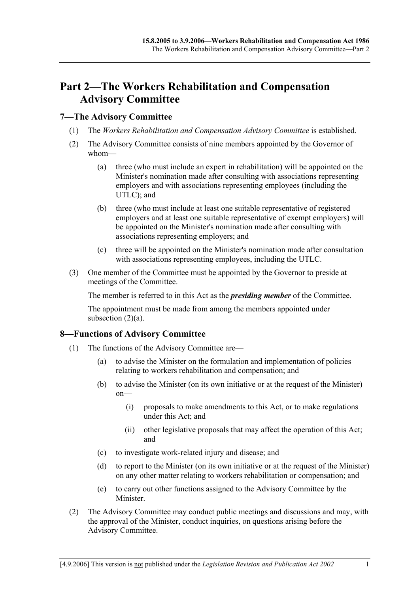# **Part 2—The Workers Rehabilitation and Compensation Advisory Committee**

# **7—The Advisory Committee**

- (1) The *Workers Rehabilitation and Compensation Advisory Committee* is established.
- (2) The Advisory Committee consists of nine members appointed by the Governor of whom—
	- (a) three (who must include an expert in rehabilitation) will be appointed on the Minister's nomination made after consulting with associations representing employers and with associations representing employees (including the UTLC); and
	- (b) three (who must include at least one suitable representative of registered employers and at least one suitable representative of exempt employers) will be appointed on the Minister's nomination made after consulting with associations representing employers; and
	- (c) three will be appointed on the Minister's nomination made after consultation with associations representing employees, including the UTLC.
- (3) One member of the Committee must be appointed by the Governor to preside at meetings of the Committee.

The member is referred to in this Act as the *presiding member* of the Committee.

The appointment must be made from among the members appointed under subsection  $(2)(a)$ .

# **8—Functions of Advisory Committee**

- (1) The functions of the Advisory Committee are—
	- (a) to advise the Minister on the formulation and implementation of policies relating to workers rehabilitation and compensation; and
	- (b) to advise the Minister (on its own initiative or at the request of the Minister) on—
		- (i) proposals to make amendments to this Act, or to make regulations under this Act; and
		- (ii) other legislative proposals that may affect the operation of this Act; and
	- (c) to investigate work-related injury and disease; and
	- (d) to report to the Minister (on its own initiative or at the request of the Minister) on any other matter relating to workers rehabilitation or compensation; and
	- (e) to carry out other functions assigned to the Advisory Committee by the Minister.
- (2) The Advisory Committee may conduct public meetings and discussions and may, with the approval of the Minister, conduct inquiries, on questions arising before the Advisory Committee.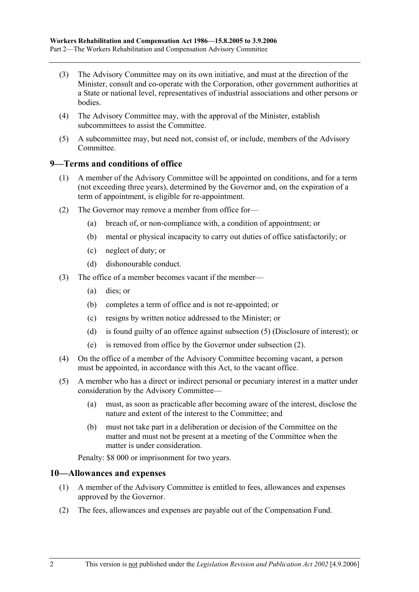- (3) The Advisory Committee may on its own initiative, and must at the direction of the Minister, consult and co-operate with the Corporation, other government authorities at a State or national level, representatives of industrial associations and other persons or **bodies**
- (4) The Advisory Committee may, with the approval of the Minister, establish subcommittees to assist the Committee.
- (5) A subcommittee may, but need not, consist of, or include, members of the Advisory Committee.

### **9—Terms and conditions of office**

- (1) A member of the Advisory Committee will be appointed on conditions, and for a term (not exceeding three years), determined by the Governor and, on the expiration of a term of appointment, is eligible for re-appointment.
- (2) The Governor may remove a member from office for—
	- (a) breach of, or non-compliance with, a condition of appointment; or
	- (b) mental or physical incapacity to carry out duties of office satisfactorily; or
	- (c) neglect of duty; or
	- (d) dishonourable conduct.
- (3) The office of a member becomes vacant if the member—
	- (a) dies; or
	- (b) completes a term of office and is not re-appointed; or
	- (c) resigns by written notice addressed to the Minister; or
	- (d) is found guilty of an offence against subsection (5) (Disclosure of interest); or
	- (e) is removed from office by the Governor under subsection (2).
- (4) On the office of a member of the Advisory Committee becoming vacant, a person must be appointed, in accordance with this Act, to the vacant office.
- (5) A member who has a direct or indirect personal or pecuniary interest in a matter under consideration by the Advisory Committee—
	- (a) must, as soon as practicable after becoming aware of the interest, disclose the nature and extent of the interest to the Committee; and
	- (b) must not take part in a deliberation or decision of the Committee on the matter and must not be present at a meeting of the Committee when the matter is under consideration.

Penalty: \$8 000 or imprisonment for two years.

### **10—Allowances and expenses**

- (1) A member of the Advisory Committee is entitled to fees, allowances and expenses approved by the Governor.
- (2) The fees, allowances and expenses are payable out of the Compensation Fund.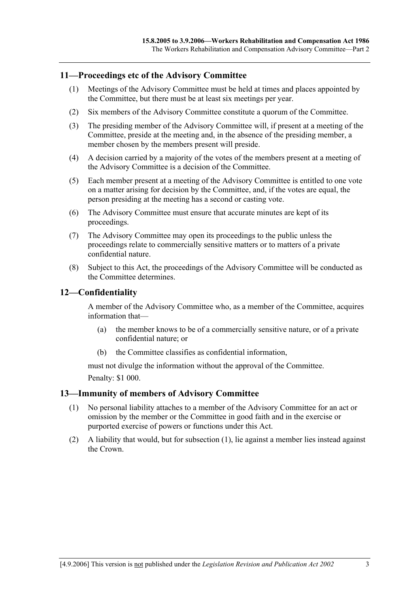### **11—Proceedings etc of the Advisory Committee**

- (1) Meetings of the Advisory Committee must be held at times and places appointed by the Committee, but there must be at least six meetings per year.
- (2) Six members of the Advisory Committee constitute a quorum of the Committee.
- (3) The presiding member of the Advisory Committee will, if present at a meeting of the Committee, preside at the meeting and, in the absence of the presiding member, a member chosen by the members present will preside.
- (4) A decision carried by a majority of the votes of the members present at a meeting of the Advisory Committee is a decision of the Committee.
- (5) Each member present at a meeting of the Advisory Committee is entitled to one vote on a matter arising for decision by the Committee, and, if the votes are equal, the person presiding at the meeting has a second or casting vote.
- (6) The Advisory Committee must ensure that accurate minutes are kept of its proceedings.
- (7) The Advisory Committee may open its proceedings to the public unless the proceedings relate to commercially sensitive matters or to matters of a private confidential nature.
- (8) Subject to this Act, the proceedings of the Advisory Committee will be conducted as the Committee determines.

## **12—Confidentiality**

A member of the Advisory Committee who, as a member of the Committee, acquires information that—

- (a) the member knows to be of a commercially sensitive nature, or of a private confidential nature; or
- (b) the Committee classifies as confidential information,

must not divulge the information without the approval of the Committee. Penalty: \$1 000.

### **13—Immunity of members of Advisory Committee**

- (1) No personal liability attaches to a member of the Advisory Committee for an act or omission by the member or the Committee in good faith and in the exercise or purported exercise of powers or functions under this Act.
- (2) A liability that would, but for subsection (1), lie against a member lies instead against the Crown.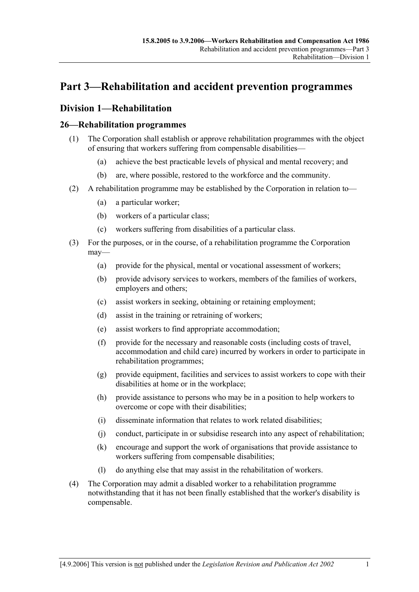# **Part 3—Rehabilitation and accident prevention programmes**

# **Division 1—Rehabilitation**

# **26—Rehabilitation programmes**

- (1) The Corporation shall establish or approve rehabilitation programmes with the object of ensuring that workers suffering from compensable disabilities—
	- (a) achieve the best practicable levels of physical and mental recovery; and
	- (b) are, where possible, restored to the workforce and the community.
- (2) A rehabilitation programme may be established by the Corporation in relation to—
	- (a) a particular worker;
	- (b) workers of a particular class;
	- (c) workers suffering from disabilities of a particular class.
- (3) For the purposes, or in the course, of a rehabilitation programme the Corporation may—
	- (a) provide for the physical, mental or vocational assessment of workers;
	- (b) provide advisory services to workers, members of the families of workers, employers and others;
	- (c) assist workers in seeking, obtaining or retaining employment;
	- (d) assist in the training or retraining of workers;
	- (e) assist workers to find appropriate accommodation;
	- (f) provide for the necessary and reasonable costs (including costs of travel, accommodation and child care) incurred by workers in order to participate in rehabilitation programmes;
	- (g) provide equipment, facilities and services to assist workers to cope with their disabilities at home or in the workplace;
	- (h) provide assistance to persons who may be in a position to help workers to overcome or cope with their disabilities;
	- (i) disseminate information that relates to work related disabilities;
	- (j) conduct, participate in or subsidise research into any aspect of rehabilitation;
	- (k) encourage and support the work of organisations that provide assistance to workers suffering from compensable disabilities;
	- (l) do anything else that may assist in the rehabilitation of workers.
- (4) The Corporation may admit a disabled worker to a rehabilitation programme notwithstanding that it has not been finally established that the worker's disability is compensable.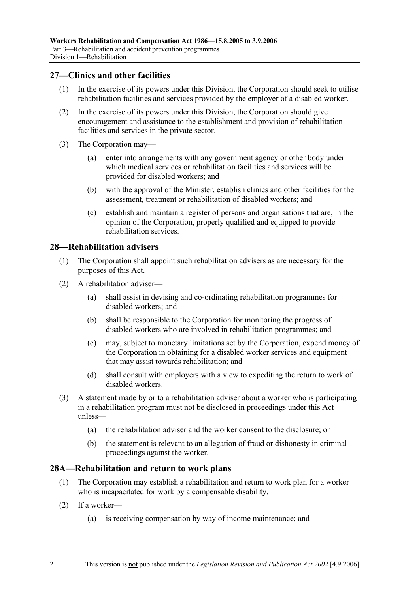## **27—Clinics and other facilities**

- (1) In the exercise of its powers under this Division, the Corporation should seek to utilise rehabilitation facilities and services provided by the employer of a disabled worker.
- (2) In the exercise of its powers under this Division, the Corporation should give encouragement and assistance to the establishment and provision of rehabilitation facilities and services in the private sector.
- (3) The Corporation may—
	- (a) enter into arrangements with any government agency or other body under which medical services or rehabilitation facilities and services will be provided for disabled workers; and
	- (b) with the approval of the Minister, establish clinics and other facilities for the assessment, treatment or rehabilitation of disabled workers; and
	- (c) establish and maintain a register of persons and organisations that are, in the opinion of the Corporation, properly qualified and equipped to provide rehabilitation services.

## **28—Rehabilitation advisers**

- (1) The Corporation shall appoint such rehabilitation advisers as are necessary for the purposes of this Act.
- (2) A rehabilitation adviser—
	- (a) shall assist in devising and co-ordinating rehabilitation programmes for disabled workers; and
	- (b) shall be responsible to the Corporation for monitoring the progress of disabled workers who are involved in rehabilitation programmes; and
	- (c) may, subject to monetary limitations set by the Corporation, expend money of the Corporation in obtaining for a disabled worker services and equipment that may assist towards rehabilitation; and
	- (d) shall consult with employers with a view to expediting the return to work of disabled workers.
- (3) A statement made by or to a rehabilitation adviser about a worker who is participating in a rehabilitation program must not be disclosed in proceedings under this Act unless—
	- (a) the rehabilitation adviser and the worker consent to the disclosure; or
	- (b) the statement is relevant to an allegation of fraud or dishonesty in criminal proceedings against the worker.

## **28A—Rehabilitation and return to work plans**

- (1) The Corporation may establish a rehabilitation and return to work plan for a worker who is incapacitated for work by a compensable disability.
- (2) If a worker—
	- (a) is receiving compensation by way of income maintenance; and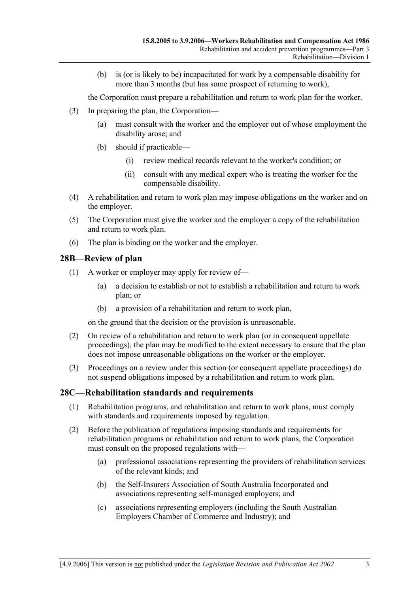(b) is (or is likely to be) incapacitated for work by a compensable disability for more than 3 months (but has some prospect of returning to work),

the Corporation must prepare a rehabilitation and return to work plan for the worker.

- (3) In preparing the plan, the Corporation—
	- (a) must consult with the worker and the employer out of whose employment the disability arose; and
	- (b) should if practicable—
		- (i) review medical records relevant to the worker's condition; or
		- (ii) consult with any medical expert who is treating the worker for the compensable disability.
- (4) A rehabilitation and return to work plan may impose obligations on the worker and on the employer.
- (5) The Corporation must give the worker and the employer a copy of the rehabilitation and return to work plan.
- (6) The plan is binding on the worker and the employer.

# **28B—Review of plan**

- (1) A worker or employer may apply for review of—
	- (a) a decision to establish or not to establish a rehabilitation and return to work plan; or
	- (b) a provision of a rehabilitation and return to work plan,

on the ground that the decision or the provision is unreasonable.

- (2) On review of a rehabilitation and return to work plan (or in consequent appellate proceedings), the plan may be modified to the extent necessary to ensure that the plan does not impose unreasonable obligations on the worker or the employer.
- (3) Proceedings on a review under this section (or consequent appellate proceedings) do not suspend obligations imposed by a rehabilitation and return to work plan.

# **28C—Rehabilitation standards and requirements**

- (1) Rehabilitation programs, and rehabilitation and return to work plans, must comply with standards and requirements imposed by regulation.
- (2) Before the publication of regulations imposing standards and requirements for rehabilitation programs or rehabilitation and return to work plans, the Corporation must consult on the proposed regulations with—
	- (a) professional associations representing the providers of rehabilitation services of the relevant kinds; and
	- (b) the Self-Insurers Association of South Australia Incorporated and associations representing self-managed employers; and
	- (c) associations representing employers (including the South Australian Employers Chamber of Commerce and Industry); and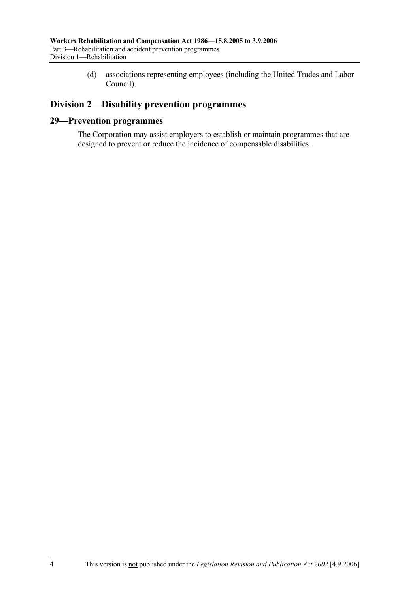(d) associations representing employees (including the United Trades and Labor Council).

# **Division 2—Disability prevention programmes**

# **29—Prevention programmes**

The Corporation may assist employers to establish or maintain programmes that are designed to prevent or reduce the incidence of compensable disabilities.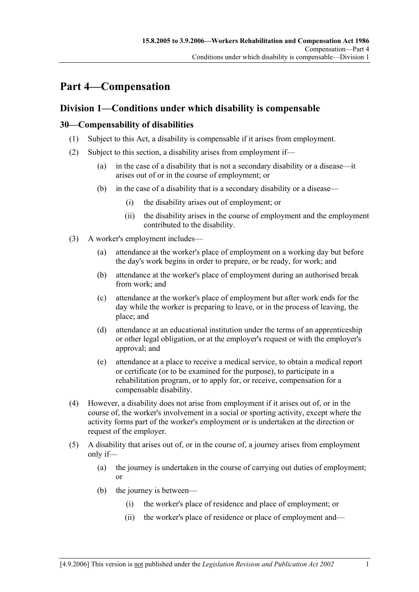# **Part 4—Compensation**

# **Division 1—Conditions under which disability is compensable**

# **30—Compensability of disabilities**

- (1) Subject to this Act, a disability is compensable if it arises from employment.
- (2) Subject to this section, a disability arises from employment if—
	- (a) in the case of a disability that is not a secondary disability or a disease—it arises out of or in the course of employment; or
	- (b) in the case of a disability that is a secondary disability or a disease—
		- (i) the disability arises out of employment; or
		- (ii) the disability arises in the course of employment and the employment contributed to the disability.
- (3) A worker's employment includes—
	- (a) attendance at the worker's place of employment on a working day but before the day's work begins in order to prepare, or be ready, for work; and
	- (b) attendance at the worker's place of employment during an authorised break from work; and
	- (c) attendance at the worker's place of employment but after work ends for the day while the worker is preparing to leave, or in the process of leaving, the place; and
	- (d) attendance at an educational institution under the terms of an apprenticeship or other legal obligation, or at the employer's request or with the employer's approval; and
	- (e) attendance at a place to receive a medical service, to obtain a medical report or certificate (or to be examined for the purpose), to participate in a rehabilitation program, or to apply for, or receive, compensation for a compensable disability.
- (4) However, a disability does not arise from employment if it arises out of, or in the course of, the worker's involvement in a social or sporting activity, except where the activity forms part of the worker's employment or is undertaken at the direction or request of the employer.
- (5) A disability that arises out of, or in the course of, a journey arises from employment only if—
	- (a) the journey is undertaken in the course of carrying out duties of employment; or
	- (b) the journey is between—
		- (i) the worker's place of residence and place of employment; or
		- (ii) the worker's place of residence or place of employment and—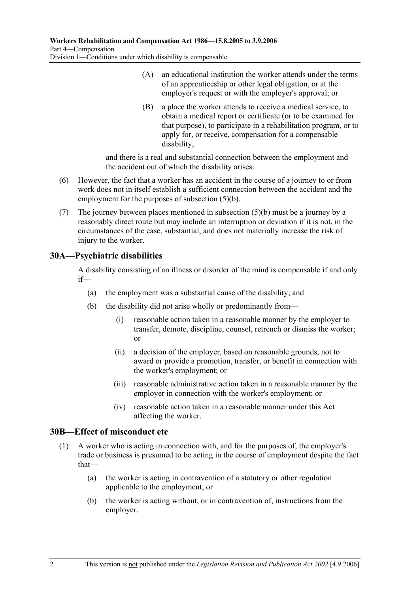- (A) an educational institution the worker attends under the terms of an apprenticeship or other legal obligation, or at the employer's request or with the employer's approval; or
- (B) a place the worker attends to receive a medical service, to obtain a medical report or certificate (or to be examined for that purpose), to participate in a rehabilitation program, or to apply for, or receive, compensation for a compensable disability,

and there is a real and substantial connection between the employment and the accident out of which the disability arises.

- (6) However, the fact that a worker has an accident in the course of a journey to or from work does not in itself establish a sufficient connection between the accident and the employment for the purposes of subsection (5)(b).
- (7) The journey between places mentioned in subsection (5)(b) must be a journey by a reasonably direct route but may include an interruption or deviation if it is not, in the circumstances of the case, substantial, and does not materially increase the risk of injury to the worker.

# **30A—Psychiatric disabilities**

A disability consisting of an illness or disorder of the mind is compensable if and only if—

- (a) the employment was a substantial cause of the disability; and
- (b) the disability did not arise wholly or predominantly from—
	- (i) reasonable action taken in a reasonable manner by the employer to transfer, demote, discipline, counsel, retrench or dismiss the worker; or
	- (ii) a decision of the employer, based on reasonable grounds, not to award or provide a promotion, transfer, or benefit in connection with the worker's employment; or
	- (iii) reasonable administrative action taken in a reasonable manner by the employer in connection with the worker's employment; or
	- (iv) reasonable action taken in a reasonable manner under this Act affecting the worker.

## **30B—Effect of misconduct etc**

- (1) A worker who is acting in connection with, and for the purposes of, the employer's trade or business is presumed to be acting in the course of employment despite the fact that—
	- (a) the worker is acting in contravention of a statutory or other regulation applicable to the employment; or
	- (b) the worker is acting without, or in contravention of, instructions from the employer.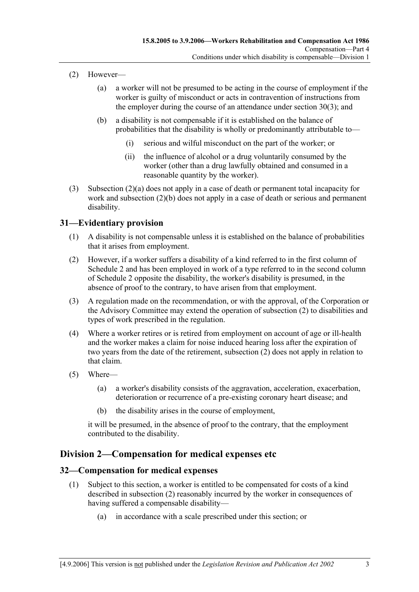- (2) However—
	- (a) a worker will not be presumed to be acting in the course of employment if the worker is guilty of misconduct or acts in contravention of instructions from the employer during the course of an attendance under section 30(3); and
	- (b) a disability is not compensable if it is established on the balance of probabilities that the disability is wholly or predominantly attributable to—
		- (i) serious and wilful misconduct on the part of the worker; or
		- (ii) the influence of alcohol or a drug voluntarily consumed by the worker (other than a drug lawfully obtained and consumed in a reasonable quantity by the worker).
- (3) Subsection (2)(a) does not apply in a case of death or permanent total incapacity for work and subsection (2)(b) does not apply in a case of death or serious and permanent disability.

# **31—Evidentiary provision**

- (1) A disability is not compensable unless it is established on the balance of probabilities that it arises from employment.
- (2) However, if a worker suffers a disability of a kind referred to in the first column of Schedule 2 and has been employed in work of a type referred to in the second column of Schedule 2 opposite the disability, the worker's disability is presumed, in the absence of proof to the contrary, to have arisen from that employment.
- (3) A regulation made on the recommendation, or with the approval, of the Corporation or the Advisory Committee may extend the operation of subsection (2) to disabilities and types of work prescribed in the regulation.
- (4) Where a worker retires or is retired from employment on account of age or ill-health and the worker makes a claim for noise induced hearing loss after the expiration of two years from the date of the retirement, subsection  $(2)$  does not apply in relation to that claim.
- (5) Where—
	- (a) a worker's disability consists of the aggravation, acceleration, exacerbation, deterioration or recurrence of a pre-existing coronary heart disease; and
	- (b) the disability arises in the course of employment,

it will be presumed, in the absence of proof to the contrary, that the employment contributed to the disability.

# **Division 2—Compensation for medical expenses etc**

## **32—Compensation for medical expenses**

- (1) Subject to this section, a worker is entitled to be compensated for costs of a kind described in subsection (2) reasonably incurred by the worker in consequences of having suffered a compensable disability—
	- (a) in accordance with a scale prescribed under this section; or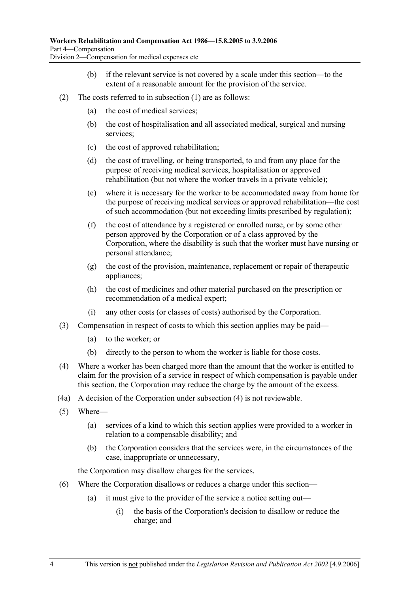- (b) if the relevant service is not covered by a scale under this section—to the extent of a reasonable amount for the provision of the service.
- (2) The costs referred to in subsection (1) are as follows:
	- (a) the cost of medical services;
	- (b) the cost of hospitalisation and all associated medical, surgical and nursing services;
	- (c) the cost of approved rehabilitation;
	- (d) the cost of travelling, or being transported, to and from any place for the purpose of receiving medical services, hospitalisation or approved rehabilitation (but not where the worker travels in a private vehicle);
	- (e) where it is necessary for the worker to be accommodated away from home for the purpose of receiving medical services or approved rehabilitation—the cost of such accommodation (but not exceeding limits prescribed by regulation);
	- (f) the cost of attendance by a registered or enrolled nurse, or by some other person approved by the Corporation or of a class approved by the Corporation, where the disability is such that the worker must have nursing or personal attendance;
	- (g) the cost of the provision, maintenance, replacement or repair of therapeutic appliances;
	- (h) the cost of medicines and other material purchased on the prescription or recommendation of a medical expert;
	- (i) any other costs (or classes of costs) authorised by the Corporation.
- (3) Compensation in respect of costs to which this section applies may be paid—
	- (a) to the worker; or
	- (b) directly to the person to whom the worker is liable for those costs.
- (4) Where a worker has been charged more than the amount that the worker is entitled to claim for the provision of a service in respect of which compensation is payable under this section, the Corporation may reduce the charge by the amount of the excess.
- (4a) A decision of the Corporation under subsection (4) is not reviewable.
- (5) Where—
	- (a) services of a kind to which this section applies were provided to a worker in relation to a compensable disability; and
	- (b) the Corporation considers that the services were, in the circumstances of the case, inappropriate or unnecessary,

the Corporation may disallow charges for the services.

- (6) Where the Corporation disallows or reduces a charge under this section—
	- (a) it must give to the provider of the service a notice setting out—
		- (i) the basis of the Corporation's decision to disallow or reduce the charge; and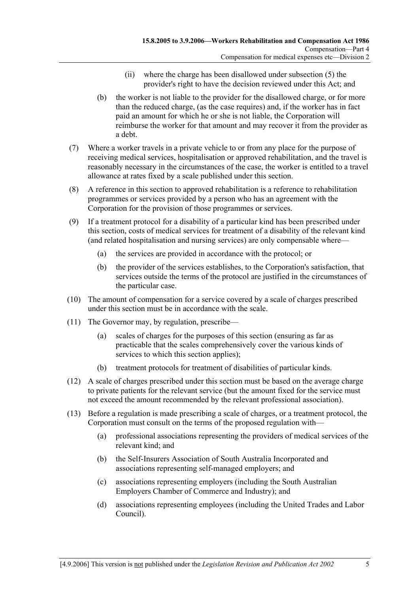- (ii) where the charge has been disallowed under subsection (5) the provider's right to have the decision reviewed under this Act; and
- (b) the worker is not liable to the provider for the disallowed charge, or for more than the reduced charge, (as the case requires) and, if the worker has in fact paid an amount for which he or she is not liable, the Corporation will reimburse the worker for that amount and may recover it from the provider as a debt.
- (7) Where a worker travels in a private vehicle to or from any place for the purpose of receiving medical services, hospitalisation or approved rehabilitation, and the travel is reasonably necessary in the circumstances of the case, the worker is entitled to a travel allowance at rates fixed by a scale published under this section.
- (8) A reference in this section to approved rehabilitation is a reference to rehabilitation programmes or services provided by a person who has an agreement with the Corporation for the provision of those programmes or services.
- (9) If a treatment protocol for a disability of a particular kind has been prescribed under this section, costs of medical services for treatment of a disability of the relevant kind (and related hospitalisation and nursing services) are only compensable where—
	- (a) the services are provided in accordance with the protocol; or
	- (b) the provider of the services establishes, to the Corporation's satisfaction, that services outside the terms of the protocol are justified in the circumstances of the particular case.
- (10) The amount of compensation for a service covered by a scale of charges prescribed under this section must be in accordance with the scale.
- (11) The Governor may, by regulation, prescribe—
	- (a) scales of charges for the purposes of this section (ensuring as far as practicable that the scales comprehensively cover the various kinds of services to which this section applies);
	- (b) treatment protocols for treatment of disabilities of particular kinds.
- (12) A scale of charges prescribed under this section must be based on the average charge to private patients for the relevant service (but the amount fixed for the service must not exceed the amount recommended by the relevant professional association).
- (13) Before a regulation is made prescribing a scale of charges, or a treatment protocol, the Corporation must consult on the terms of the proposed regulation with—
	- (a) professional associations representing the providers of medical services of the relevant kind; and
	- (b) the Self-Insurers Association of South Australia Incorporated and associations representing self-managed employers; and
	- (c) associations representing employers (including the South Australian Employers Chamber of Commerce and Industry); and
	- (d) associations representing employees (including the United Trades and Labor Council).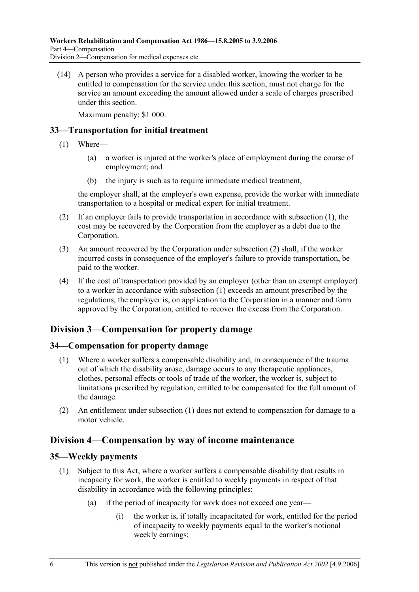(14) A person who provides a service for a disabled worker, knowing the worker to be entitled to compensation for the service under this section, must not charge for the service an amount exceeding the amount allowed under a scale of charges prescribed under this section.

Maximum penalty: \$1 000.

# **33—Transportation for initial treatment**

- (1) Where—
	- (a) a worker is injured at the worker's place of employment during the course of employment; and
	- (b) the injury is such as to require immediate medical treatment,

the employer shall, at the employer's own expense, provide the worker with immediate transportation to a hospital or medical expert for initial treatment.

- (2) If an employer fails to provide transportation in accordance with subsection (1), the cost may be recovered by the Corporation from the employer as a debt due to the Corporation.
- (3) An amount recovered by the Corporation under subsection (2) shall, if the worker incurred costs in consequence of the employer's failure to provide transportation, be paid to the worker.
- (4) If the cost of transportation provided by an employer (other than an exempt employer) to a worker in accordance with subsection (1) exceeds an amount prescribed by the regulations, the employer is, on application to the Corporation in a manner and form approved by the Corporation, entitled to recover the excess from the Corporation.

# **Division 3—Compensation for property damage**

# **34—Compensation for property damage**

- (1) Where a worker suffers a compensable disability and, in consequence of the trauma out of which the disability arose, damage occurs to any therapeutic appliances, clothes, personal effects or tools of trade of the worker, the worker is, subject to limitations prescribed by regulation, entitled to be compensated for the full amount of the damage.
- (2) An entitlement under subsection (1) does not extend to compensation for damage to a motor vehicle.

# **Division 4—Compensation by way of income maintenance**

## **35—Weekly payments**

- (1) Subject to this Act, where a worker suffers a compensable disability that results in incapacity for work, the worker is entitled to weekly payments in respect of that disability in accordance with the following principles:
	- (a) if the period of incapacity for work does not exceed one year—
		- (i) the worker is, if totally incapacitated for work, entitled for the period of incapacity to weekly payments equal to the worker's notional weekly earnings;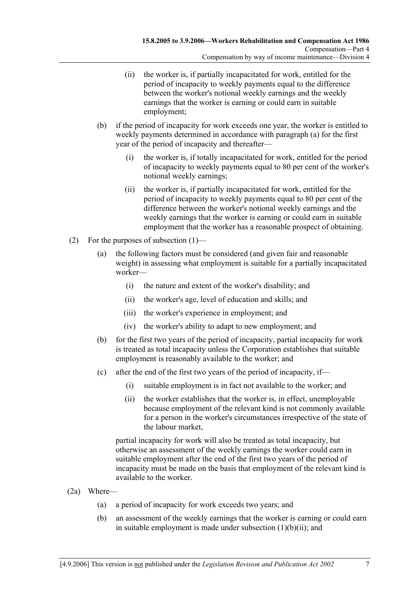- (ii) the worker is, if partially incapacitated for work, entitled for the period of incapacity to weekly payments equal to the difference between the worker's notional weekly earnings and the weekly earnings that the worker is earning or could earn in suitable employment;
- (b) if the period of incapacity for work exceeds one year, the worker is entitled to weekly payments determined in accordance with paragraph (a) for the first year of the period of incapacity and thereafter—
	- (i) the worker is, if totally incapacitated for work, entitled for the period of incapacity to weekly payments equal to 80 per cent of the worker's notional weekly earnings;
	- (ii) the worker is, if partially incapacitated for work, entitled for the period of incapacity to weekly payments equal to 80 per cent of the difference between the worker's notional weekly earnings and the weekly earnings that the worker is earning or could earn in suitable employment that the worker has a reasonable prospect of obtaining.
- (2) For the purposes of subsection (1)—
	- (a) the following factors must be considered (and given fair and reasonable weight) in assessing what employment is suitable for a partially incapacitated worker—
		- (i) the nature and extent of the worker's disability; and
		- (ii) the worker's age, level of education and skills; and
		- (iii) the worker's experience in employment; and
		- (iv) the worker's ability to adapt to new employment; and
	- (b) for the first two years of the period of incapacity, partial incapacity for work is treated as total incapacity unless the Corporation establishes that suitable employment is reasonably available to the worker; and
	- (c) after the end of the first two years of the period of incapacity, if—
		- (i) suitable employment is in fact not available to the worker; and
		- (ii) the worker establishes that the worker is, in effect, unemployable because employment of the relevant kind is not commonly available for a person in the worker's circumstances irrespective of the state of the labour market,

partial incapacity for work will also be treated as total incapacity, but otherwise an assessment of the weekly earnings the worker could earn in suitable employment after the end of the first two years of the period of incapacity must be made on the basis that employment of the relevant kind is available to the worker.

- (2a) Where—
	- (a) a period of incapacity for work exceeds two years; and
	- (b) an assessment of the weekly earnings that the worker is earning or could earn in suitable employment is made under subsection  $(1)(b)(ii)$ ; and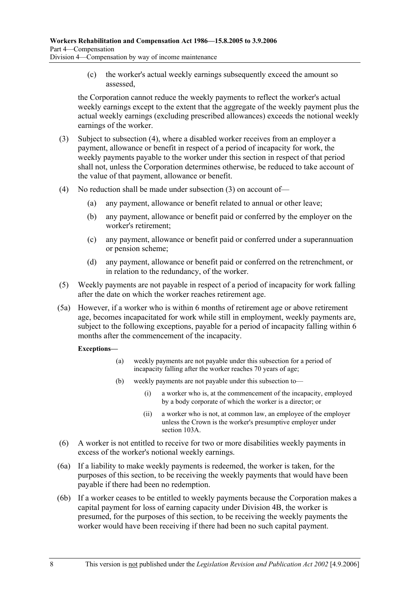(c) the worker's actual weekly earnings subsequently exceed the amount so assessed,

the Corporation cannot reduce the weekly payments to reflect the worker's actual weekly earnings except to the extent that the aggregate of the weekly payment plus the actual weekly earnings (excluding prescribed allowances) exceeds the notional weekly earnings of the worker.

- (3) Subject to subsection (4), where a disabled worker receives from an employer a payment, allowance or benefit in respect of a period of incapacity for work, the weekly payments payable to the worker under this section in respect of that period shall not, unless the Corporation determines otherwise, be reduced to take account of the value of that payment, allowance or benefit.
- (4) No reduction shall be made under subsection (3) on account of—
	- (a) any payment, allowance or benefit related to annual or other leave;
	- (b) any payment, allowance or benefit paid or conferred by the employer on the worker's retirement;
	- (c) any payment, allowance or benefit paid or conferred under a superannuation or pension scheme;
	- (d) any payment, allowance or benefit paid or conferred on the retrenchment, or in relation to the redundancy, of the worker.
- (5) Weekly payments are not payable in respect of a period of incapacity for work falling after the date on which the worker reaches retirement age.
- (5a) However, if a worker who is within 6 months of retirement age or above retirement age, becomes incapacitated for work while still in employment, weekly payments are, subject to the following exceptions, payable for a period of incapacity falling within 6 months after the commencement of the incapacity.

#### **Exceptions—**

- (a) weekly payments are not payable under this subsection for a period of incapacity falling after the worker reaches 70 years of age;
- (b) weekly payments are not payable under this subsection to—
	- (i) a worker who is, at the commencement of the incapacity, employed by a body corporate of which the worker is a director; or
	- (ii) a worker who is not, at common law, an employee of the employer unless the Crown is the worker's presumptive employer under section 103A.
- (6) A worker is not entitled to receive for two or more disabilities weekly payments in excess of the worker's notional weekly earnings.
- (6a) If a liability to make weekly payments is redeemed, the worker is taken, for the purposes of this section, to be receiving the weekly payments that would have been payable if there had been no redemption.
- (6b) If a worker ceases to be entitled to weekly payments because the Corporation makes a capital payment for loss of earning capacity under Division 4B, the worker is presumed, for the purposes of this section, to be receiving the weekly payments the worker would have been receiving if there had been no such capital payment.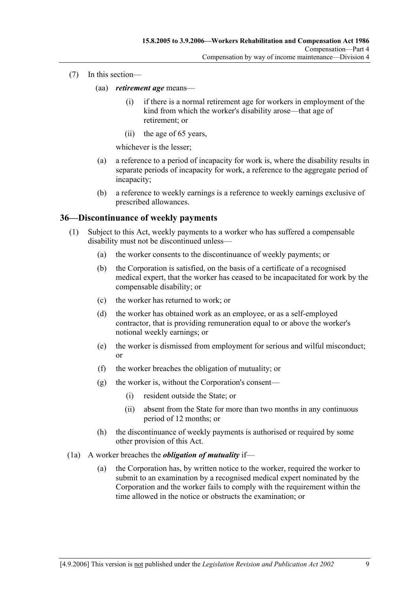- (7) In this section—
	- (aa) *retirement age* means—
		- (i) if there is a normal retirement age for workers in employment of the kind from which the worker's disability arose—that age of retirement; or
		- (ii) the age of 65 years,

whichever is the lesser;

- (a) a reference to a period of incapacity for work is, where the disability results in separate periods of incapacity for work, a reference to the aggregate period of incapacity;
- (b) a reference to weekly earnings is a reference to weekly earnings exclusive of prescribed allowances.

## **36—Discontinuance of weekly payments**

- (1) Subject to this Act, weekly payments to a worker who has suffered a compensable disability must not be discontinued unless—
	- (a) the worker consents to the discontinuance of weekly payments; or
	- (b) the Corporation is satisfied, on the basis of a certificate of a recognised medical expert, that the worker has ceased to be incapacitated for work by the compensable disability; or
	- (c) the worker has returned to work; or
	- (d) the worker has obtained work as an employee, or as a self-employed contractor, that is providing remuneration equal to or above the worker's notional weekly earnings; or
	- (e) the worker is dismissed from employment for serious and wilful misconduct; or
	- (f) the worker breaches the obligation of mutuality; or
	- (g) the worker is, without the Corporation's consent—
		- (i) resident outside the State; or
		- (ii) absent from the State for more than two months in any continuous period of 12 months; or
	- (h) the discontinuance of weekly payments is authorised or required by some other provision of this Act.
- (1a) A worker breaches the *obligation of mutuality* if—
	- (a) the Corporation has, by written notice to the worker, required the worker to submit to an examination by a recognised medical expert nominated by the Corporation and the worker fails to comply with the requirement within the time allowed in the notice or obstructs the examination; or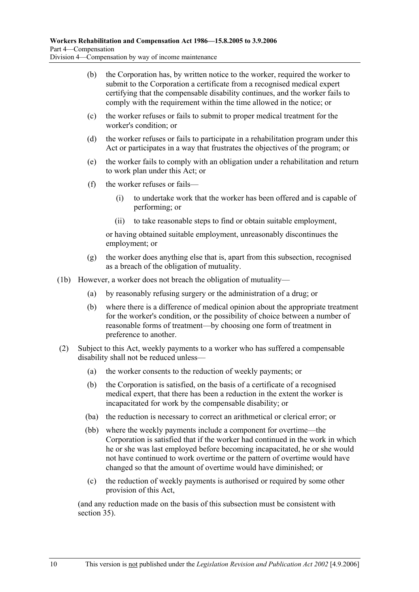- (b) the Corporation has, by written notice to the worker, required the worker to submit to the Corporation a certificate from a recognised medical expert certifying that the compensable disability continues, and the worker fails to comply with the requirement within the time allowed in the notice; or
- (c) the worker refuses or fails to submit to proper medical treatment for the worker's condition; or
- (d) the worker refuses or fails to participate in a rehabilitation program under this Act or participates in a way that frustrates the objectives of the program; or
- (e) the worker fails to comply with an obligation under a rehabilitation and return to work plan under this Act; or
- (f) the worker refuses or fails—
	- (i) to undertake work that the worker has been offered and is capable of performing; or
	- (ii) to take reasonable steps to find or obtain suitable employment,

or having obtained suitable employment, unreasonably discontinues the employment; or

- (g) the worker does anything else that is, apart from this subsection, recognised as a breach of the obligation of mutuality.
- (1b) However, a worker does not breach the obligation of mutuality—
	- (a) by reasonably refusing surgery or the administration of a drug; or
	- (b) where there is a difference of medical opinion about the appropriate treatment for the worker's condition, or the possibility of choice between a number of reasonable forms of treatment—by choosing one form of treatment in preference to another.
- (2) Subject to this Act, weekly payments to a worker who has suffered a compensable disability shall not be reduced unless—
	- (a) the worker consents to the reduction of weekly payments; or
	- (b) the Corporation is satisfied, on the basis of a certificate of a recognised medical expert, that there has been a reduction in the extent the worker is incapacitated for work by the compensable disability; or
	- (ba) the reduction is necessary to correct an arithmetical or clerical error; or
	- (bb) where the weekly payments include a component for overtime—the Corporation is satisfied that if the worker had continued in the work in which he or she was last employed before becoming incapacitated, he or she would not have continued to work overtime or the pattern of overtime would have changed so that the amount of overtime would have diminished; or
	- (c) the reduction of weekly payments is authorised or required by some other provision of this Act,

(and any reduction made on the basis of this subsection must be consistent with section 35).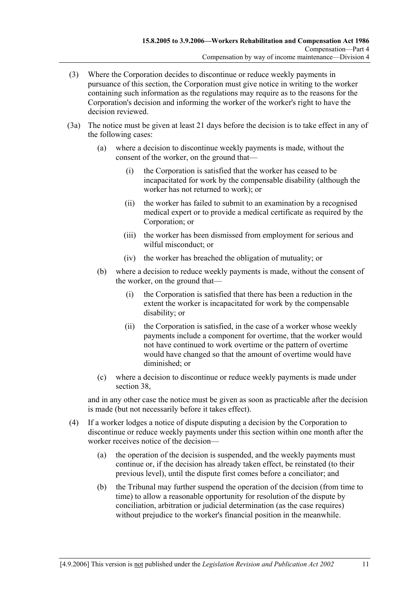- (3) Where the Corporation decides to discontinue or reduce weekly payments in pursuance of this section, the Corporation must give notice in writing to the worker containing such information as the regulations may require as to the reasons for the Corporation's decision and informing the worker of the worker's right to have the decision reviewed.
- (3a) The notice must be given at least 21 days before the decision is to take effect in any of the following cases:
	- (a) where a decision to discontinue weekly payments is made, without the consent of the worker, on the ground that—
		- (i) the Corporation is satisfied that the worker has ceased to be incapacitated for work by the compensable disability (although the worker has not returned to work); or
		- (ii) the worker has failed to submit to an examination by a recognised medical expert or to provide a medical certificate as required by the Corporation; or
		- (iii) the worker has been dismissed from employment for serious and wilful misconduct; or
		- (iv) the worker has breached the obligation of mutuality; or
	- (b) where a decision to reduce weekly payments is made, without the consent of the worker, on the ground that—
		- (i) the Corporation is satisfied that there has been a reduction in the extent the worker is incapacitated for work by the compensable disability; or
		- (ii) the Corporation is satisfied, in the case of a worker whose weekly payments include a component for overtime, that the worker would not have continued to work overtime or the pattern of overtime would have changed so that the amount of overtime would have diminished; or
	- (c) where a decision to discontinue or reduce weekly payments is made under section 38,

and in any other case the notice must be given as soon as practicable after the decision is made (but not necessarily before it takes effect).

- (4) If a worker lodges a notice of dispute disputing a decision by the Corporation to discontinue or reduce weekly payments under this section within one month after the worker receives notice of the decision—
	- (a) the operation of the decision is suspended, and the weekly payments must continue or, if the decision has already taken effect, be reinstated (to their previous level), until the dispute first comes before a conciliator; and
	- (b) the Tribunal may further suspend the operation of the decision (from time to time) to allow a reasonable opportunity for resolution of the dispute by conciliation, arbitration or judicial determination (as the case requires) without prejudice to the worker's financial position in the meanwhile.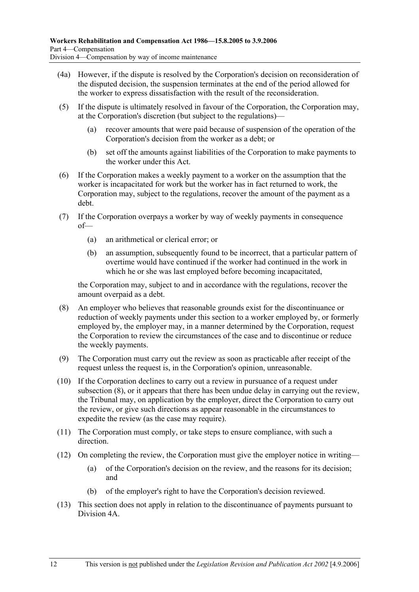- (4a) However, if the dispute is resolved by the Corporation's decision on reconsideration of the disputed decision, the suspension terminates at the end of the period allowed for the worker to express dissatisfaction with the result of the reconsideration.
- (5) If the dispute is ultimately resolved in favour of the Corporation, the Corporation may, at the Corporation's discretion (but subject to the regulations)—
	- (a) recover amounts that were paid because of suspension of the operation of the Corporation's decision from the worker as a debt; or
	- (b) set off the amounts against liabilities of the Corporation to make payments to the worker under this Act.
- (6) If the Corporation makes a weekly payment to a worker on the assumption that the worker is incapacitated for work but the worker has in fact returned to work, the Corporation may, subject to the regulations, recover the amount of the payment as a debt.
- (7) If the Corporation overpays a worker by way of weekly payments in consequence of—
	- (a) an arithmetical or clerical error; or
	- (b) an assumption, subsequently found to be incorrect, that a particular pattern of overtime would have continued if the worker had continued in the work in which he or she was last employed before becoming incapacitated,

the Corporation may, subject to and in accordance with the regulations, recover the amount overpaid as a debt.

- (8) An employer who believes that reasonable grounds exist for the discontinuance or reduction of weekly payments under this section to a worker employed by, or formerly employed by, the employer may, in a manner determined by the Corporation, request the Corporation to review the circumstances of the case and to discontinue or reduce the weekly payments.
- (9) The Corporation must carry out the review as soon as practicable after receipt of the request unless the request is, in the Corporation's opinion, unreasonable.
- (10) If the Corporation declines to carry out a review in pursuance of a request under subsection (8), or it appears that there has been undue delay in carrying out the review, the Tribunal may, on application by the employer, direct the Corporation to carry out the review, or give such directions as appear reasonable in the circumstances to expedite the review (as the case may require).
- (11) The Corporation must comply, or take steps to ensure compliance, with such a direction.
- (12) On completing the review, the Corporation must give the employer notice in writing—
	- (a) of the Corporation's decision on the review, and the reasons for its decision; and
	- (b) of the employer's right to have the Corporation's decision reviewed.
- (13) This section does not apply in relation to the discontinuance of payments pursuant to Division 4A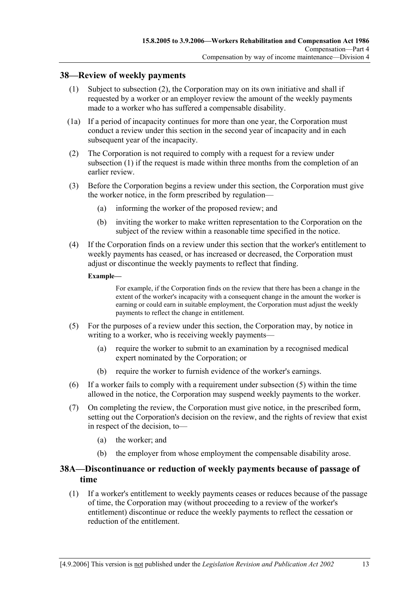#### **38—Review of weekly payments**

- (1) Subject to subsection (2), the Corporation may on its own initiative and shall if requested by a worker or an employer review the amount of the weekly payments made to a worker who has suffered a compensable disability.
- (1a) If a period of incapacity continues for more than one year, the Corporation must conduct a review under this section in the second year of incapacity and in each subsequent year of the incapacity.
- (2) The Corporation is not required to comply with a request for a review under subsection (1) if the request is made within three months from the completion of an earlier review.
- (3) Before the Corporation begins a review under this section, the Corporation must give the worker notice, in the form prescribed by regulation—
	- (a) informing the worker of the proposed review; and
	- (b) inviting the worker to make written representation to the Corporation on the subject of the review within a reasonable time specified in the notice.
- (4) If the Corporation finds on a review under this section that the worker's entitlement to weekly payments has ceased, or has increased or decreased, the Corporation must adjust or discontinue the weekly payments to reflect that finding.

#### **Example—**

For example, if the Corporation finds on the review that there has been a change in the extent of the worker's incapacity with a consequent change in the amount the worker is earning or could earn in suitable employment, the Corporation must adjust the weekly payments to reflect the change in entitlement.

- (5) For the purposes of a review under this section, the Corporation may, by notice in writing to a worker, who is receiving weekly payments—
	- (a) require the worker to submit to an examination by a recognised medical expert nominated by the Corporation; or
	- (b) require the worker to furnish evidence of the worker's earnings.
- (6) If a worker fails to comply with a requirement under subsection (5) within the time allowed in the notice, the Corporation may suspend weekly payments to the worker.
- (7) On completing the review, the Corporation must give notice, in the prescribed form, setting out the Corporation's decision on the review, and the rights of review that exist in respect of the decision, to—
	- (a) the worker; and
	- (b) the employer from whose employment the compensable disability arose.

## **38A—Discontinuance or reduction of weekly payments because of passage of time**

 (1) If a worker's entitlement to weekly payments ceases or reduces because of the passage of time, the Corporation may (without proceeding to a review of the worker's entitlement) discontinue or reduce the weekly payments to reflect the cessation or reduction of the entitlement.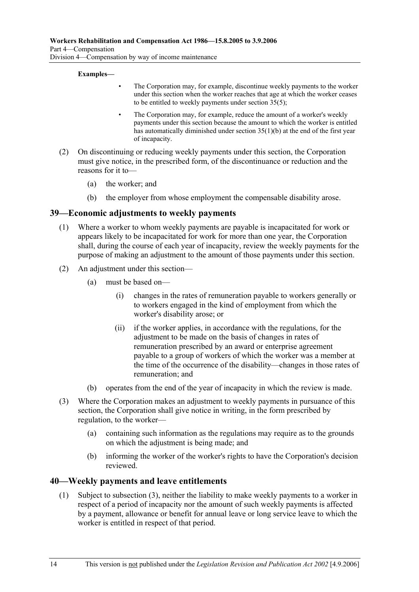#### **Examples—**

- The Corporation may, for example, discontinue weekly payments to the worker under this section when the worker reaches that age at which the worker ceases to be entitled to weekly payments under section 35(5);
- The Corporation may, for example, reduce the amount of a worker's weekly payments under this section because the amount to which the worker is entitled has automatically diminished under section  $35(1)(b)$  at the end of the first year of incapacity.
- (2) On discontinuing or reducing weekly payments under this section, the Corporation must give notice, in the prescribed form, of the discontinuance or reduction and the reasons for it to—
	- (a) the worker; and
	- (b) the employer from whose employment the compensable disability arose.

#### **39—Economic adjustments to weekly payments**

- (1) Where a worker to whom weekly payments are payable is incapacitated for work or appears likely to be incapacitated for work for more than one year, the Corporation shall, during the course of each year of incapacity, review the weekly payments for the purpose of making an adjustment to the amount of those payments under this section.
- (2) An adjustment under this section—
	- (a) must be based on—
		- (i) changes in the rates of remuneration payable to workers generally or to workers engaged in the kind of employment from which the worker's disability arose; or
		- (ii) if the worker applies, in accordance with the regulations, for the adjustment to be made on the basis of changes in rates of remuneration prescribed by an award or enterprise agreement payable to a group of workers of which the worker was a member at the time of the occurrence of the disability—changes in those rates of remuneration; and
	- (b) operates from the end of the year of incapacity in which the review is made.
- (3) Where the Corporation makes an adjustment to weekly payments in pursuance of this section, the Corporation shall give notice in writing, in the form prescribed by regulation, to the worker—
	- (a) containing such information as the regulations may require as to the grounds on which the adjustment is being made; and
	- (b) informing the worker of the worker's rights to have the Corporation's decision reviewed.

#### **40—Weekly payments and leave entitlements**

 (1) Subject to subsection (3), neither the liability to make weekly payments to a worker in respect of a period of incapacity nor the amount of such weekly payments is affected by a payment, allowance or benefit for annual leave or long service leave to which the worker is entitled in respect of that period.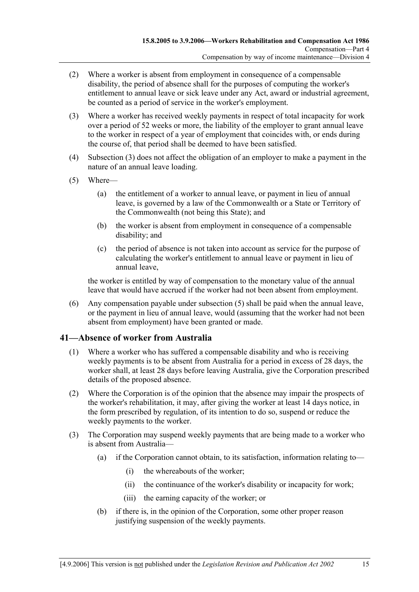- (2) Where a worker is absent from employment in consequence of a compensable disability, the period of absence shall for the purposes of computing the worker's entitlement to annual leave or sick leave under any Act, award or industrial agreement, be counted as a period of service in the worker's employment.
- (3) Where a worker has received weekly payments in respect of total incapacity for work over a period of 52 weeks or more, the liability of the employer to grant annual leave to the worker in respect of a year of employment that coincides with, or ends during the course of, that period shall be deemed to have been satisfied.
- (4) Subsection (3) does not affect the obligation of an employer to make a payment in the nature of an annual leave loading.
- (5) Where—
	- (a) the entitlement of a worker to annual leave, or payment in lieu of annual leave, is governed by a law of the Commonwealth or a State or Territory of the Commonwealth (not being this State); and
	- (b) the worker is absent from employment in consequence of a compensable disability; and
	- (c) the period of absence is not taken into account as service for the purpose of calculating the worker's entitlement to annual leave or payment in lieu of annual leave,

the worker is entitled by way of compensation to the monetary value of the annual leave that would have accrued if the worker had not been absent from employment.

 (6) Any compensation payable under subsection (5) shall be paid when the annual leave, or the payment in lieu of annual leave, would (assuming that the worker had not been absent from employment) have been granted or made.

## **41—Absence of worker from Australia**

- (1) Where a worker who has suffered a compensable disability and who is receiving weekly payments is to be absent from Australia for a period in excess of 28 days, the worker shall, at least 28 days before leaving Australia, give the Corporation prescribed details of the proposed absence.
- (2) Where the Corporation is of the opinion that the absence may impair the prospects of the worker's rehabilitation, it may, after giving the worker at least 14 days notice, in the form prescribed by regulation, of its intention to do so, suspend or reduce the weekly payments to the worker.
- (3) The Corporation may suspend weekly payments that are being made to a worker who is absent from Australia—
	- (a) if the Corporation cannot obtain, to its satisfaction, information relating to—
		- (i) the whereabouts of the worker;
		- (ii) the continuance of the worker's disability or incapacity for work;
		- (iii) the earning capacity of the worker; or
	- (b) if there is, in the opinion of the Corporation, some other proper reason justifying suspension of the weekly payments.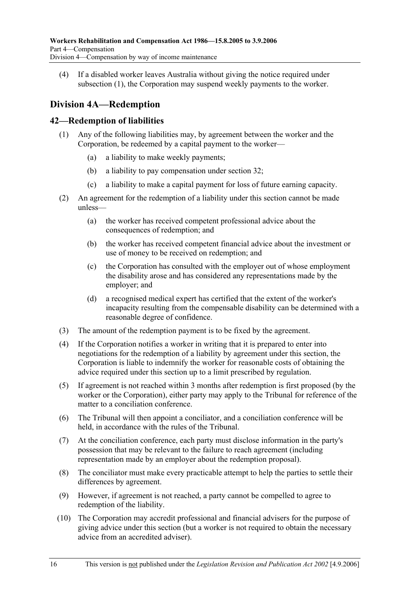(4) If a disabled worker leaves Australia without giving the notice required under subsection (1), the Corporation may suspend weekly payments to the worker.

# **Division 4A—Redemption**

#### **42—Redemption of liabilities**

- (1) Any of the following liabilities may, by agreement between the worker and the Corporation, be redeemed by a capital payment to the worker—
	- (a) a liability to make weekly payments;
	- (b) a liability to pay compensation under section 32;
	- (c) a liability to make a capital payment for loss of future earning capacity.
- (2) An agreement for the redemption of a liability under this section cannot be made unless—
	- (a) the worker has received competent professional advice about the consequences of redemption; and
	- (b) the worker has received competent financial advice about the investment or use of money to be received on redemption; and
	- (c) the Corporation has consulted with the employer out of whose employment the disability arose and has considered any representations made by the employer; and
	- (d) a recognised medical expert has certified that the extent of the worker's incapacity resulting from the compensable disability can be determined with a reasonable degree of confidence.
- (3) The amount of the redemption payment is to be fixed by the agreement.
- (4) If the Corporation notifies a worker in writing that it is prepared to enter into negotiations for the redemption of a liability by agreement under this section, the Corporation is liable to indemnify the worker for reasonable costs of obtaining the advice required under this section up to a limit prescribed by regulation.
- (5) If agreement is not reached within 3 months after redemption is first proposed (by the worker or the Corporation), either party may apply to the Tribunal for reference of the matter to a conciliation conference.
- (6) The Tribunal will then appoint a conciliator, and a conciliation conference will be held, in accordance with the rules of the Tribunal.
- (7) At the conciliation conference, each party must disclose information in the party's possession that may be relevant to the failure to reach agreement (including representation made by an employer about the redemption proposal).
- (8) The conciliator must make every practicable attempt to help the parties to settle their differences by agreement.
- (9) However, if agreement is not reached, a party cannot be compelled to agree to redemption of the liability.
- (10) The Corporation may accredit professional and financial advisers for the purpose of giving advice under this section (but a worker is not required to obtain the necessary advice from an accredited adviser).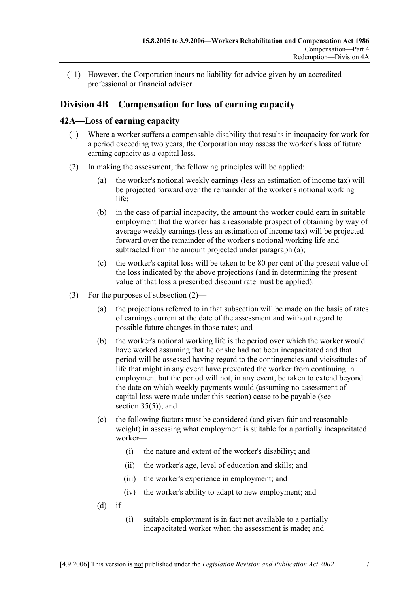(11) However, the Corporation incurs no liability for advice given by an accredited professional or financial adviser.

# **Division 4B—Compensation for loss of earning capacity**

#### **42A—Loss of earning capacity**

- (1) Where a worker suffers a compensable disability that results in incapacity for work for a period exceeding two years, the Corporation may assess the worker's loss of future earning capacity as a capital loss.
- (2) In making the assessment, the following principles will be applied:
	- (a) the worker's notional weekly earnings (less an estimation of income tax) will be projected forward over the remainder of the worker's notional working life<sup>:</sup>
	- (b) in the case of partial incapacity, the amount the worker could earn in suitable employment that the worker has a reasonable prospect of obtaining by way of average weekly earnings (less an estimation of income tax) will be projected forward over the remainder of the worker's notional working life and subtracted from the amount projected under paragraph (a);
	- (c) the worker's capital loss will be taken to be 80 per cent of the present value of the loss indicated by the above projections (and in determining the present value of that loss a prescribed discount rate must be applied).
- (3) For the purposes of subsection (2)—
	- (a) the projections referred to in that subsection will be made on the basis of rates of earnings current at the date of the assessment and without regard to possible future changes in those rates; and
	- (b) the worker's notional working life is the period over which the worker would have worked assuming that he or she had not been incapacitated and that period will be assessed having regard to the contingencies and vicissitudes of life that might in any event have prevented the worker from continuing in employment but the period will not, in any event, be taken to extend beyond the date on which weekly payments would (assuming no assessment of capital loss were made under this section) cease to be payable (see section  $35(5)$ ; and
	- (c) the following factors must be considered (and given fair and reasonable weight) in assessing what employment is suitable for a partially incapacitated worker—
		- (i) the nature and extent of the worker's disability; and
		- (ii) the worker's age, level of education and skills; and
		- (iii) the worker's experience in employment; and
		- (iv) the worker's ability to adapt to new employment; and
	- $(d)$  if—
		- (i) suitable employment is in fact not available to a partially incapacitated worker when the assessment is made; and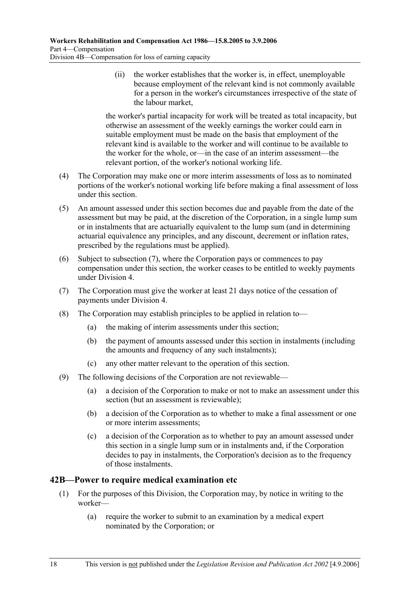(ii) the worker establishes that the worker is, in effect, unemployable because employment of the relevant kind is not commonly available for a person in the worker's circumstances irrespective of the state of the labour market,

the worker's partial incapacity for work will be treated as total incapacity, but otherwise an assessment of the weekly earnings the worker could earn in suitable employment must be made on the basis that employment of the relevant kind is available to the worker and will continue to be available to the worker for the whole, or—in the case of an interim assessment—the relevant portion, of the worker's notional working life.

- (4) The Corporation may make one or more interim assessments of loss as to nominated portions of the worker's notional working life before making a final assessment of loss under this section.
- (5) An amount assessed under this section becomes due and payable from the date of the assessment but may be paid, at the discretion of the Corporation, in a single lump sum or in instalments that are actuarially equivalent to the lump sum (and in determining actuarial equivalence any principles, and any discount, decrement or inflation rates, prescribed by the regulations must be applied).
- (6) Subject to subsection (7), where the Corporation pays or commences to pay compensation under this section, the worker ceases to be entitled to weekly payments under Division 4.
- (7) The Corporation must give the worker at least 21 days notice of the cessation of payments under Division 4.
- (8) The Corporation may establish principles to be applied in relation to—
	- (a) the making of interim assessments under this section;
	- (b) the payment of amounts assessed under this section in instalments (including the amounts and frequency of any such instalments);
	- (c) any other matter relevant to the operation of this section.
- (9) The following decisions of the Corporation are not reviewable—
	- (a) a decision of the Corporation to make or not to make an assessment under this section (but an assessment is reviewable);
	- (b) a decision of the Corporation as to whether to make a final assessment or one or more interim assessments;
	- (c) a decision of the Corporation as to whether to pay an amount assessed under this section in a single lump sum or in instalments and, if the Corporation decides to pay in instalments, the Corporation's decision as to the frequency of those instalments.

## **42B—Power to require medical examination etc**

- (1) For the purposes of this Division, the Corporation may, by notice in writing to the worker—
	- (a) require the worker to submit to an examination by a medical expert nominated by the Corporation; or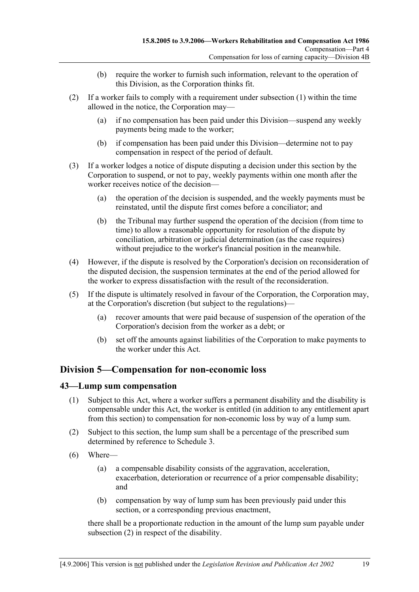- (b) require the worker to furnish such information, relevant to the operation of this Division, as the Corporation thinks fit.
- (2) If a worker fails to comply with a requirement under subsection (1) within the time allowed in the notice, the Corporation may—
	- (a) if no compensation has been paid under this Division—suspend any weekly payments being made to the worker;
	- (b) if compensation has been paid under this Division—determine not to pay compensation in respect of the period of default.
- (3) If a worker lodges a notice of dispute disputing a decision under this section by the Corporation to suspend, or not to pay, weekly payments within one month after the worker receives notice of the decision—
	- (a) the operation of the decision is suspended, and the weekly payments must be reinstated, until the dispute first comes before a conciliator; and
	- (b) the Tribunal may further suspend the operation of the decision (from time to time) to allow a reasonable opportunity for resolution of the dispute by conciliation, arbitration or judicial determination (as the case requires) without prejudice to the worker's financial position in the meanwhile.
- (4) However, if the dispute is resolved by the Corporation's decision on reconsideration of the disputed decision, the suspension terminates at the end of the period allowed for the worker to express dissatisfaction with the result of the reconsideration.
- (5) If the dispute is ultimately resolved in favour of the Corporation, the Corporation may, at the Corporation's discretion (but subject to the regulations)—
	- (a) recover amounts that were paid because of suspension of the operation of the Corporation's decision from the worker as a debt; or
	- (b) set off the amounts against liabilities of the Corporation to make payments to the worker under this Act.

## **Division 5—Compensation for non-economic loss**

#### **43—Lump sum compensation**

- (1) Subject to this Act, where a worker suffers a permanent disability and the disability is compensable under this Act, the worker is entitled (in addition to any entitlement apart from this section) to compensation for non-economic loss by way of a lump sum.
- (2) Subject to this section, the lump sum shall be a percentage of the prescribed sum determined by reference to Schedule 3.
- (6) Where—
	- (a) a compensable disability consists of the aggravation, acceleration, exacerbation, deterioration or recurrence of a prior compensable disability; and
	- (b) compensation by way of lump sum has been previously paid under this section, or a corresponding previous enactment,

there shall be a proportionate reduction in the amount of the lump sum payable under subsection (2) in respect of the disability.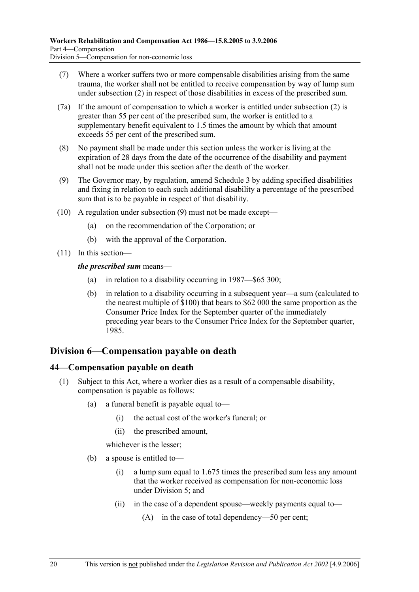- (7) Where a worker suffers two or more compensable disabilities arising from the same trauma, the worker shall not be entitled to receive compensation by way of lump sum under subsection (2) in respect of those disabilities in excess of the prescribed sum.
- (7a) If the amount of compensation to which a worker is entitled under subsection (2) is greater than 55 per cent of the prescribed sum, the worker is entitled to a supplementary benefit equivalent to 1.5 times the amount by which that amount exceeds 55 per cent of the prescribed sum.
- (8) No payment shall be made under this section unless the worker is living at the expiration of 28 days from the date of the occurrence of the disability and payment shall not be made under this section after the death of the worker.
- (9) The Governor may, by regulation, amend Schedule 3 by adding specified disabilities and fixing in relation to each such additional disability a percentage of the prescribed sum that is to be payable in respect of that disability.
- (10) A regulation under subsection (9) must not be made except—
	- (a) on the recommendation of the Corporation; or
	- (b) with the approval of the Corporation.
- (11) In this section—

#### *the prescribed sum* means—

- (a) in relation to a disability occurring in 1987—\$65 300;
- (b) in relation to a disability occurring in a subsequent year—a sum (calculated to the nearest multiple of \$100) that bears to \$62 000 the same proportion as the Consumer Price Index for the September quarter of the immediately preceding year bears to the Consumer Price Index for the September quarter, 1985.

# **Division 6—Compensation payable on death**

#### **44—Compensation payable on death**

- (1) Subject to this Act, where a worker dies as a result of a compensable disability, compensation is payable as follows:
	- (a) a funeral benefit is payable equal to—
		- (i) the actual cost of the worker's funeral; or
		- (ii) the prescribed amount,

whichever is the lesser;

- (b) a spouse is entitled to—
	- (i) a lump sum equal to 1.675 times the prescribed sum less any amount that the worker received as compensation for non-economic loss under Division  $5$  and
	- (ii) in the case of a dependent spouse—weekly payments equal to—
		- (A) in the case of total dependency—50 per cent;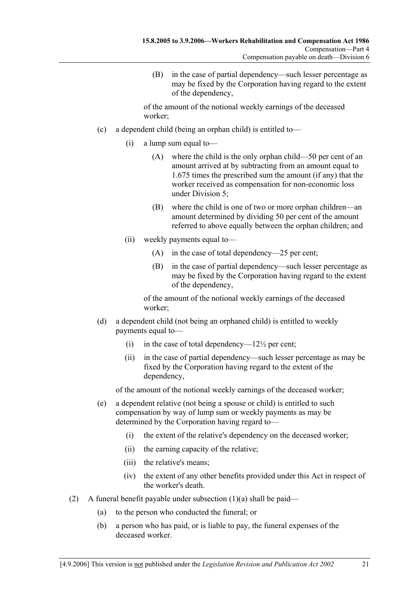(B) in the case of partial dependency—such lesser percentage as may be fixed by the Corporation having regard to the extent of the dependency,

of the amount of the notional weekly earnings of the deceased worker;

- (c) a dependent child (being an orphan child) is entitled to—
	- (i) a lump sum equal to—
		- (A) where the child is the only orphan child—50 per cent of an amount arrived at by subtracting from an amount equal to 1.675 times the prescribed sum the amount (if any) that the worker received as compensation for non-economic loss under Division 5;
		- (B) where the child is one of two or more orphan children—an amount determined by dividing 50 per cent of the amount referred to above equally between the orphan children; and
	- (ii) weekly payments equal to—
		- (A) in the case of total dependency—25 per cent;
		- (B) in the case of partial dependency—such lesser percentage as may be fixed by the Corporation having regard to the extent of the dependency,

of the amount of the notional weekly earnings of the deceased worker;

- (d) a dependent child (not being an orphaned child) is entitled to weekly payments equal to—
	- (i) in the case of total dependency— $12\frac{1}{2}$  per cent;
	- (ii) in the case of partial dependency—such lesser percentage as may be fixed by the Corporation having regard to the extent of the dependency,

of the amount of the notional weekly earnings of the deceased worker;

- (e) a dependent relative (not being a spouse or child) is entitled to such compensation by way of lump sum or weekly payments as may be determined by the Corporation having regard to—
	- (i) the extent of the relative's dependency on the deceased worker;
	- (ii) the earning capacity of the relative;
	- (iii) the relative's means;
	- (iv) the extent of any other benefits provided under this Act in respect of the worker's death.
- (2) A funeral benefit payable under subsection  $(1)(a)$  shall be paid—
	- (a) to the person who conducted the funeral; or
	- (b) a person who has paid, or is liable to pay, the funeral expenses of the deceased worker.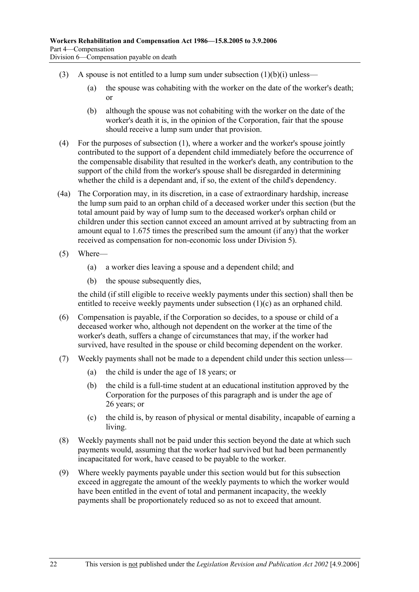- (3) A spouse is not entitled to a lump sum under subsection  $(1)(b)(i)$  unless—
	- (a) the spouse was cohabiting with the worker on the date of the worker's death; or
	- (b) although the spouse was not cohabiting with the worker on the date of the worker's death it is, in the opinion of the Corporation, fair that the spouse should receive a lump sum under that provision.
- (4) For the purposes of subsection (1), where a worker and the worker's spouse jointly contributed to the support of a dependent child immediately before the occurrence of the compensable disability that resulted in the worker's death, any contribution to the support of the child from the worker's spouse shall be disregarded in determining whether the child is a dependant and, if so, the extent of the child's dependency.
- (4a) The Corporation may, in its discretion, in a case of extraordinary hardship, increase the lump sum paid to an orphan child of a deceased worker under this section (but the total amount paid by way of lump sum to the deceased worker's orphan child or children under this section cannot exceed an amount arrived at by subtracting from an amount equal to 1.675 times the prescribed sum the amount (if any) that the worker received as compensation for non-economic loss under Division 5).
- (5) Where—
	- (a) a worker dies leaving a spouse and a dependent child; and
	- (b) the spouse subsequently dies,

the child (if still eligible to receive weekly payments under this section) shall then be entitled to receive weekly payments under subsection (1)(c) as an orphaned child.

- (6) Compensation is payable, if the Corporation so decides, to a spouse or child of a deceased worker who, although not dependent on the worker at the time of the worker's death, suffers a change of circumstances that may, if the worker had survived, have resulted in the spouse or child becoming dependent on the worker.
- (7) Weekly payments shall not be made to a dependent child under this section unless—
	- (a) the child is under the age of 18 years; or
	- (b) the child is a full-time student at an educational institution approved by the Corporation for the purposes of this paragraph and is under the age of 26 years; or
	- (c) the child is, by reason of physical or mental disability, incapable of earning a living.
- (8) Weekly payments shall not be paid under this section beyond the date at which such payments would, assuming that the worker had survived but had been permanently incapacitated for work, have ceased to be payable to the worker.
- (9) Where weekly payments payable under this section would but for this subsection exceed in aggregate the amount of the weekly payments to which the worker would have been entitled in the event of total and permanent incapacity, the weekly payments shall be proportionately reduced so as not to exceed that amount.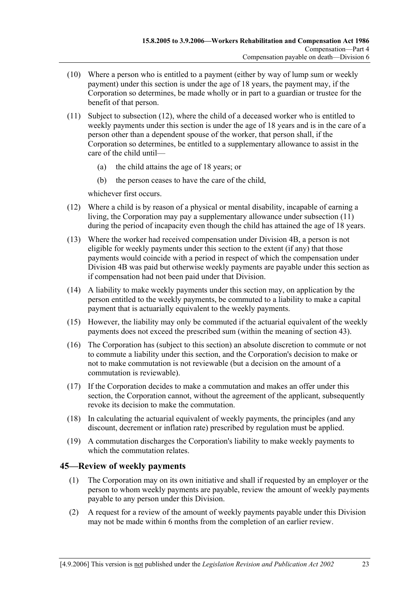- (10) Where a person who is entitled to a payment (either by way of lump sum or weekly payment) under this section is under the age of 18 years, the payment may, if the Corporation so determines, be made wholly or in part to a guardian or trustee for the benefit of that person.
- (11) Subject to subsection (12), where the child of a deceased worker who is entitled to weekly payments under this section is under the age of 18 years and is in the care of a person other than a dependent spouse of the worker, that person shall, if the Corporation so determines, be entitled to a supplementary allowance to assist in the care of the child until—
	- (a) the child attains the age of 18 years; or
	- (b) the person ceases to have the care of the child,

whichever first occurs.

- (12) Where a child is by reason of a physical or mental disability, incapable of earning a living, the Corporation may pay a supplementary allowance under subsection (11) during the period of incapacity even though the child has attained the age of 18 years.
- (13) Where the worker had received compensation under Division 4B, a person is not eligible for weekly payments under this section to the extent (if any) that those payments would coincide with a period in respect of which the compensation under Division 4B was paid but otherwise weekly payments are payable under this section as if compensation had not been paid under that Division.
- (14) A liability to make weekly payments under this section may, on application by the person entitled to the weekly payments, be commuted to a liability to make a capital payment that is actuarially equivalent to the weekly payments.
- (15) However, the liability may only be commuted if the actuarial equivalent of the weekly payments does not exceed the prescribed sum (within the meaning of section 43).
- (16) The Corporation has (subject to this section) an absolute discretion to commute or not to commute a liability under this section, and the Corporation's decision to make or not to make commutation is not reviewable (but a decision on the amount of a commutation is reviewable).
- (17) If the Corporation decides to make a commutation and makes an offer under this section, the Corporation cannot, without the agreement of the applicant, subsequently revoke its decision to make the commutation.
- (18) In calculating the actuarial equivalent of weekly payments, the principles (and any discount, decrement or inflation rate) prescribed by regulation must be applied.
- (19) A commutation discharges the Corporation's liability to make weekly payments to which the commutation relates.

#### **45—Review of weekly payments**

- (1) The Corporation may on its own initiative and shall if requested by an employer or the person to whom weekly payments are payable, review the amount of weekly payments payable to any person under this Division.
- (2) A request for a review of the amount of weekly payments payable under this Division may not be made within 6 months from the completion of an earlier review.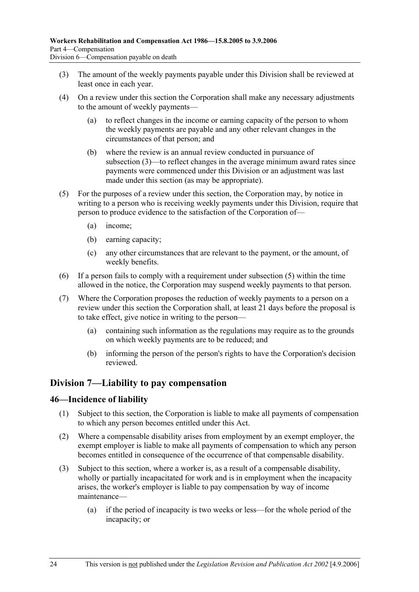- (3) The amount of the weekly payments payable under this Division shall be reviewed at least once in each year.
- (4) On a review under this section the Corporation shall make any necessary adjustments to the amount of weekly payments—
	- (a) to reflect changes in the income or earning capacity of the person to whom the weekly payments are payable and any other relevant changes in the circumstances of that person; and
	- (b) where the review is an annual review conducted in pursuance of subsection (3)—to reflect changes in the average minimum award rates since payments were commenced under this Division or an adjustment was last made under this section (as may be appropriate).
- (5) For the purposes of a review under this section, the Corporation may, by notice in writing to a person who is receiving weekly payments under this Division, require that person to produce evidence to the satisfaction of the Corporation of—
	- (a) income;
	- (b) earning capacity;
	- (c) any other circumstances that are relevant to the payment, or the amount, of weekly benefits.
- (6) If a person fails to comply with a requirement under subsection (5) within the time allowed in the notice, the Corporation may suspend weekly payments to that person.
- (7) Where the Corporation proposes the reduction of weekly payments to a person on a review under this section the Corporation shall, at least 21 days before the proposal is to take effect, give notice in writing to the person—
	- (a) containing such information as the regulations may require as to the grounds on which weekly payments are to be reduced; and
	- (b) informing the person of the person's rights to have the Corporation's decision reviewed.

## **Division 7—Liability to pay compensation**

#### **46—Incidence of liability**

- (1) Subject to this section, the Corporation is liable to make all payments of compensation to which any person becomes entitled under this Act.
- (2) Where a compensable disability arises from employment by an exempt employer, the exempt employer is liable to make all payments of compensation to which any person becomes entitled in consequence of the occurrence of that compensable disability.
- (3) Subject to this section, where a worker is, as a result of a compensable disability, wholly or partially incapacitated for work and is in employment when the incapacity arises, the worker's employer is liable to pay compensation by way of income maintenance—
	- (a) if the period of incapacity is two weeks or less—for the whole period of the incapacity; or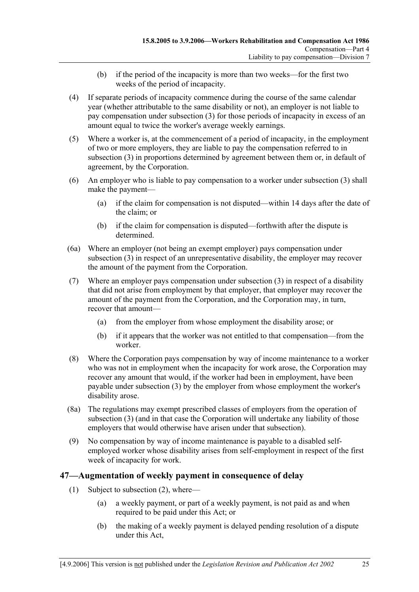- (b) if the period of the incapacity is more than two weeks—for the first two weeks of the period of incapacity.
- (4) If separate periods of incapacity commence during the course of the same calendar year (whether attributable to the same disability or not), an employer is not liable to pay compensation under subsection (3) for those periods of incapacity in excess of an amount equal to twice the worker's average weekly earnings.
- (5) Where a worker is, at the commencement of a period of incapacity, in the employment of two or more employers, they are liable to pay the compensation referred to in subsection (3) in proportions determined by agreement between them or, in default of agreement, by the Corporation.
- (6) An employer who is liable to pay compensation to a worker under subsection (3) shall make the payment—
	- (a) if the claim for compensation is not disputed—within 14 days after the date of the claim; or
	- (b) if the claim for compensation is disputed—forthwith after the dispute is determined.
- (6a) Where an employer (not being an exempt employer) pays compensation under subsection (3) in respect of an unrepresentative disability, the employer may recover the amount of the payment from the Corporation.
- (7) Where an employer pays compensation under subsection (3) in respect of a disability that did not arise from employment by that employer, that employer may recover the amount of the payment from the Corporation, and the Corporation may, in turn, recover that amount—
	- (a) from the employer from whose employment the disability arose; or
	- (b) if it appears that the worker was not entitled to that compensation—from the worker.
- (8) Where the Corporation pays compensation by way of income maintenance to a worker who was not in employment when the incapacity for work arose, the Corporation may recover any amount that would, if the worker had been in employment, have been payable under subsection (3) by the employer from whose employment the worker's disability arose.
- (8a) The regulations may exempt prescribed classes of employers from the operation of subsection (3) (and in that case the Corporation will undertake any liability of those employers that would otherwise have arisen under that subsection).
- (9) No compensation by way of income maintenance is payable to a disabled selfemployed worker whose disability arises from self-employment in respect of the first week of incapacity for work.

#### **47—Augmentation of weekly payment in consequence of delay**

- (1) Subject to subsection (2), where—
	- (a) a weekly payment, or part of a weekly payment, is not paid as and when required to be paid under this Act; or
	- (b) the making of a weekly payment is delayed pending resolution of a dispute under this Act,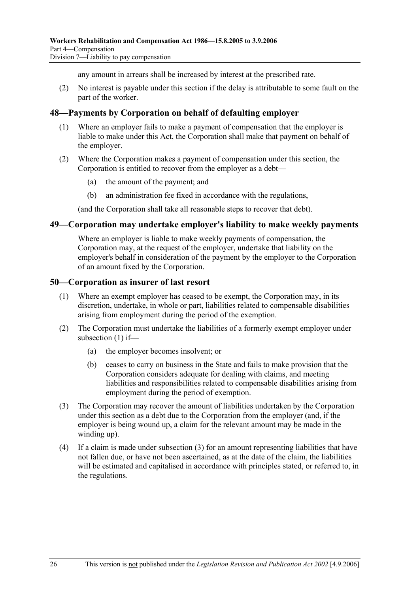any amount in arrears shall be increased by interest at the prescribed rate.

 (2) No interest is payable under this section if the delay is attributable to some fault on the part of the worker.

#### **48—Payments by Corporation on behalf of defaulting employer**

- (1) Where an employer fails to make a payment of compensation that the employer is liable to make under this Act, the Corporation shall make that payment on behalf of the employer.
- (2) Where the Corporation makes a payment of compensation under this section, the Corporation is entitled to recover from the employer as a debt—
	- (a) the amount of the payment; and
	- (b) an administration fee fixed in accordance with the regulations,

(and the Corporation shall take all reasonable steps to recover that debt).

#### **49—Corporation may undertake employer's liability to make weekly payments**

Where an employer is liable to make weekly payments of compensation, the Corporation may, at the request of the employer, undertake that liability on the employer's behalf in consideration of the payment by the employer to the Corporation of an amount fixed by the Corporation.

#### **50—Corporation as insurer of last resort**

- (1) Where an exempt employer has ceased to be exempt, the Corporation may, in its discretion, undertake, in whole or part, liabilities related to compensable disabilities arising from employment during the period of the exemption.
- (2) The Corporation must undertake the liabilities of a formerly exempt employer under subsection (1) if—
	- (a) the employer becomes insolvent; or
	- (b) ceases to carry on business in the State and fails to make provision that the Corporation considers adequate for dealing with claims, and meeting liabilities and responsibilities related to compensable disabilities arising from employment during the period of exemption.
- (3) The Corporation may recover the amount of liabilities undertaken by the Corporation under this section as a debt due to the Corporation from the employer (and, if the employer is being wound up, a claim for the relevant amount may be made in the winding up).
- (4) If a claim is made under subsection (3) for an amount representing liabilities that have not fallen due, or have not been ascertained, as at the date of the claim, the liabilities will be estimated and capitalised in accordance with principles stated, or referred to, in the regulations.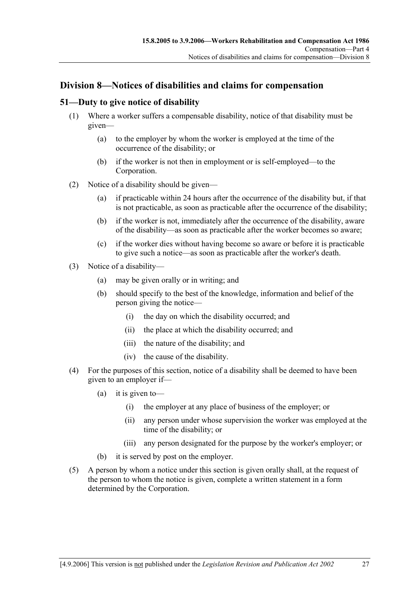# **Division 8—Notices of disabilities and claims for compensation**

#### **51—Duty to give notice of disability**

- (1) Where a worker suffers a compensable disability, notice of that disability must be given—
	- (a) to the employer by whom the worker is employed at the time of the occurrence of the disability; or
	- (b) if the worker is not then in employment or is self-employed—to the Corporation.
- (2) Notice of a disability should be given—
	- (a) if practicable within 24 hours after the occurrence of the disability but, if that is not practicable, as soon as practicable after the occurrence of the disability;
	- (b) if the worker is not, immediately after the occurrence of the disability, aware of the disability—as soon as practicable after the worker becomes so aware;
	- (c) if the worker dies without having become so aware or before it is practicable to give such a notice—as soon as practicable after the worker's death.
- (3) Notice of a disability—
	- (a) may be given orally or in writing; and
	- (b) should specify to the best of the knowledge, information and belief of the person giving the notice—
		- (i) the day on which the disability occurred; and
		- (ii) the place at which the disability occurred; and
		- (iii) the nature of the disability; and
		- (iv) the cause of the disability.
- (4) For the purposes of this section, notice of a disability shall be deemed to have been given to an employer if—
	- (a) it is given to—
		- (i) the employer at any place of business of the employer; or
		- (ii) any person under whose supervision the worker was employed at the time of the disability; or
		- (iii) any person designated for the purpose by the worker's employer; or
	- (b) it is served by post on the employer.
- (5) A person by whom a notice under this section is given orally shall, at the request of the person to whom the notice is given, complete a written statement in a form determined by the Corporation.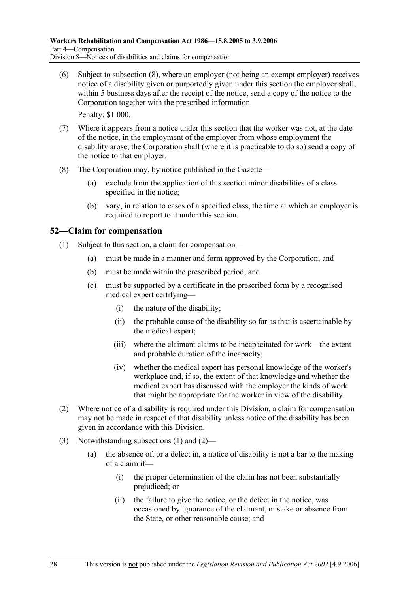(6) Subject to subsection (8), where an employer (not being an exempt employer) receives notice of a disability given or purportedly given under this section the employer shall, within 5 business days after the receipt of the notice, send a copy of the notice to the Corporation together with the prescribed information.

Penalty: \$1 000.

- (7) Where it appears from a notice under this section that the worker was not, at the date of the notice, in the employment of the employer from whose employment the disability arose, the Corporation shall (where it is practicable to do so) send a copy of the notice to that employer.
- (8) The Corporation may, by notice published in the Gazette—
	- (a) exclude from the application of this section minor disabilities of a class specified in the notice;
	- (b) vary, in relation to cases of a specified class, the time at which an employer is required to report to it under this section.

## **52—Claim for compensation**

- (1) Subject to this section, a claim for compensation—
	- (a) must be made in a manner and form approved by the Corporation; and
	- (b) must be made within the prescribed period; and
	- (c) must be supported by a certificate in the prescribed form by a recognised medical expert certifying—
		- (i) the nature of the disability;
		- (ii) the probable cause of the disability so far as that is ascertainable by the medical expert;
		- (iii) where the claimant claims to be incapacitated for work—the extent and probable duration of the incapacity;
		- (iv) whether the medical expert has personal knowledge of the worker's workplace and, if so, the extent of that knowledge and whether the medical expert has discussed with the employer the kinds of work that might be appropriate for the worker in view of the disability.
- (2) Where notice of a disability is required under this Division, a claim for compensation may not be made in respect of that disability unless notice of the disability has been given in accordance with this Division.
- (3) Notwithstanding subsections (1) and (2)—
	- (a) the absence of, or a defect in, a notice of disability is not a bar to the making of a claim if—
		- (i) the proper determination of the claim has not been substantially prejudiced; or
		- (ii) the failure to give the notice, or the defect in the notice, was occasioned by ignorance of the claimant, mistake or absence from the State, or other reasonable cause; and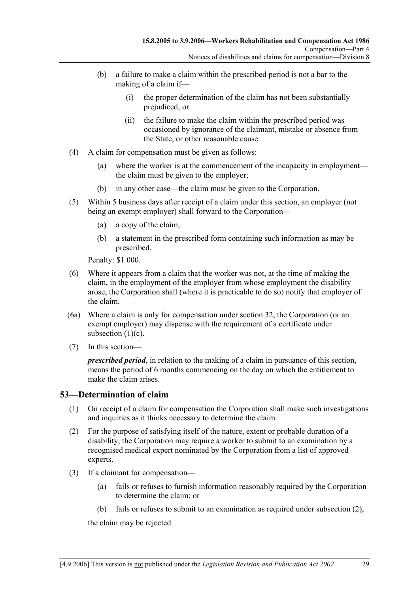- (b) a failure to make a claim within the prescribed period is not a bar to the making of a claim if—
	- (i) the proper determination of the claim has not been substantially prejudiced; or
	- (ii) the failure to make the claim within the prescribed period was occasioned by ignorance of the claimant, mistake or absence from the State, or other reasonable cause.
- (4) A claim for compensation must be given as follows:
	- (a) where the worker is at the commencement of the incapacity in employment the claim must be given to the employer;
	- (b) in any other case—the claim must be given to the Corporation.
- (5) Within 5 business days after receipt of a claim under this section, an employer (not being an exempt employer) shall forward to the Corporation—
	- (a) a copy of the claim;
	- (b) a statement in the prescribed form containing such information as may be prescribed.

Penalty: \$1 000.

- (6) Where it appears from a claim that the worker was not, at the time of making the claim, in the employment of the employer from whose employment the disability arose, the Corporation shall (where it is practicable to do so) notify that employer of the claim.
- (6a) Where a claim is only for compensation under section 32, the Corporation (or an exempt employer) may dispense with the requirement of a certificate under subsection  $(1)(c)$ .
- (7) In this section—

*prescribed period*, in relation to the making of a claim in pursuance of this section, means the period of 6 months commencing on the day on which the entitlement to make the claim arises.

#### **53—Determination of claim**

- (1) On receipt of a claim for compensation the Corporation shall make such investigations and inquiries as it thinks necessary to determine the claim.
- (2) For the purpose of satisfying itself of the nature, extent or probable duration of a disability, the Corporation may require a worker to submit to an examination by a recognised medical expert nominated by the Corporation from a list of approved experts.
- (3) If a claimant for compensation—
	- (a) fails or refuses to furnish information reasonably required by the Corporation to determine the claim; or
	- (b) fails or refuses to submit to an examination as required under subsection (2),

the claim may be rejected.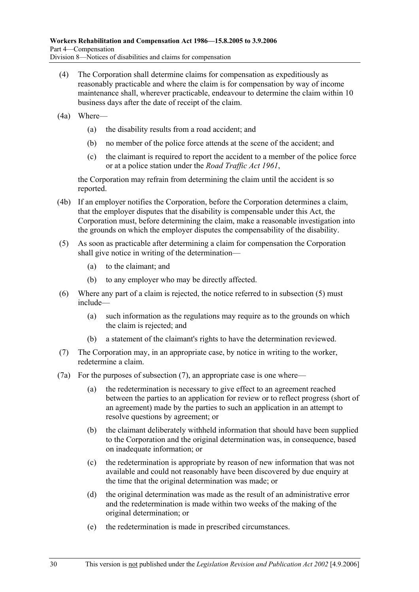- (4) The Corporation shall determine claims for compensation as expeditiously as reasonably practicable and where the claim is for compensation by way of income maintenance shall, wherever practicable, endeavour to determine the claim within 10 business days after the date of receipt of the claim.
- (4a) Where—
	- (a) the disability results from a road accident; and
	- (b) no member of the police force attends at the scene of the accident; and
	- (c) the claimant is required to report the accident to a member of the police force or at a police station under the *Road Traffic Act 1961*,

the Corporation may refrain from determining the claim until the accident is so reported.

- (4b) If an employer notifies the Corporation, before the Corporation determines a claim, that the employer disputes that the disability is compensable under this Act, the Corporation must, before determining the claim, make a reasonable investigation into the grounds on which the employer disputes the compensability of the disability.
- (5) As soon as practicable after determining a claim for compensation the Corporation shall give notice in writing of the determination—
	- (a) to the claimant; and
	- (b) to any employer who may be directly affected.
- (6) Where any part of a claim is rejected, the notice referred to in subsection (5) must include—
	- (a) such information as the regulations may require as to the grounds on which the claim is rejected; and
	- (b) a statement of the claimant's rights to have the determination reviewed.
- (7) The Corporation may, in an appropriate case, by notice in writing to the worker, redetermine a claim.
- (7a) For the purposes of subsection (7), an appropriate case is one where—
	- (a) the redetermination is necessary to give effect to an agreement reached between the parties to an application for review or to reflect progress (short of an agreement) made by the parties to such an application in an attempt to resolve questions by agreement; or
	- (b) the claimant deliberately withheld information that should have been supplied to the Corporation and the original determination was, in consequence, based on inadequate information; or
	- (c) the redetermination is appropriate by reason of new information that was not available and could not reasonably have been discovered by due enquiry at the time that the original determination was made; or
	- (d) the original determination was made as the result of an administrative error and the redetermination is made within two weeks of the making of the original determination; or
	- (e) the redetermination is made in prescribed circumstances.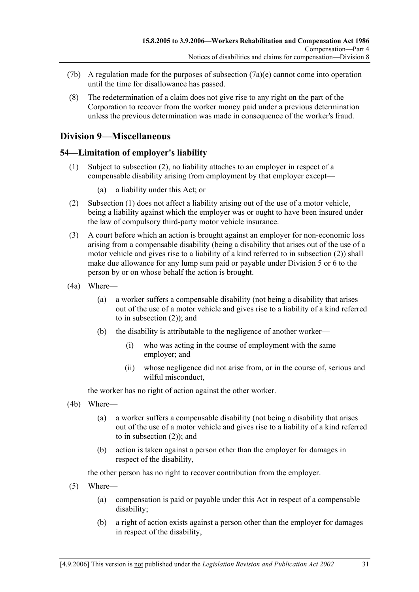- (7b) A regulation made for the purposes of subsection  $(7a)(e)$  cannot come into operation until the time for disallowance has passed.
- (8) The redetermination of a claim does not give rise to any right on the part of the Corporation to recover from the worker money paid under a previous determination unless the previous determination was made in consequence of the worker's fraud.

## **Division 9—Miscellaneous**

## **54—Limitation of employer's liability**

- (1) Subject to subsection (2), no liability attaches to an employer in respect of a compensable disability arising from employment by that employer except—
	- (a) a liability under this Act; or
- (2) Subsection (1) does not affect a liability arising out of the use of a motor vehicle, being a liability against which the employer was or ought to have been insured under the law of compulsory third-party motor vehicle insurance.
- (3) A court before which an action is brought against an employer for non-economic loss arising from a compensable disability (being a disability that arises out of the use of a motor vehicle and gives rise to a liability of a kind referred to in subsection (2)) shall make due allowance for any lump sum paid or payable under Division 5 or 6 to the person by or on whose behalf the action is brought.
- (4a) Where—
	- (a) a worker suffers a compensable disability (not being a disability that arises out of the use of a motor vehicle and gives rise to a liability of a kind referred to in subsection (2)); and
	- (b) the disability is attributable to the negligence of another worker—
		- (i) who was acting in the course of employment with the same employer; and
		- (ii) whose negligence did not arise from, or in the course of, serious and wilful misconduct,

the worker has no right of action against the other worker.

- (4b) Where—
	- (a) a worker suffers a compensable disability (not being a disability that arises out of the use of a motor vehicle and gives rise to a liability of a kind referred to in subsection (2)); and
	- (b) action is taken against a person other than the employer for damages in respect of the disability,

the other person has no right to recover contribution from the employer.

- (5) Where—
	- (a) compensation is paid or payable under this Act in respect of a compensable disability;
	- (b) a right of action exists against a person other than the employer for damages in respect of the disability,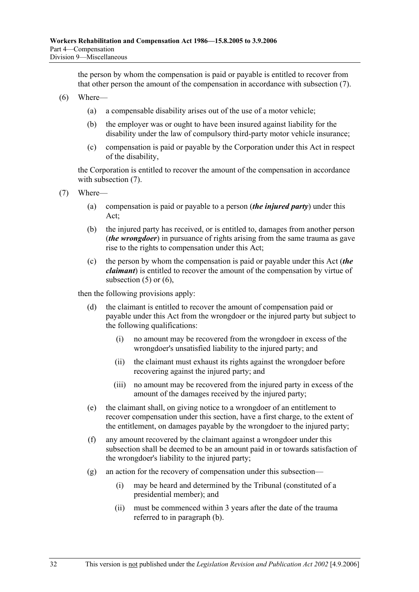the person by whom the compensation is paid or payable is entitled to recover from that other person the amount of the compensation in accordance with subsection (7).

- (6) Where—
	- (a) a compensable disability arises out of the use of a motor vehicle;
	- (b) the employer was or ought to have been insured against liability for the disability under the law of compulsory third-party motor vehicle insurance;
	- (c) compensation is paid or payable by the Corporation under this Act in respect of the disability,

the Corporation is entitled to recover the amount of the compensation in accordance with subsection  $(7)$ .

- (7) Where—
	- (a) compensation is paid or payable to a person (*the injured party*) under this Act;
	- (b) the injured party has received, or is entitled to, damages from another person (*the wrongdoer*) in pursuance of rights arising from the same trauma as gave rise to the rights to compensation under this Act;
	- (c) the person by whom the compensation is paid or payable under this Act (*the claimant*) is entitled to recover the amount of the compensation by virtue of subsection  $(5)$  or  $(6)$ ,

then the following provisions apply:

- (d) the claimant is entitled to recover the amount of compensation paid or payable under this Act from the wrongdoer or the injured party but subject to the following qualifications:
	- (i) no amount may be recovered from the wrongdoer in excess of the wrongdoer's unsatisfied liability to the injured party; and
	- (ii) the claimant must exhaust its rights against the wrongdoer before recovering against the injured party; and
	- (iii) no amount may be recovered from the injured party in excess of the amount of the damages received by the injured party;
- (e) the claimant shall, on giving notice to a wrongdoer of an entitlement to recover compensation under this section, have a first charge, to the extent of the entitlement, on damages payable by the wrongdoer to the injured party;
- (f) any amount recovered by the claimant against a wrongdoer under this subsection shall be deemed to be an amount paid in or towards satisfaction of the wrongdoer's liability to the injured party;
- (g) an action for the recovery of compensation under this subsection—
	- (i) may be heard and determined by the Tribunal (constituted of a presidential member); and
	- (ii) must be commenced within 3 years after the date of the trauma referred to in paragraph (b).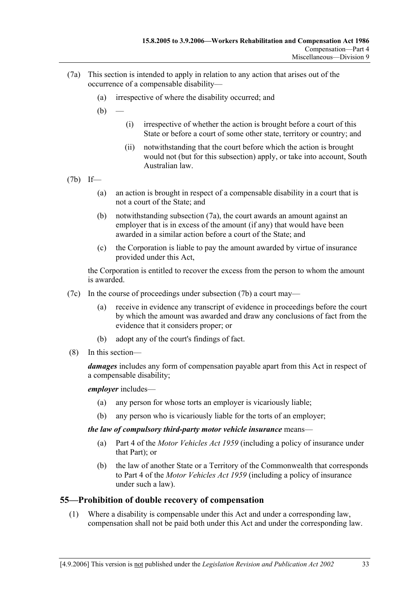- (7a) This section is intended to apply in relation to any action that arises out of the occurrence of a compensable disability—
	- (a) irrespective of where the disability occurred; and
	- $(b)$ 
		- (i) irrespective of whether the action is brought before a court of this State or before a court of some other state, territory or country; and
		- (ii) notwithstanding that the court before which the action is brought would not (but for this subsection) apply, or take into account, South Australian law.
- (7b) If—
	- (a) an action is brought in respect of a compensable disability in a court that is not a court of the State; and
	- (b) notwithstanding subsection (7a), the court awards an amount against an employer that is in excess of the amount (if any) that would have been awarded in a similar action before a court of the State; and
	- (c) the Corporation is liable to pay the amount awarded by virtue of insurance provided under this Act,

the Corporation is entitled to recover the excess from the person to whom the amount is awarded.

- (7c) In the course of proceedings under subsection (7b) a court may—
	- (a) receive in evidence any transcript of evidence in proceedings before the court by which the amount was awarded and draw any conclusions of fact from the evidence that it considers proper; or
	- (b) adopt any of the court's findings of fact.
- (8) In this section—

*damages* includes any form of compensation payable apart from this Act in respect of a compensable disability;

*employer* includes—

- (a) any person for whose torts an employer is vicariously liable;
- (b) any person who is vicariously liable for the torts of an employer;

*the law of compulsory third-party motor vehicle insurance* means—

- (a) Part 4 of the *Motor Vehicles Act 1959* (including a policy of insurance under that Part); or
- (b) the law of another State or a Territory of the Commonwealth that corresponds to Part 4 of the *Motor Vehicles Act 1959* (including a policy of insurance under such a law).

## **55—Prohibition of double recovery of compensation**

 (1) Where a disability is compensable under this Act and under a corresponding law, compensation shall not be paid both under this Act and under the corresponding law.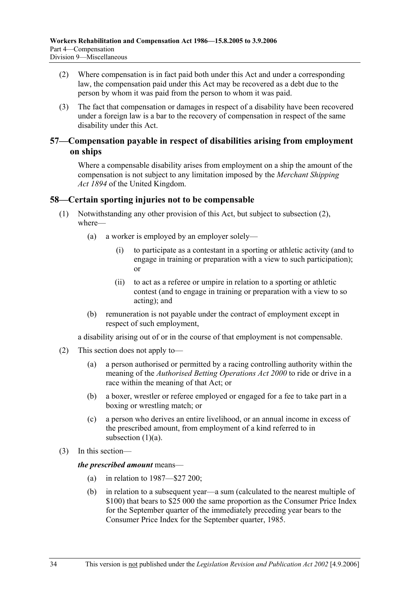- (2) Where compensation is in fact paid both under this Act and under a corresponding law, the compensation paid under this Act may be recovered as a debt due to the person by whom it was paid from the person to whom it was paid.
- (3) The fact that compensation or damages in respect of a disability have been recovered under a foreign law is a bar to the recovery of compensation in respect of the same disability under this Act.

#### **57—Compensation payable in respect of disabilities arising from employment on ships**

Where a compensable disability arises from employment on a ship the amount of the compensation is not subject to any limitation imposed by the *Merchant Shipping Act 1894* of the United Kingdom.

#### **58—Certain sporting injuries not to be compensable**

- (1) Notwithstanding any other provision of this Act, but subject to subsection (2), where—
	- (a) a worker is employed by an employer solely—
		- (i) to participate as a contestant in a sporting or athletic activity (and to engage in training or preparation with a view to such participation); or
		- (ii) to act as a referee or umpire in relation to a sporting or athletic contest (and to engage in training or preparation with a view to so acting); and
	- (b) remuneration is not payable under the contract of employment except in respect of such employment,

a disability arising out of or in the course of that employment is not compensable.

- (2) This section does not apply to—
	- (a) a person authorised or permitted by a racing controlling authority within the meaning of the *Authorised Betting Operations Act 2000* to ride or drive in a race within the meaning of that Act; or
	- (b) a boxer, wrestler or referee employed or engaged for a fee to take part in a boxing or wrestling match; or
	- (c) a person who derives an entire livelihood, or an annual income in excess of the prescribed amount, from employment of a kind referred to in subsection  $(1)(a)$ .
- (3) In this section—

#### *the prescribed amount* means—

- (a) in relation to 1987—\$27 200;
- (b) in relation to a subsequent year—a sum (calculated to the nearest multiple of \$100) that bears to \$25 000 the same proportion as the Consumer Price Index for the September quarter of the immediately preceding year bears to the Consumer Price Index for the September quarter, 1985.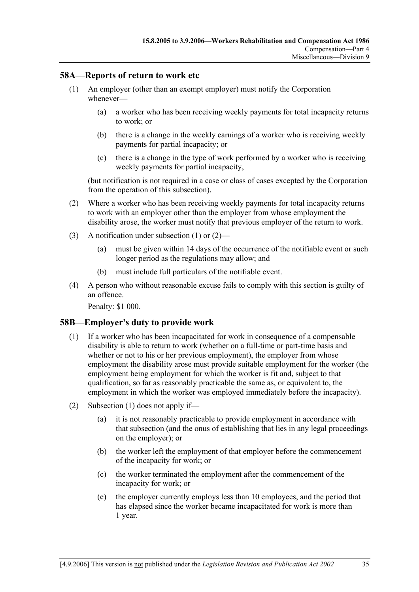#### **58A—Reports of return to work etc**

- (1) An employer (other than an exempt employer) must notify the Corporation whenever—
	- (a) a worker who has been receiving weekly payments for total incapacity returns to work; or
	- (b) there is a change in the weekly earnings of a worker who is receiving weekly payments for partial incapacity; or
	- (c) there is a change in the type of work performed by a worker who is receiving weekly payments for partial incapacity,

(but notification is not required in a case or class of cases excepted by the Corporation from the operation of this subsection).

- (2) Where a worker who has been receiving weekly payments for total incapacity returns to work with an employer other than the employer from whose employment the disability arose, the worker must notify that previous employer of the return to work.
- (3) A notification under subsection (1) or (2)—
	- (a) must be given within 14 days of the occurrence of the notifiable event or such longer period as the regulations may allow; and
	- (b) must include full particulars of the notifiable event.
- (4) A person who without reasonable excuse fails to comply with this section is guilty of an offence.

Penalty: \$1 000.

#### **58B—Employer's duty to provide work**

- (1) If a worker who has been incapacitated for work in consequence of a compensable disability is able to return to work (whether on a full-time or part-time basis and whether or not to his or her previous employment), the employer from whose employment the disability arose must provide suitable employment for the worker (the employment being employment for which the worker is fit and, subject to that qualification, so far as reasonably practicable the same as, or equivalent to, the employment in which the worker was employed immediately before the incapacity).
- (2) Subsection (1) does not apply if—
	- (a) it is not reasonably practicable to provide employment in accordance with that subsection (and the onus of establishing that lies in any legal proceedings on the employer); or
	- (b) the worker left the employment of that employer before the commencement of the incapacity for work; or
	- (c) the worker terminated the employment after the commencement of the incapacity for work; or
	- (e) the employer currently employs less than 10 employees, and the period that has elapsed since the worker became incapacitated for work is more than 1 year.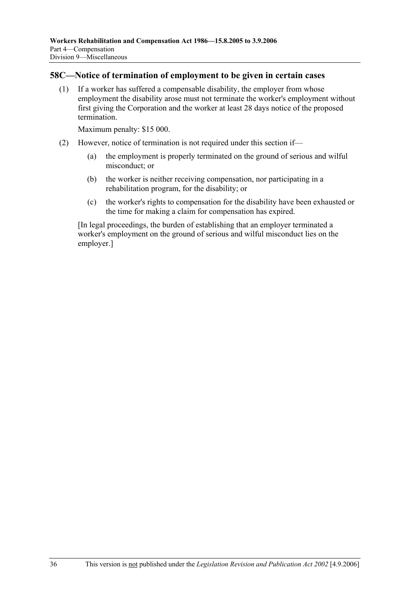#### **58C—Notice of termination of employment to be given in certain cases**

 (1) If a worker has suffered a compensable disability, the employer from whose employment the disability arose must not terminate the worker's employment without first giving the Corporation and the worker at least 28 days notice of the proposed termination.

Maximum penalty: \$15 000.

- (2) However, notice of termination is not required under this section if—
	- (a) the employment is properly terminated on the ground of serious and wilful misconduct; or
	- (b) the worker is neither receiving compensation, nor participating in a rehabilitation program, for the disability; or
	- (c) the worker's rights to compensation for the disability have been exhausted or the time for making a claim for compensation has expired.

[In legal proceedings, the burden of establishing that an employer terminated a worker's employment on the ground of serious and wilful misconduct lies on the employer.]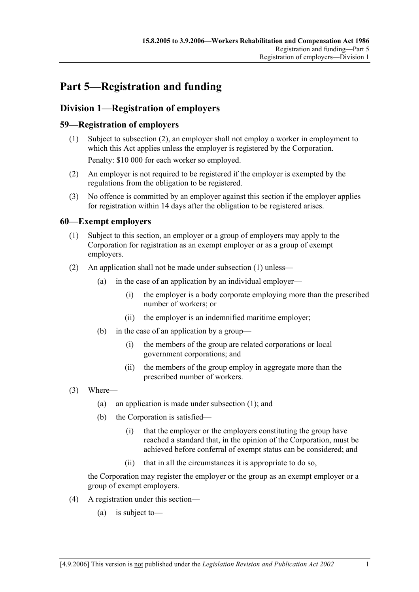# **Part 5—Registration and funding**

# **Division 1—Registration of employers**

## **59—Registration of employers**

- (1) Subject to subsection (2), an employer shall not employ a worker in employment to which this Act applies unless the employer is registered by the Corporation. Penalty: \$10 000 for each worker so employed.
- (2) An employer is not required to be registered if the employer is exempted by the regulations from the obligation to be registered.
- (3) No offence is committed by an employer against this section if the employer applies for registration within 14 days after the obligation to be registered arises.

## **60—Exempt employers**

- (1) Subject to this section, an employer or a group of employers may apply to the Corporation for registration as an exempt employer or as a group of exempt employers.
- (2) An application shall not be made under subsection (1) unless—
	- (a) in the case of an application by an individual employer—
		- (i) the employer is a body corporate employing more than the prescribed number of workers; or
		- (ii) the employer is an indemnified maritime employer;
	- (b) in the case of an application by a group—
		- (i) the members of the group are related corporations or local government corporations; and
		- (ii) the members of the group employ in aggregate more than the prescribed number of workers.
- (3) Where—
	- (a) an application is made under subsection (1); and
	- (b) the Corporation is satisfied—
		- (i) that the employer or the employers constituting the group have reached a standard that, in the opinion of the Corporation, must be achieved before conferral of exempt status can be considered; and
		- (ii) that in all the circumstances it is appropriate to do so,

the Corporation may register the employer or the group as an exempt employer or a group of exempt employers.

- (4) A registration under this section—
	- (a) is subject to—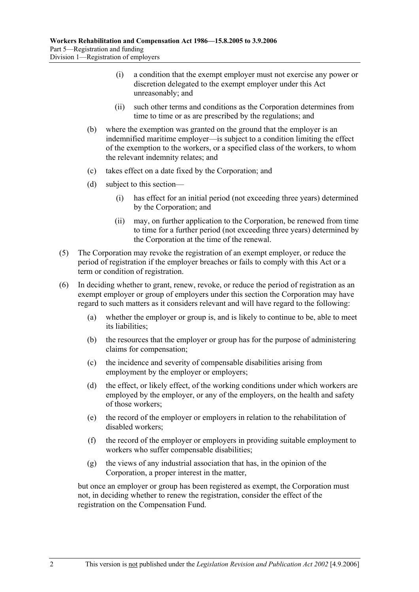- (i) a condition that the exempt employer must not exercise any power or discretion delegated to the exempt employer under this Act unreasonably; and
- (ii) such other terms and conditions as the Corporation determines from time to time or as are prescribed by the regulations; and
- (b) where the exemption was granted on the ground that the employer is an indemnified maritime employer—is subject to a condition limiting the effect of the exemption to the workers, or a specified class of the workers, to whom the relevant indemnity relates; and
- (c) takes effect on a date fixed by the Corporation; and
- (d) subject to this section—
	- (i) has effect for an initial period (not exceeding three years) determined by the Corporation; and
	- (ii) may, on further application to the Corporation, be renewed from time to time for a further period (not exceeding three years) determined by the Corporation at the time of the renewal.
- (5) The Corporation may revoke the registration of an exempt employer, or reduce the period of registration if the employer breaches or fails to comply with this Act or a term or condition of registration.
- (6) In deciding whether to grant, renew, revoke, or reduce the period of registration as an exempt employer or group of employers under this section the Corporation may have regard to such matters as it considers relevant and will have regard to the following:
	- (a) whether the employer or group is, and is likely to continue to be, able to meet its liabilities;
	- (b) the resources that the employer or group has for the purpose of administering claims for compensation;
	- (c) the incidence and severity of compensable disabilities arising from employment by the employer or employers;
	- (d) the effect, or likely effect, of the working conditions under which workers are employed by the employer, or any of the employers, on the health and safety of those workers;
	- (e) the record of the employer or employers in relation to the rehabilitation of disabled workers;
	- (f) the record of the employer or employers in providing suitable employment to workers who suffer compensable disabilities;
	- (g) the views of any industrial association that has, in the opinion of the Corporation, a proper interest in the matter,

but once an employer or group has been registered as exempt, the Corporation must not, in deciding whether to renew the registration, consider the effect of the registration on the Compensation Fund.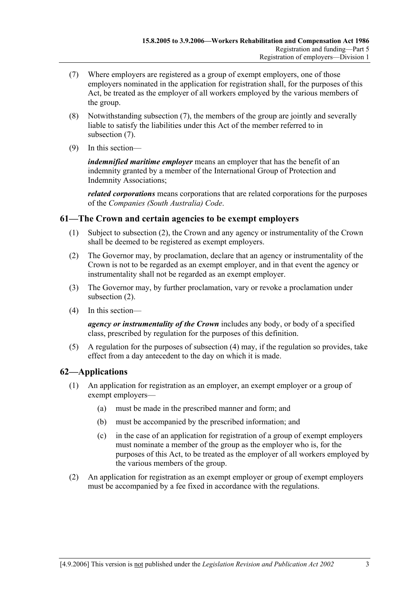- (7) Where employers are registered as a group of exempt employers, one of those employers nominated in the application for registration shall, for the purposes of this Act, be treated as the employer of all workers employed by the various members of the group.
- (8) Notwithstanding subsection (7), the members of the group are jointly and severally liable to satisfy the liabilities under this Act of the member referred to in subsection (7).
- (9) In this section—

*indemnified maritime employer* means an employer that has the benefit of an indemnity granted by a member of the International Group of Protection and Indemnity Associations;

*related corporations* means corporations that are related corporations for the purposes of the *Companies (South Australia) Code*.

#### **61—The Crown and certain agencies to be exempt employers**

- (1) Subject to subsection (2), the Crown and any agency or instrumentality of the Crown shall be deemed to be registered as exempt employers.
- (2) The Governor may, by proclamation, declare that an agency or instrumentality of the Crown is not to be regarded as an exempt employer, and in that event the agency or instrumentality shall not be regarded as an exempt employer.
- (3) The Governor may, by further proclamation, vary or revoke a proclamation under subsection (2).
- (4) In this section—

*agency or instrumentality of the Crown* includes any body, or body of a specified class, prescribed by regulation for the purposes of this definition.

 (5) A regulation for the purposes of subsection (4) may, if the regulation so provides, take effect from a day antecedent to the day on which it is made.

## **62—Applications**

- (1) An application for registration as an employer, an exempt employer or a group of exempt employers—
	- (a) must be made in the prescribed manner and form; and
	- (b) must be accompanied by the prescribed information; and
	- (c) in the case of an application for registration of a group of exempt employers must nominate a member of the group as the employer who is, for the purposes of this Act, to be treated as the employer of all workers employed by the various members of the group.
- (2) An application for registration as an exempt employer or group of exempt employers must be accompanied by a fee fixed in accordance with the regulations.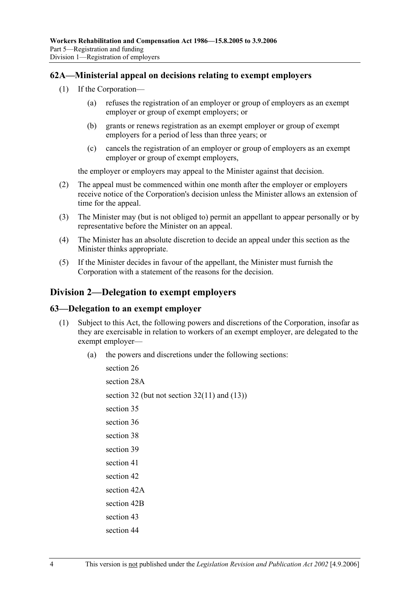#### **62A—Ministerial appeal on decisions relating to exempt employers**

- (1) If the Corporation—
	- (a) refuses the registration of an employer or group of employers as an exempt employer or group of exempt employers; or
	- (b) grants or renews registration as an exempt employer or group of exempt employers for a period of less than three years; or
	- (c) cancels the registration of an employer or group of employers as an exempt employer or group of exempt employers,

the employer or employers may appeal to the Minister against that decision.

- (2) The appeal must be commenced within one month after the employer or employers receive notice of the Corporation's decision unless the Minister allows an extension of time for the appeal.
- (3) The Minister may (but is not obliged to) permit an appellant to appear personally or by representative before the Minister on an appeal.
- (4) The Minister has an absolute discretion to decide an appeal under this section as the Minister thinks appropriate.
- (5) If the Minister decides in favour of the appellant, the Minister must furnish the Corporation with a statement of the reasons for the decision.

## **Division 2—Delegation to exempt employers**

#### **63—Delegation to an exempt employer**

- (1) Subject to this Act, the following powers and discretions of the Corporation, insofar as they are exercisable in relation to workers of an exempt employer, are delegated to the exempt employer—
	- (a) the powers and discretions under the following sections:

section 26 section 28A section 32 (but not section 32(11) and  $(13)$ ) section 35 section 36 section 38 section 39 section 41 section 42 section 42A section 42B section 43 section 44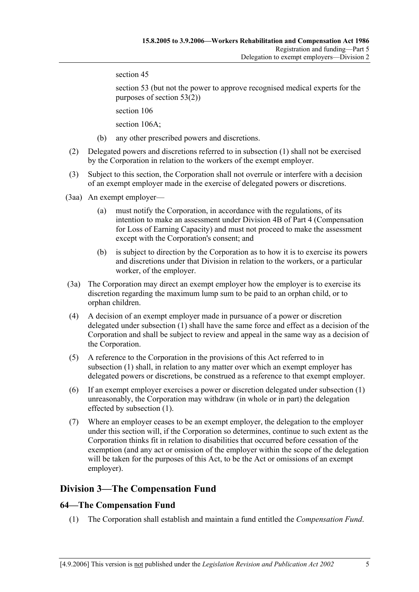section 45

section 53 (but not the power to approve recognised medical experts for the purposes of section 53(2))

section 106

section 106A:

- (b) any other prescribed powers and discretions.
- (2) Delegated powers and discretions referred to in subsection (1) shall not be exercised by the Corporation in relation to the workers of the exempt employer.
- (3) Subject to this section, the Corporation shall not overrule or interfere with a decision of an exempt employer made in the exercise of delegated powers or discretions.
- (3aa) An exempt employer—
	- (a) must notify the Corporation, in accordance with the regulations, of its intention to make an assessment under Division 4B of Part 4 (Compensation for Loss of Earning Capacity) and must not proceed to make the assessment except with the Corporation's consent; and
	- (b) is subject to direction by the Corporation as to how it is to exercise its powers and discretions under that Division in relation to the workers, or a particular worker, of the employer.
- (3a) The Corporation may direct an exempt employer how the employer is to exercise its discretion regarding the maximum lump sum to be paid to an orphan child, or to orphan children.
- (4) A decision of an exempt employer made in pursuance of a power or discretion delegated under subsection (1) shall have the same force and effect as a decision of the Corporation and shall be subject to review and appeal in the same way as a decision of the Corporation.
- (5) A reference to the Corporation in the provisions of this Act referred to in subsection (1) shall, in relation to any matter over which an exempt employer has delegated powers or discretions, be construed as a reference to that exempt employer.
- (6) If an exempt employer exercises a power or discretion delegated under subsection (1) unreasonably, the Corporation may withdraw (in whole or in part) the delegation effected by subsection (1).
- (7) Where an employer ceases to be an exempt employer, the delegation to the employer under this section will, if the Corporation so determines, continue to such extent as the Corporation thinks fit in relation to disabilities that occurred before cessation of the exemption (and any act or omission of the employer within the scope of the delegation will be taken for the purposes of this Act, to be the Act or omissions of an exempt employer).

# **Division 3—The Compensation Fund**

#### **64—The Compensation Fund**

(1) The Corporation shall establish and maintain a fund entitled the *Compensation Fund*.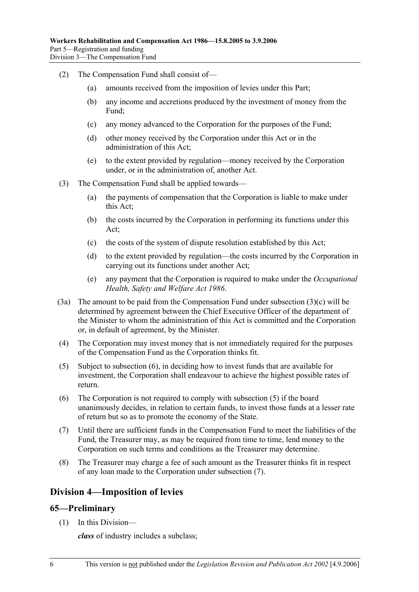- (2) The Compensation Fund shall consist of—
	- (a) amounts received from the imposition of levies under this Part;
	- (b) any income and accretions produced by the investment of money from the Fund;
	- (c) any money advanced to the Corporation for the purposes of the Fund;
	- (d) other money received by the Corporation under this Act or in the administration of this Act;
	- (e) to the extent provided by regulation—money received by the Corporation under, or in the administration of, another Act.
- (3) The Compensation Fund shall be applied towards—
	- (a) the payments of compensation that the Corporation is liable to make under this Act;
	- (b) the costs incurred by the Corporation in performing its functions under this Act;
	- (c) the costs of the system of dispute resolution established by this Act;
	- (d) to the extent provided by regulation—the costs incurred by the Corporation in carrying out its functions under another Act;
	- (e) any payment that the Corporation is required to make under the *Occupational Health, Safety and Welfare Act 1986*.
- (3a) The amount to be paid from the Compensation Fund under subsection (3)(c) will be determined by agreement between the Chief Executive Officer of the department of the Minister to whom the administration of this Act is committed and the Corporation or, in default of agreement, by the Minister.
- (4) The Corporation may invest money that is not immediately required for the purposes of the Compensation Fund as the Corporation thinks fit.
- (5) Subject to subsection (6), in deciding how to invest funds that are available for investment, the Corporation shall endeavour to achieve the highest possible rates of return.
- (6) The Corporation is not required to comply with subsection (5) if the board unanimously decides, in relation to certain funds, to invest those funds at a lesser rate of return but so as to promote the economy of the State.
- (7) Until there are sufficient funds in the Compensation Fund to meet the liabilities of the Fund, the Treasurer may, as may be required from time to time, lend money to the Corporation on such terms and conditions as the Treasurer may determine.
- (8) The Treasurer may charge a fee of such amount as the Treasurer thinks fit in respect of any loan made to the Corporation under subsection (7).

## **Division 4—Imposition of levies**

#### **65—Preliminary**

(1) In this Division—

*class* of industry includes a subclass;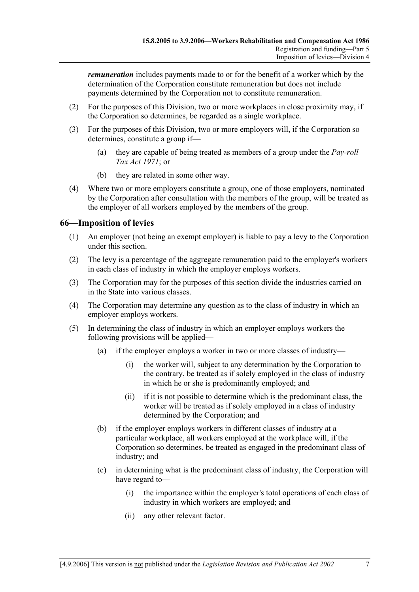*remuneration* includes payments made to or for the benefit of a worker which by the determination of the Corporation constitute remuneration but does not include payments determined by the Corporation not to constitute remuneration.

- (2) For the purposes of this Division, two or more workplaces in close proximity may, if the Corporation so determines, be regarded as a single workplace.
- (3) For the purposes of this Division, two or more employers will, if the Corporation so determines, constitute a group if—
	- (a) they are capable of being treated as members of a group under the *Pay-roll Tax Act 1971*; or
	- (b) they are related in some other way.
- (4) Where two or more employers constitute a group, one of those employers, nominated by the Corporation after consultation with the members of the group, will be treated as the employer of all workers employed by the members of the group.

#### **66—Imposition of levies**

- (1) An employer (not being an exempt employer) is liable to pay a levy to the Corporation under this section.
- (2) The levy is a percentage of the aggregate remuneration paid to the employer's workers in each class of industry in which the employer employs workers.
- (3) The Corporation may for the purposes of this section divide the industries carried on in the State into various classes.
- (4) The Corporation may determine any question as to the class of industry in which an employer employs workers.
- (5) In determining the class of industry in which an employer employs workers the following provisions will be applied—
	- (a) if the employer employs a worker in two or more classes of industry—
		- (i) the worker will, subject to any determination by the Corporation to the contrary, be treated as if solely employed in the class of industry in which he or she is predominantly employed; and
		- (ii) if it is not possible to determine which is the predominant class, the worker will be treated as if solely employed in a class of industry determined by the Corporation; and
	- (b) if the employer employs workers in different classes of industry at a particular workplace, all workers employed at the workplace will, if the Corporation so determines, be treated as engaged in the predominant class of industry; and
	- (c) in determining what is the predominant class of industry, the Corporation will have regard to—
		- (i) the importance within the employer's total operations of each class of industry in which workers are employed; and
		- (ii) any other relevant factor.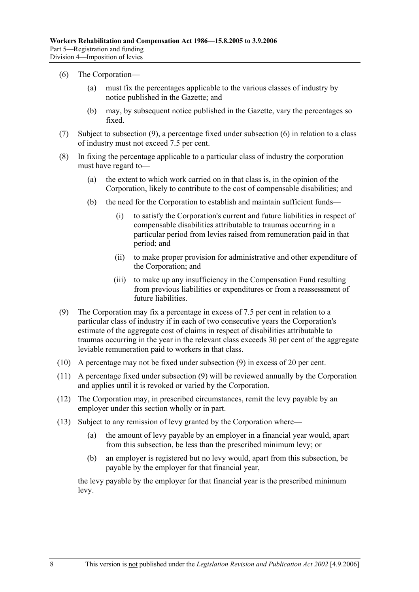#### (6) The Corporation—

- (a) must fix the percentages applicable to the various classes of industry by notice published in the Gazette; and
- (b) may, by subsequent notice published in the Gazette, vary the percentages so fixed.
- (7) Subject to subsection (9), a percentage fixed under subsection (6) in relation to a class of industry must not exceed 7.5 per cent.
- (8) In fixing the percentage applicable to a particular class of industry the corporation must have regard to—
	- (a) the extent to which work carried on in that class is, in the opinion of the Corporation, likely to contribute to the cost of compensable disabilities; and
	- (b) the need for the Corporation to establish and maintain sufficient funds—
		- (i) to satisfy the Corporation's current and future liabilities in respect of compensable disabilities attributable to traumas occurring in a particular period from levies raised from remuneration paid in that period; and
		- (ii) to make proper provision for administrative and other expenditure of the Corporation; and
		- (iii) to make up any insufficiency in the Compensation Fund resulting from previous liabilities or expenditures or from a reassessment of future liabilities.
- (9) The Corporation may fix a percentage in excess of 7.5 per cent in relation to a particular class of industry if in each of two consecutive years the Corporation's estimate of the aggregate cost of claims in respect of disabilities attributable to traumas occurring in the year in the relevant class exceeds 30 per cent of the aggregate leviable remuneration paid to workers in that class.
- (10) A percentage may not be fixed under subsection (9) in excess of 20 per cent.
- (11) A percentage fixed under subsection (9) will be reviewed annually by the Corporation and applies until it is revoked or varied by the Corporation.
- (12) The Corporation may, in prescribed circumstances, remit the levy payable by an employer under this section wholly or in part.
- (13) Subject to any remission of levy granted by the Corporation where—
	- (a) the amount of levy payable by an employer in a financial year would, apart from this subsection, be less than the prescribed minimum levy; or
	- (b) an employer is registered but no levy would, apart from this subsection, be payable by the employer for that financial year,

the levy payable by the employer for that financial year is the prescribed minimum levy.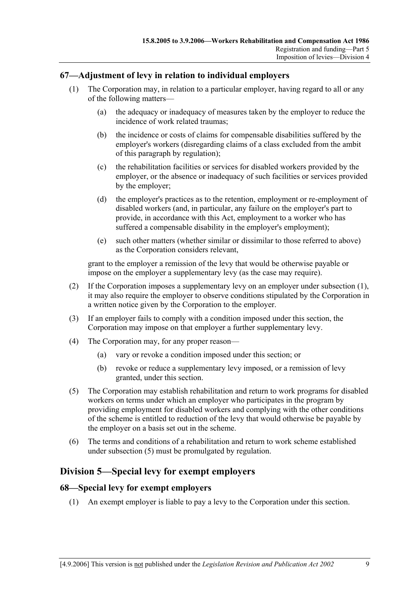#### **67—Adjustment of levy in relation to individual employers**

- (1) The Corporation may, in relation to a particular employer, having regard to all or any of the following matters—
	- (a) the adequacy or inadequacy of measures taken by the employer to reduce the incidence of work related traumas;
	- (b) the incidence or costs of claims for compensable disabilities suffered by the employer's workers (disregarding claims of a class excluded from the ambit of this paragraph by regulation);
	- (c) the rehabilitation facilities or services for disabled workers provided by the employer, or the absence or inadequacy of such facilities or services provided by the employer;
	- (d) the employer's practices as to the retention, employment or re-employment of disabled workers (and, in particular, any failure on the employer's part to provide, in accordance with this Act, employment to a worker who has suffered a compensable disability in the employer's employment);
	- (e) such other matters (whether similar or dissimilar to those referred to above) as the Corporation considers relevant,

grant to the employer a remission of the levy that would be otherwise payable or impose on the employer a supplementary levy (as the case may require).

- (2) If the Corporation imposes a supplementary levy on an employer under subsection (1), it may also require the employer to observe conditions stipulated by the Corporation in a written notice given by the Corporation to the employer.
- (3) If an employer fails to comply with a condition imposed under this section, the Corporation may impose on that employer a further supplementary levy.
- (4) The Corporation may, for any proper reason—
	- (a) vary or revoke a condition imposed under this section; or
	- (b) revoke or reduce a supplementary levy imposed, or a remission of levy granted, under this section.
- (5) The Corporation may establish rehabilitation and return to work programs for disabled workers on terms under which an employer who participates in the program by providing employment for disabled workers and complying with the other conditions of the scheme is entitled to reduction of the levy that would otherwise be payable by the employer on a basis set out in the scheme.
- (6) The terms and conditions of a rehabilitation and return to work scheme established under subsection (5) must be promulgated by regulation.

## **Division 5—Special levy for exempt employers**

#### **68—Special levy for exempt employers**

(1) An exempt employer is liable to pay a levy to the Corporation under this section.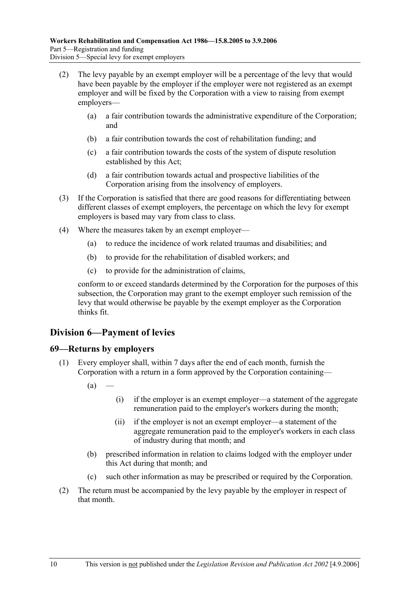- (2) The levy payable by an exempt employer will be a percentage of the levy that would have been payable by the employer if the employer were not registered as an exempt employer and will be fixed by the Corporation with a view to raising from exempt employers—
	- (a) a fair contribution towards the administrative expenditure of the Corporation; and
	- (b) a fair contribution towards the cost of rehabilitation funding; and
	- (c) a fair contribution towards the costs of the system of dispute resolution established by this Act;
	- (d) a fair contribution towards actual and prospective liabilities of the Corporation arising from the insolvency of employers.
- (3) If the Corporation is satisfied that there are good reasons for differentiating between different classes of exempt employers, the percentage on which the levy for exempt employers is based may vary from class to class.
- (4) Where the measures taken by an exempt employer—
	- (a) to reduce the incidence of work related traumas and disabilities; and
	- (b) to provide for the rehabilitation of disabled workers; and
	- (c) to provide for the administration of claims,

conform to or exceed standards determined by the Corporation for the purposes of this subsection, the Corporation may grant to the exempt employer such remission of the levy that would otherwise be payable by the exempt employer as the Corporation thinks fit.

# **Division 6—Payment of levies**

#### **69—Returns by employers**

- (1) Every employer shall, within 7 days after the end of each month, furnish the Corporation with a return in a form approved by the Corporation containing—
	- $(a)$  –
- (i) if the employer is an exempt employer—a statement of the aggregate remuneration paid to the employer's workers during the month;
- (ii) if the employer is not an exempt employer—a statement of the aggregate remuneration paid to the employer's workers in each class of industry during that month; and
- (b) prescribed information in relation to claims lodged with the employer under this Act during that month; and
- (c) such other information as may be prescribed or required by the Corporation.
- (2) The return must be accompanied by the levy payable by the employer in respect of that month.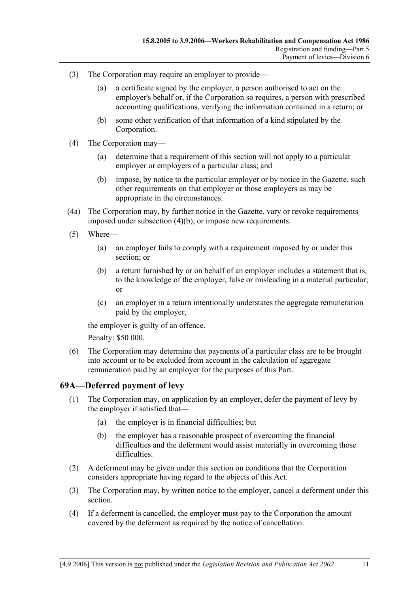- (3) The Corporation may require an employer to provide—
	- (a) a certificate signed by the employer, a person authorised to act on the employer's behalf or, if the Corporation so requires, a person with prescribed accounting qualifications, verifying the information contained in a return; or
	- (b) some other verification of that information of a kind stipulated by the Corporation.
- (4) The Corporation may—
	- (a) determine that a requirement of this section will not apply to a particular employer or employers of a particular class; and
	- (b) impose, by notice to the particular employer or by notice in the Gazette, such other requirements on that employer or those employers as may be appropriate in the circumstances.
- (4a) The Corporation may, by further notice in the Gazette, vary or revoke requirements imposed under subsection (4)(b), or impose new requirements.
- (5) Where—
	- (a) an employer fails to comply with a requirement imposed by or under this section; or
	- (b) a return furnished by or on behalf of an employer includes a statement that is, to the knowledge of the employer, false or misleading in a material particular; or
	- (c) an employer in a return intentionally understates the aggregate remuneration paid by the employer,

the employer is guilty of an offence.

Penalty: \$50 000.

 (6) The Corporation may determine that payments of a particular class are to be brought into account or to be excluded from account in the calculation of aggregate remuneration paid by an employer for the purposes of this Part.

#### **69A—Deferred payment of levy**

- (1) The Corporation may, on application by an employer, defer the payment of levy by the employer if satisfied that—
	- (a) the employer is in financial difficulties; but
	- (b) the employer has a reasonable prospect of overcoming the financial difficulties and the deferment would assist materially in overcoming those difficulties.
- (2) A deferment may be given under this section on conditions that the Corporation considers appropriate having regard to the objects of this Act.
- (3) The Corporation may, by written notice to the employer, cancel a deferment under this section.
- (4) If a deferment is cancelled, the employer must pay to the Corporation the amount covered by the deferment as required by the notice of cancellation.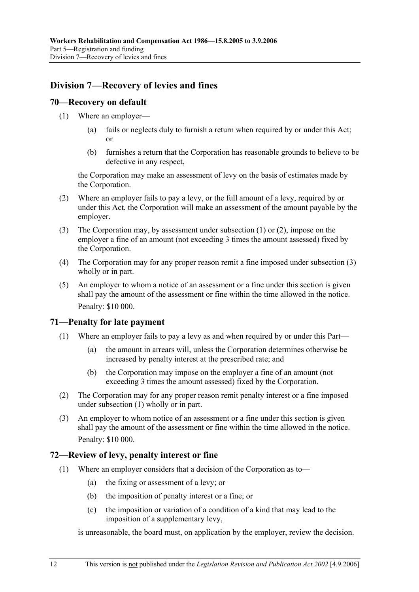# **Division 7—Recovery of levies and fines**

#### **70—Recovery on default**

- (1) Where an employer—
	- (a) fails or neglects duly to furnish a return when required by or under this Act; or
	- (b) furnishes a return that the Corporation has reasonable grounds to believe to be defective in any respect,

the Corporation may make an assessment of levy on the basis of estimates made by the Corporation.

- (2) Where an employer fails to pay a levy, or the full amount of a levy, required by or under this Act, the Corporation will make an assessment of the amount payable by the employer.
- (3) The Corporation may, by assessment under subsection (1) or (2), impose on the employer a fine of an amount (not exceeding 3 times the amount assessed) fixed by the Corporation.
- (4) The Corporation may for any proper reason remit a fine imposed under subsection (3) wholly or in part.
- (5) An employer to whom a notice of an assessment or a fine under this section is given shall pay the amount of the assessment or fine within the time allowed in the notice. Penalty: \$10 000.

#### **71—Penalty for late payment**

- (1) Where an employer fails to pay a levy as and when required by or under this Part—
	- (a) the amount in arrears will, unless the Corporation determines otherwise be increased by penalty interest at the prescribed rate; and
	- (b) the Corporation may impose on the employer a fine of an amount (not exceeding 3 times the amount assessed) fixed by the Corporation.
- (2) The Corporation may for any proper reason remit penalty interest or a fine imposed under subsection (1) wholly or in part.
- (3) An employer to whom notice of an assessment or a fine under this section is given shall pay the amount of the assessment or fine within the time allowed in the notice. Penalty: \$10 000.

#### **72—Review of levy, penalty interest or fine**

- (1) Where an employer considers that a decision of the Corporation as to—
	- (a) the fixing or assessment of a levy; or
	- (b) the imposition of penalty interest or a fine; or
	- (c) the imposition or variation of a condition of a kind that may lead to the imposition of a supplementary levy,

is unreasonable, the board must, on application by the employer, review the decision.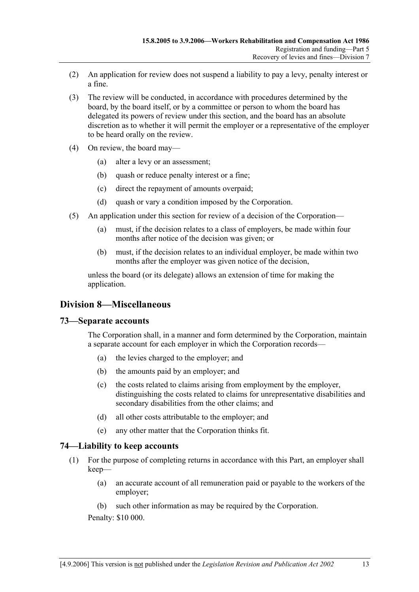- (2) An application for review does not suspend a liability to pay a levy, penalty interest or a fine.
- (3) The review will be conducted, in accordance with procedures determined by the board, by the board itself, or by a committee or person to whom the board has delegated its powers of review under this section, and the board has an absolute discretion as to whether it will permit the employer or a representative of the employer to be heard orally on the review.
- (4) On review, the board may—
	- (a) alter a levy or an assessment;
	- (b) quash or reduce penalty interest or a fine;
	- (c) direct the repayment of amounts overpaid;
	- (d) quash or vary a condition imposed by the Corporation.
- (5) An application under this section for review of a decision of the Corporation—
	- (a) must, if the decision relates to a class of employers, be made within four months after notice of the decision was given; or
	- (b) must, if the decision relates to an individual employer, be made within two months after the employer was given notice of the decision,

unless the board (or its delegate) allows an extension of time for making the application.

# **Division 8—Miscellaneous**

#### **73—Separate accounts**

The Corporation shall, in a manner and form determined by the Corporation, maintain a separate account for each employer in which the Corporation records—

- (a) the levies charged to the employer; and
- (b) the amounts paid by an employer; and
- (c) the costs related to claims arising from employment by the employer, distinguishing the costs related to claims for unrepresentative disabilities and secondary disabilities from the other claims; and
- (d) all other costs attributable to the employer; and
- (e) any other matter that the Corporation thinks fit.

#### **74—Liability to keep accounts**

- (1) For the purpose of completing returns in accordance with this Part, an employer shall keep—
	- (a) an accurate account of all remuneration paid or payable to the workers of the employer;
	- (b) such other information as may be required by the Corporation.

Penalty: \$10 000.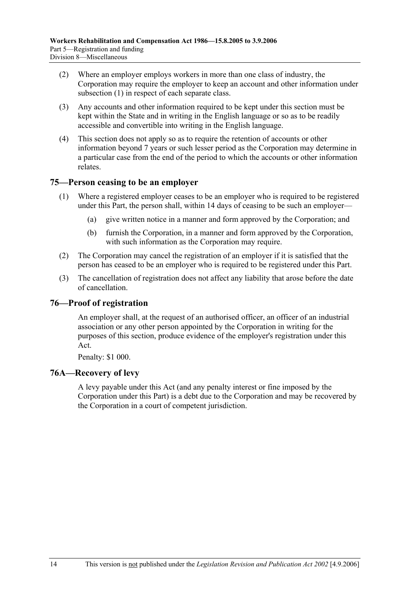- (2) Where an employer employs workers in more than one class of industry, the Corporation may require the employer to keep an account and other information under subsection (1) in respect of each separate class.
- (3) Any accounts and other information required to be kept under this section must be kept within the State and in writing in the English language or so as to be readily accessible and convertible into writing in the English language.
- (4) This section does not apply so as to require the retention of accounts or other information beyond 7 years or such lesser period as the Corporation may determine in a particular case from the end of the period to which the accounts or other information relates.

### **75—Person ceasing to be an employer**

- (1) Where a registered employer ceases to be an employer who is required to be registered under this Part, the person shall, within 14 days of ceasing to be such an employer—
	- (a) give written notice in a manner and form approved by the Corporation; and
	- (b) furnish the Corporation, in a manner and form approved by the Corporation, with such information as the Corporation may require.
- (2) The Corporation may cancel the registration of an employer if it is satisfied that the person has ceased to be an employer who is required to be registered under this Part.
- (3) The cancellation of registration does not affect any liability that arose before the date of cancellation.

# **76—Proof of registration**

An employer shall, at the request of an authorised officer, an officer of an industrial association or any other person appointed by the Corporation in writing for the purposes of this section, produce evidence of the employer's registration under this Act.

Penalty: \$1 000.

# **76A—Recovery of levy**

A levy payable under this Act (and any penalty interest or fine imposed by the Corporation under this Part) is a debt due to the Corporation and may be recovered by the Corporation in a court of competent jurisdiction.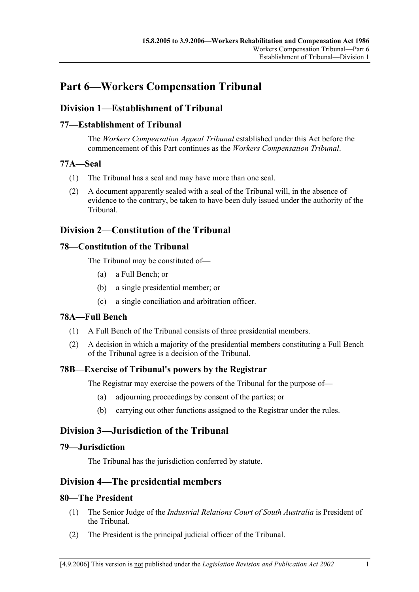# **Part 6—Workers Compensation Tribunal**

# **Division 1—Establishment of Tribunal**

# **77—Establishment of Tribunal**

The *Workers Compensation Appeal Tribunal* established under this Act before the commencement of this Part continues as the *Workers Compensation Tribunal*.

### **77A—Seal**

- (1) The Tribunal has a seal and may have more than one seal.
- (2) A document apparently sealed with a seal of the Tribunal will, in the absence of evidence to the contrary, be taken to have been duly issued under the authority of the Tribunal.

# **Division 2—Constitution of the Tribunal**

# **78—Constitution of the Tribunal**

The Tribunal may be constituted of—

- (a) a Full Bench; or
- (b) a single presidential member; or
- (c) a single conciliation and arbitration officer.

# **78A—Full Bench**

- (1) A Full Bench of the Tribunal consists of three presidential members.
- (2) A decision in which a majority of the presidential members constituting a Full Bench of the Tribunal agree is a decision of the Tribunal.

# **78B—Exercise of Tribunal's powers by the Registrar**

The Registrar may exercise the powers of the Tribunal for the purpose of—

- (a) adjourning proceedings by consent of the parties; or
- (b) carrying out other functions assigned to the Registrar under the rules.

# **Division 3—Jurisdiction of the Tribunal**

#### **79—Jurisdiction**

The Tribunal has the jurisdiction conferred by statute.

# **Division 4—The presidential members**

#### **80—The President**

- (1) The Senior Judge of the *Industrial Relations Court of South Australia* is President of the Tribunal.
- (2) The President is the principal judicial officer of the Tribunal.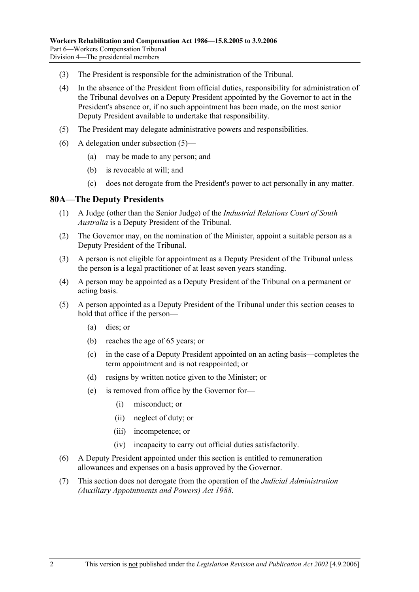- (3) The President is responsible for the administration of the Tribunal.
- (4) In the absence of the President from official duties, responsibility for administration of the Tribunal devolves on a Deputy President appointed by the Governor to act in the President's absence or, if no such appointment has been made, on the most senior Deputy President available to undertake that responsibility.
- (5) The President may delegate administrative powers and responsibilities.
- (6) A delegation under subsection (5)—
	- (a) may be made to any person; and
	- (b) is revocable at will; and
	- (c) does not derogate from the President's power to act personally in any matter.

#### **80A—The Deputy Presidents**

- (1) A Judge (other than the Senior Judge) of the *Industrial Relations Court of South Australia* is a Deputy President of the Tribunal.
- (2) The Governor may, on the nomination of the Minister, appoint a suitable person as a Deputy President of the Tribunal.
- (3) A person is not eligible for appointment as a Deputy President of the Tribunal unless the person is a legal practitioner of at least seven years standing.
- (4) A person may be appointed as a Deputy President of the Tribunal on a permanent or acting basis.
- (5) A person appointed as a Deputy President of the Tribunal under this section ceases to hold that office if the person—
	- (a) dies; or
	- (b) reaches the age of 65 years; or
	- (c) in the case of a Deputy President appointed on an acting basis—completes the term appointment and is not reappointed; or
	- (d) resigns by written notice given to the Minister; or
	- (e) is removed from office by the Governor for—
		- (i) misconduct; or
		- (ii) neglect of duty; or
		- (iii) incompetence; or
		- (iv) incapacity to carry out official duties satisfactorily.
- (6) A Deputy President appointed under this section is entitled to remuneration allowances and expenses on a basis approved by the Governor.
- (7) This section does not derogate from the operation of the *Judicial Administration (Auxiliary Appointments and Powers) Act 1988*.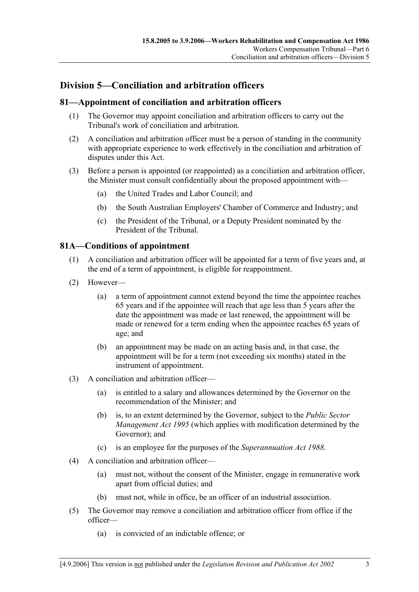# **Division 5—Conciliation and arbitration officers**

### **81—Appointment of conciliation and arbitration officers**

- (1) The Governor may appoint conciliation and arbitration officers to carry out the Tribunal's work of conciliation and arbitration.
- (2) A conciliation and arbitration officer must be a person of standing in the community with appropriate experience to work effectively in the conciliation and arbitration of disputes under this Act.
- (3) Before a person is appointed (or reappointed) as a conciliation and arbitration officer, the Minister must consult confidentially about the proposed appointment with—
	- (a) the United Trades and Labor Council; and
	- (b) the South Australian Employers' Chamber of Commerce and Industry; and
	- (c) the President of the Tribunal, or a Deputy President nominated by the President of the Tribunal.

### **81A—Conditions of appointment**

- (1) A conciliation and arbitration officer will be appointed for a term of five years and, at the end of a term of appointment, is eligible for reappointment.
- (2) However—
	- (a) a term of appointment cannot extend beyond the time the appointee reaches 65 years and if the appointee will reach that age less than 5 years after the date the appointment was made or last renewed, the appointment will be made or renewed for a term ending when the appointee reaches 65 years of age; and
	- (b) an appointment may be made on an acting basis and, in that case, the appointment will be for a term (not exceeding six months) stated in the instrument of appointment.
- (3) A conciliation and arbitration officer—
	- (a) is entitled to a salary and allowances determined by the Governor on the recommendation of the Minister; and
	- (b) is, to an extent determined by the Governor, subject to the *Public Sector Management Act 1995* (which applies with modification determined by the Governor); and
	- (c) is an employee for the purposes of the *Superannuation Act 1988*.
- (4) A conciliation and arbitration officer—
	- (a) must not, without the consent of the Minister, engage in remunerative work apart from official duties; and
	- (b) must not, while in office, be an officer of an industrial association.
- (5) The Governor may remove a conciliation and arbitration officer from office if the officer—
	- (a) is convicted of an indictable offence; or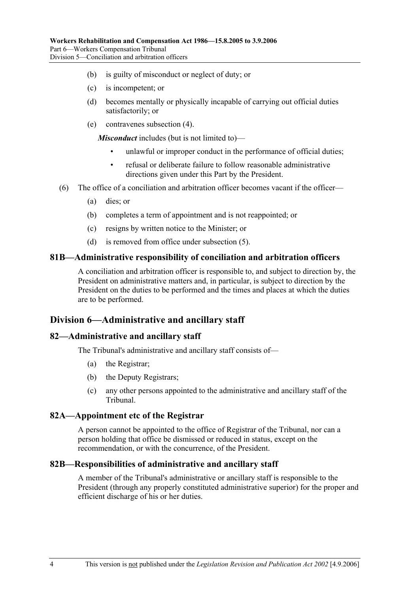- (b) is guilty of misconduct or neglect of duty; or
- (c) is incompetent; or
- (d) becomes mentally or physically incapable of carrying out official duties satisfactorily; or
- (e) contravenes subsection (4).

*Misconduct* includes (but is not limited to)—

- unlawful or improper conduct in the performance of official duties;
- refusal or deliberate failure to follow reasonable administrative directions given under this Part by the President.
- (6) The office of a conciliation and arbitration officer becomes vacant if the officer—
	- (a) dies; or
	- (b) completes a term of appointment and is not reappointed; or
	- (c) resigns by written notice to the Minister; or
	- (d) is removed from office under subsection (5).

#### **81B—Administrative responsibility of conciliation and arbitration officers**

A conciliation and arbitration officer is responsible to, and subject to direction by, the President on administrative matters and, in particular, is subject to direction by the President on the duties to be performed and the times and places at which the duties are to be performed.

## **Division 6—Administrative and ancillary staff**

#### **82—Administrative and ancillary staff**

The Tribunal's administrative and ancillary staff consists of—

- (a) the Registrar;
- (b) the Deputy Registrars;
- (c) any other persons appointed to the administrative and ancillary staff of the Tribunal.

### **82A—Appointment etc of the Registrar**

A person cannot be appointed to the office of Registrar of the Tribunal, nor can a person holding that office be dismissed or reduced in status, except on the recommendation, or with the concurrence, of the President.

#### **82B—Responsibilities of administrative and ancillary staff**

A member of the Tribunal's administrative or ancillary staff is responsible to the President (through any properly constituted administrative superior) for the proper and efficient discharge of his or her duties.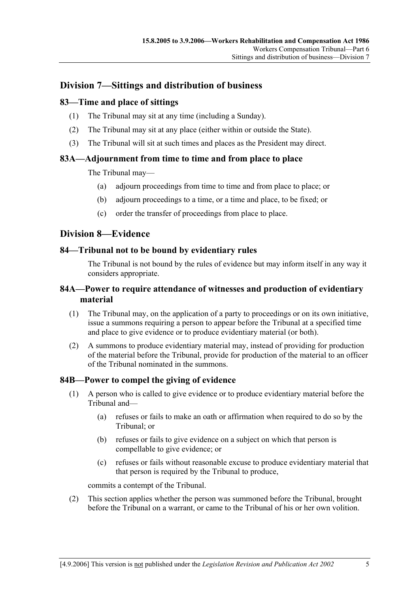# **Division 7—Sittings and distribution of business**

## **83—Time and place of sittings**

- (1) The Tribunal may sit at any time (including a Sunday).
- (2) The Tribunal may sit at any place (either within or outside the State).
- (3) The Tribunal will sit at such times and places as the President may direct.

### **83A—Adjournment from time to time and from place to place**

The Tribunal may—

- (a) adjourn proceedings from time to time and from place to place; or
- (b) adjourn proceedings to a time, or a time and place, to be fixed; or
- (c) order the transfer of proceedings from place to place.

# **Division 8—Evidence**

### **84—Tribunal not to be bound by evidentiary rules**

The Tribunal is not bound by the rules of evidence but may inform itself in any way it considers appropriate.

## **84A—Power to require attendance of witnesses and production of evidentiary material**

- (1) The Tribunal may, on the application of a party to proceedings or on its own initiative, issue a summons requiring a person to appear before the Tribunal at a specified time and place to give evidence or to produce evidentiary material (or both).
- (2) A summons to produce evidentiary material may, instead of providing for production of the material before the Tribunal, provide for production of the material to an officer of the Tribunal nominated in the summons.

# **84B—Power to compel the giving of evidence**

- (1) A person who is called to give evidence or to produce evidentiary material before the Tribunal and—
	- (a) refuses or fails to make an oath or affirmation when required to do so by the Tribunal; or
	- (b) refuses or fails to give evidence on a subject on which that person is compellable to give evidence; or
	- (c) refuses or fails without reasonable excuse to produce evidentiary material that that person is required by the Tribunal to produce,

commits a contempt of the Tribunal.

 (2) This section applies whether the person was summoned before the Tribunal, brought before the Tribunal on a warrant, or came to the Tribunal of his or her own volition.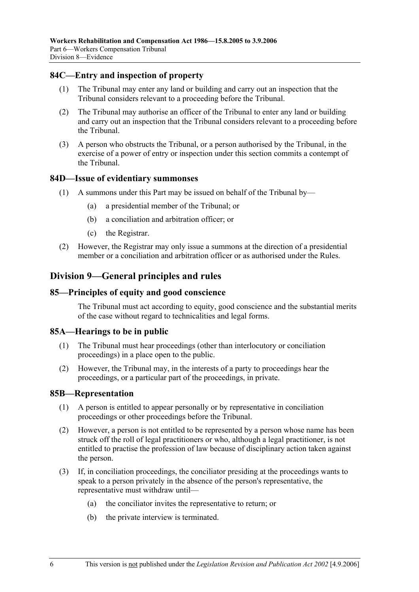#### **84C—Entry and inspection of property**

- (1) The Tribunal may enter any land or building and carry out an inspection that the Tribunal considers relevant to a proceeding before the Tribunal.
- (2) The Tribunal may authorise an officer of the Tribunal to enter any land or building and carry out an inspection that the Tribunal considers relevant to a proceeding before the Tribunal.
- (3) A person who obstructs the Tribunal, or a person authorised by the Tribunal, in the exercise of a power of entry or inspection under this section commits a contempt of the Tribunal.

#### **84D—Issue of evidentiary summonses**

- (1) A summons under this Part may be issued on behalf of the Tribunal by—
	- (a) a presidential member of the Tribunal; or
	- (b) a conciliation and arbitration officer; or
	- (c) the Registrar.
- (2) However, the Registrar may only issue a summons at the direction of a presidential member or a conciliation and arbitration officer or as authorised under the Rules.

# **Division 9—General principles and rules**

#### **85—Principles of equity and good conscience**

The Tribunal must act according to equity, good conscience and the substantial merits of the case without regard to technicalities and legal forms.

#### **85A—Hearings to be in public**

- (1) The Tribunal must hear proceedings (other than interlocutory or conciliation proceedings) in a place open to the public.
- (2) However, the Tribunal may, in the interests of a party to proceedings hear the proceedings, or a particular part of the proceedings, in private.

#### **85B—Representation**

- (1) A person is entitled to appear personally or by representative in conciliation proceedings or other proceedings before the Tribunal.
- (2) However, a person is not entitled to be represented by a person whose name has been struck off the roll of legal practitioners or who, although a legal practitioner, is not entitled to practise the profession of law because of disciplinary action taken against the person.
- (3) If, in conciliation proceedings, the conciliator presiding at the proceedings wants to speak to a person privately in the absence of the person's representative, the representative must withdraw until—
	- (a) the conciliator invites the representative to return; or
	- (b) the private interview is terminated.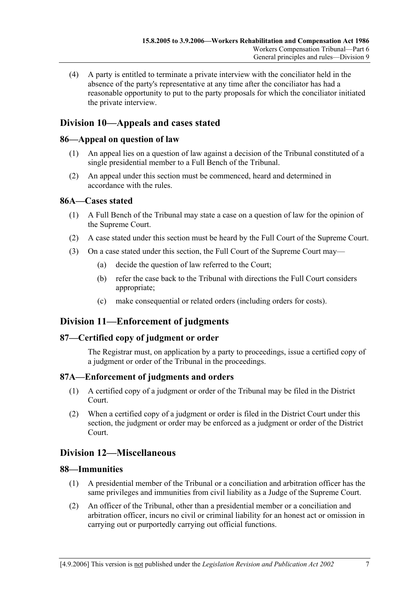(4) A party is entitled to terminate a private interview with the conciliator held in the absence of the party's representative at any time after the conciliator has had a reasonable opportunity to put to the party proposals for which the conciliator initiated the private interview.

# **Division 10—Appeals and cases stated**

## **86—Appeal on question of law**

- (1) An appeal lies on a question of law against a decision of the Tribunal constituted of a single presidential member to a Full Bench of the Tribunal.
- (2) An appeal under this section must be commenced, heard and determined in accordance with the rules.

### **86A—Cases stated**

- (1) A Full Bench of the Tribunal may state a case on a question of law for the opinion of the Supreme Court.
- (2) A case stated under this section must be heard by the Full Court of the Supreme Court.
- (3) On a case stated under this section, the Full Court of the Supreme Court may—
	- (a) decide the question of law referred to the Court;
	- (b) refer the case back to the Tribunal with directions the Full Court considers appropriate;
	- (c) make consequential or related orders (including orders for costs).

# **Division 11—Enforcement of judgments**

#### **87—Certified copy of judgment or order**

The Registrar must, on application by a party to proceedings, issue a certified copy of a judgment or order of the Tribunal in the proceedings.

# **87A—Enforcement of judgments and orders**

- (1) A certified copy of a judgment or order of the Tribunal may be filed in the District Court.
- (2) When a certified copy of a judgment or order is filed in the District Court under this section, the judgment or order may be enforced as a judgment or order of the District Court.

# **Division 12—Miscellaneous**

#### **88—Immunities**

- (1) A presidential member of the Tribunal or a conciliation and arbitration officer has the same privileges and immunities from civil liability as a Judge of the Supreme Court.
- (2) An officer of the Tribunal, other than a presidential member or a conciliation and arbitration officer, incurs no civil or criminal liability for an honest act or omission in carrying out or purportedly carrying out official functions.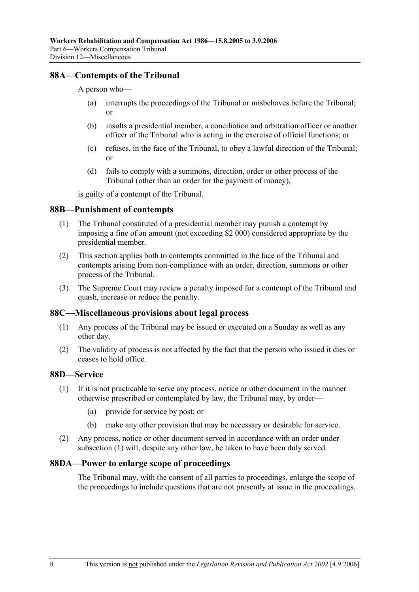#### **88A—Contempts of the Tribunal**

#### A person who—

- (a) interrupts the proceedings of the Tribunal or misbehaves before the Tribunal; or
- (b) insults a presidential member, a conciliation and arbitration officer or another officer of the Tribunal who is acting in the exercise of official functions; or
- (c) refuses, in the face of the Tribunal, to obey a lawful direction of the Tribunal; or
- (d) fails to comply with a summons, direction, order or other process of the Tribunal (other than an order for the payment of money),

is guilty of a contempt of the Tribunal.

#### **88B—Punishment of contempts**

- (1) The Tribunal constituted of a presidential member may punish a contempt by imposing a fine of an amount (not exceeding \$2 000) considered appropriate by the presidential member.
- (2) This section applies both to contempts committed in the face of the Tribunal and contempts arising from non-compliance with an order, direction, summons or other process of the Tribunal.
- (3) The Supreme Court may review a penalty imposed for a contempt of the Tribunal and quash, increase or reduce the penalty.

#### **88C—Miscellaneous provisions about legal process**

- (1) Any process of the Tribunal may be issued or executed on a Sunday as well as any other day.
- (2) The validity of process is not affected by the fact that the person who issued it dies or ceases to hold office.

#### **88D—Service**

- (1) If it is not practicable to serve any process, notice or other document in the manner otherwise prescribed or contemplated by law, the Tribunal may, by order—
	- (a) provide for service by post; or
	- (b) make any other provision that may be necessary or desirable for service.
- (2) Any process, notice or other document served in accordance with an order under subsection (1) will, despite any other law, be taken to have been duly served.

#### **88DA—Power to enlarge scope of proceedings**

The Tribunal may, with the consent of all parties to proceedings, enlarge the scope of the proceedings to include questions that are not presently at issue in the proceedings.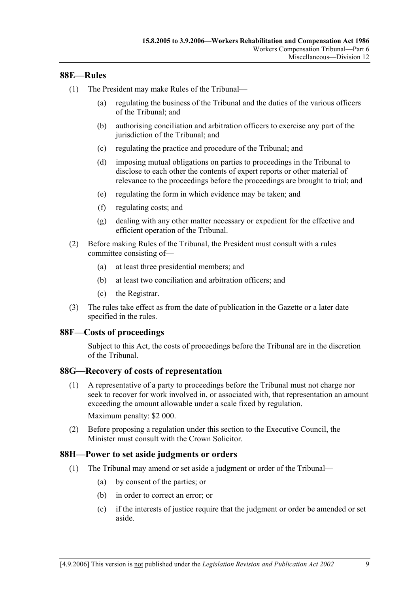#### **88E—Rules**

- (1) The President may make Rules of the Tribunal—
	- (a) regulating the business of the Tribunal and the duties of the various officers of the Tribunal; and
	- (b) authorising conciliation and arbitration officers to exercise any part of the jurisdiction of the Tribunal; and
	- (c) regulating the practice and procedure of the Tribunal; and
	- (d) imposing mutual obligations on parties to proceedings in the Tribunal to disclose to each other the contents of expert reports or other material of relevance to the proceedings before the proceedings are brought to trial; and
	- (e) regulating the form in which evidence may be taken; and
	- (f) regulating costs; and
	- (g) dealing with any other matter necessary or expedient for the effective and efficient operation of the Tribunal.
- (2) Before making Rules of the Tribunal, the President must consult with a rules committee consisting of—
	- (a) at least three presidential members; and
	- (b) at least two conciliation and arbitration officers; and
	- (c) the Registrar.
- (3) The rules take effect as from the date of publication in the Gazette or a later date specified in the rules.

#### **88F—Costs of proceedings**

Subject to this Act, the costs of proceedings before the Tribunal are in the discretion of the Tribunal.

#### **88G—Recovery of costs of representation**

 (1) A representative of a party to proceedings before the Tribunal must not charge nor seek to recover for work involved in, or associated with, that representation an amount exceeding the amount allowable under a scale fixed by regulation.

Maximum penalty: \$2 000.

 (2) Before proposing a regulation under this section to the Executive Council, the Minister must consult with the Crown Solicitor.

#### **88H—Power to set aside judgments or orders**

- (1) The Tribunal may amend or set aside a judgment or order of the Tribunal—
	- (a) by consent of the parties; or
	- (b) in order to correct an error; or
	- (c) if the interests of justice require that the judgment or order be amended or set aside.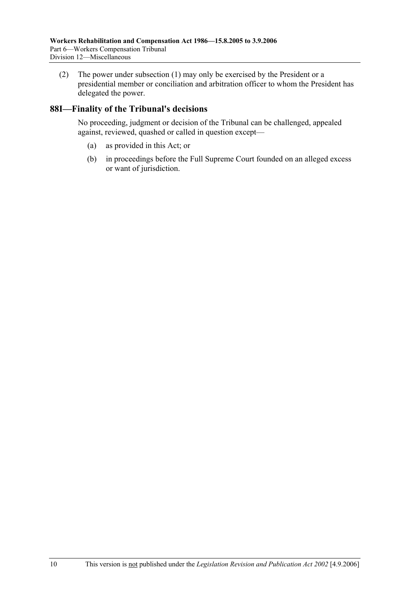(2) The power under subsection (1) may only be exercised by the President or a presidential member or conciliation and arbitration officer to whom the President has delegated the power.

### **88I—Finality of the Tribunal's decisions**

No proceeding, judgment or decision of the Tribunal can be challenged, appealed against, reviewed, quashed or called in question except—

- (a) as provided in this Act; or
- (b) in proceedings before the Full Supreme Court founded on an alleged excess or want of jurisdiction.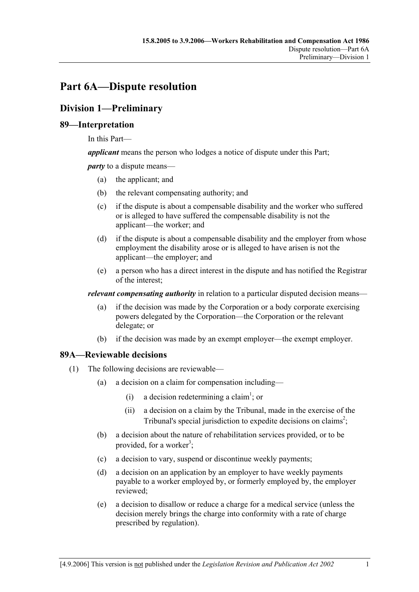# **Part 6A—Dispute resolution**

# **Division 1—Preliminary**

# **89—Interpretation**

In this Part—

*applicant* means the person who lodges a notice of dispute under this Part;

*party* to a dispute means—

- (a) the applicant; and
- (b) the relevant compensating authority; and
- (c) if the dispute is about a compensable disability and the worker who suffered or is alleged to have suffered the compensable disability is not the applicant—the worker; and
- (d) if the dispute is about a compensable disability and the employer from whose employment the disability arose or is alleged to have arisen is not the applicant—the employer; and
- (e) a person who has a direct interest in the dispute and has notified the Registrar of the interest;

*relevant compensating authority* in relation to a particular disputed decision means—

- (a) if the decision was made by the Corporation or a body corporate exercising powers delegated by the Corporation—the Corporation or the relevant delegate; or
- (b) if the decision was made by an exempt employer—the exempt employer.

# **89A—Reviewable decisions**

- (1) The following decisions are reviewable—
	- (a) a decision on a claim for compensation including—
		- (i) a decision redetermining a claim<sup>1</sup>; or
			- (ii) a decision on a claim by the Tribunal, made in the exercise of the Tribunal's special jurisdiction to expedite decisions on claims<sup>2</sup>;
	- (b) a decision about the nature of rehabilitation services provided, or to be provided, for a worker<sup>3</sup>;
	- (c) a decision to vary, suspend or discontinue weekly payments;
	- (d) a decision on an application by an employer to have weekly payments payable to a worker employed by, or formerly employed by, the employer reviewed;
	- (e) a decision to disallow or reduce a charge for a medical service (unless the decision merely brings the charge into conformity with a rate of charge prescribed by regulation).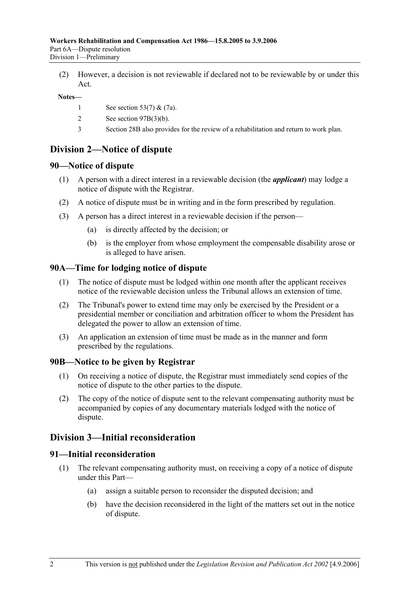(2) However, a decision is not reviewable if declared not to be reviewable by or under this Act.

**Notes—** 

- 1 See section 53(7) & (7a).
- 2 See section 97B(3)(b).
- 3 Section 28B also provides for the review of a rehabilitation and return to work plan.

# **Division 2—Notice of dispute**

#### **90—Notice of dispute**

- (1) A person with a direct interest in a reviewable decision (the *applicant*) may lodge a notice of dispute with the Registrar.
- (2) A notice of dispute must be in writing and in the form prescribed by regulation.
- (3) A person has a direct interest in a reviewable decision if the person—
	- (a) is directly affected by the decision; or
	- (b) is the employer from whose employment the compensable disability arose or is alleged to have arisen.

#### **90A—Time for lodging notice of dispute**

- (1) The notice of dispute must be lodged within one month after the applicant receives notice of the reviewable decision unless the Tribunal allows an extension of time.
- (2) The Tribunal's power to extend time may only be exercised by the President or a presidential member or conciliation and arbitration officer to whom the President has delegated the power to allow an extension of time.
- (3) An application an extension of time must be made as in the manner and form prescribed by the regulations.

#### **90B—Notice to be given by Registrar**

- (1) On receiving a notice of dispute, the Registrar must immediately send copies of the notice of dispute to the other parties to the dispute.
- (2) The copy of the notice of dispute sent to the relevant compensating authority must be accompanied by copies of any documentary materials lodged with the notice of dispute.

# **Division 3—Initial reconsideration**

#### **91—Initial reconsideration**

- (1) The relevant compensating authority must, on receiving a copy of a notice of dispute under this Part—
	- (a) assign a suitable person to reconsider the disputed decision; and
	- (b) have the decision reconsidered in the light of the matters set out in the notice of dispute.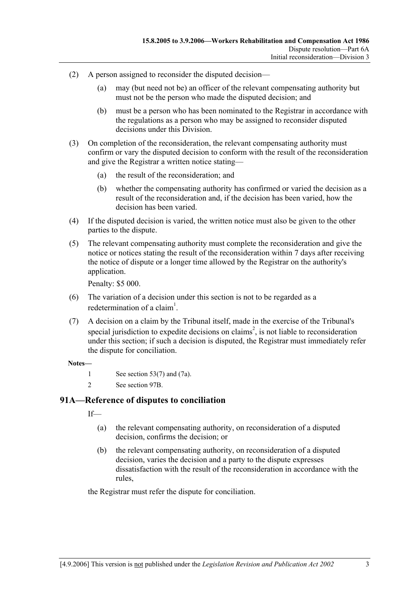- (2) A person assigned to reconsider the disputed decision—
	- (a) may (but need not be) an officer of the relevant compensating authority but must not be the person who made the disputed decision; and
	- (b) must be a person who has been nominated to the Registrar in accordance with the regulations as a person who may be assigned to reconsider disputed decisions under this Division.
- (3) On completion of the reconsideration, the relevant compensating authority must confirm or vary the disputed decision to conform with the result of the reconsideration and give the Registrar a written notice stating—
	- (a) the result of the reconsideration; and
	- (b) whether the compensating authority has confirmed or varied the decision as a result of the reconsideration and, if the decision has been varied, how the decision has been varied.
- (4) If the disputed decision is varied, the written notice must also be given to the other parties to the dispute.
- (5) The relevant compensating authority must complete the reconsideration and give the notice or notices stating the result of the reconsideration within 7 days after receiving the notice of dispute or a longer time allowed by the Registrar on the authority's application.

Penalty: \$5 000.

- (6) The variation of a decision under this section is not to be regarded as a redetermination of a claim<sup>1</sup>.
- (7) A decision on a claim by the Tribunal itself, made in the exercise of the Tribunal's special jurisdiction to expedite decisions on claims<sup>2</sup>, is not liable to reconsideration under this section; if such a decision is disputed, the Registrar must immediately refer the dispute for conciliation.

#### **Notes—**

- 1 See section 53(7) and (7a).
- 2 See section 97B.

#### **91A—Reference of disputes to conciliation**

 $If$ 

- (a) the relevant compensating authority, on reconsideration of a disputed decision, confirms the decision; or
- (b) the relevant compensating authority, on reconsideration of a disputed decision, varies the decision and a party to the dispute expresses dissatisfaction with the result of the reconsideration in accordance with the rules,

the Registrar must refer the dispute for conciliation.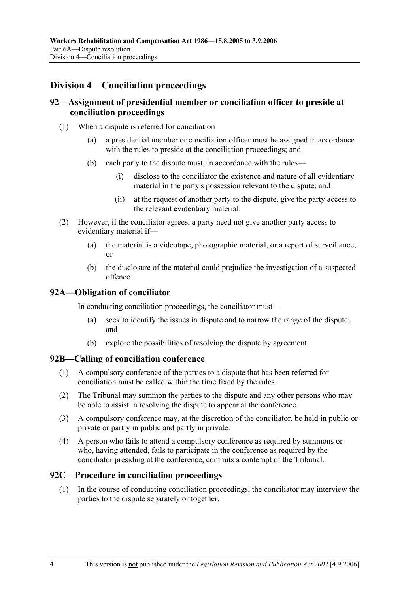# **Division 4—Conciliation proceedings**

### **92—Assignment of presidential member or conciliation officer to preside at conciliation proceedings**

- (1) When a dispute is referred for conciliation—
	- (a) a presidential member or conciliation officer must be assigned in accordance with the rules to preside at the conciliation proceedings; and
	- (b) each party to the dispute must, in accordance with the rules—
		- (i) disclose to the conciliator the existence and nature of all evidentiary material in the party's possession relevant to the dispute; and
		- (ii) at the request of another party to the dispute, give the party access to the relevant evidentiary material.
- (2) However, if the conciliator agrees, a party need not give another party access to evidentiary material if—
	- (a) the material is a videotape, photographic material, or a report of surveillance; or
	- (b) the disclosure of the material could prejudice the investigation of a suspected offence.

#### **92A—Obligation of conciliator**

In conducting conciliation proceedings, the conciliator must—

- (a) seek to identify the issues in dispute and to narrow the range of the dispute; and
- (b) explore the possibilities of resolving the dispute by agreement.

#### **92B—Calling of conciliation conference**

- (1) A compulsory conference of the parties to a dispute that has been referred for conciliation must be called within the time fixed by the rules.
- (2) The Tribunal may summon the parties to the dispute and any other persons who may be able to assist in resolving the dispute to appear at the conference.
- (3) A compulsory conference may, at the discretion of the conciliator, be held in public or private or partly in public and partly in private.
- (4) A person who fails to attend a compulsory conference as required by summons or who, having attended, fails to participate in the conference as required by the conciliator presiding at the conference, commits a contempt of the Tribunal.

#### **92C—Procedure in conciliation proceedings**

 (1) In the course of conducting conciliation proceedings, the conciliator may interview the parties to the dispute separately or together.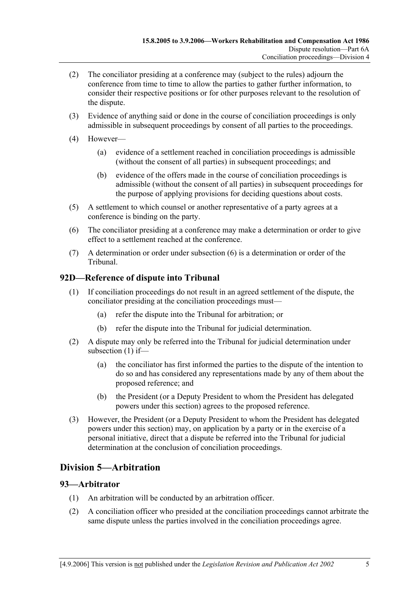- (2) The conciliator presiding at a conference may (subject to the rules) adjourn the conference from time to time to allow the parties to gather further information, to consider their respective positions or for other purposes relevant to the resolution of the dispute.
- (3) Evidence of anything said or done in the course of conciliation proceedings is only admissible in subsequent proceedings by consent of all parties to the proceedings.
- (4) However—
	- (a) evidence of a settlement reached in conciliation proceedings is admissible (without the consent of all parties) in subsequent proceedings; and
	- (b) evidence of the offers made in the course of conciliation proceedings is admissible (without the consent of all parties) in subsequent proceedings for the purpose of applying provisions for deciding questions about costs.
- (5) A settlement to which counsel or another representative of a party agrees at a conference is binding on the party.
- (6) The conciliator presiding at a conference may make a determination or order to give effect to a settlement reached at the conference.
- (7) A determination or order under subsection (6) is a determination or order of the Tribunal.

# **92D—Reference of dispute into Tribunal**

- (1) If conciliation proceedings do not result in an agreed settlement of the dispute, the conciliator presiding at the conciliation proceedings must—
	- (a) refer the dispute into the Tribunal for arbitration; or
	- (b) refer the dispute into the Tribunal for judicial determination.
- (2) A dispute may only be referred into the Tribunal for judicial determination under subsection (1) if—
	- (a) the conciliator has first informed the parties to the dispute of the intention to do so and has considered any representations made by any of them about the proposed reference; and
	- (b) the President (or a Deputy President to whom the President has delegated powers under this section) agrees to the proposed reference.
- (3) However, the President (or a Deputy President to whom the President has delegated powers under this section) may, on application by a party or in the exercise of a personal initiative, direct that a dispute be referred into the Tribunal for judicial determination at the conclusion of conciliation proceedings.

# **Division 5—Arbitration**

#### **93—Arbitrator**

- (1) An arbitration will be conducted by an arbitration officer.
- (2) A conciliation officer who presided at the conciliation proceedings cannot arbitrate the same dispute unless the parties involved in the conciliation proceedings agree.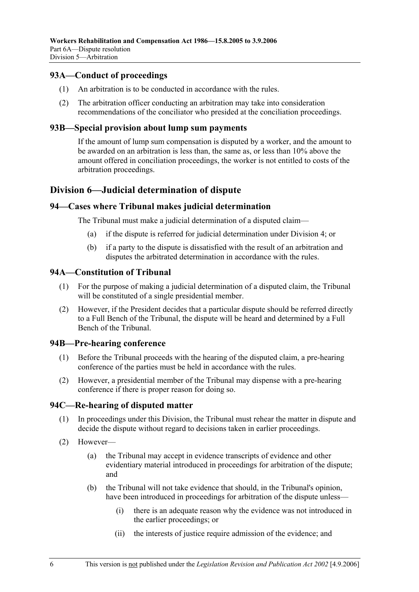## **93A—Conduct of proceedings**

- (1) An arbitration is to be conducted in accordance with the rules.
- (2) The arbitration officer conducting an arbitration may take into consideration recommendations of the conciliator who presided at the conciliation proceedings.

#### **93B—Special provision about lump sum payments**

If the amount of lump sum compensation is disputed by a worker, and the amount to be awarded on an arbitration is less than, the same as, or less than 10% above the amount offered in conciliation proceedings, the worker is not entitled to costs of the arbitration proceedings.

# **Division 6—Judicial determination of dispute**

#### **94—Cases where Tribunal makes judicial determination**

The Tribunal must make a judicial determination of a disputed claim—

- (a) if the dispute is referred for judicial determination under Division 4; or
- (b) if a party to the dispute is dissatisfied with the result of an arbitration and disputes the arbitrated determination in accordance with the rules.

#### **94A—Constitution of Tribunal**

- (1) For the purpose of making a judicial determination of a disputed claim, the Tribunal will be constituted of a single presidential member.
- (2) However, if the President decides that a particular dispute should be referred directly to a Full Bench of the Tribunal, the dispute will be heard and determined by a Full Bench of the Tribunal.

#### **94B—Pre-hearing conference**

- (1) Before the Tribunal proceeds with the hearing of the disputed claim, a pre-hearing conference of the parties must be held in accordance with the rules.
- (2) However, a presidential member of the Tribunal may dispense with a pre-hearing conference if there is proper reason for doing so.

#### **94C—Re-hearing of disputed matter**

- (1) In proceedings under this Division, the Tribunal must rehear the matter in dispute and decide the dispute without regard to decisions taken in earlier proceedings.
- (2) However—
	- (a) the Tribunal may accept in evidence transcripts of evidence and other evidentiary material introduced in proceedings for arbitration of the dispute; and
	- (b) the Tribunal will not take evidence that should, in the Tribunal's opinion, have been introduced in proceedings for arbitration of the dispute unless—
		- (i) there is an adequate reason why the evidence was not introduced in the earlier proceedings; or
		- (ii) the interests of justice require admission of the evidence; and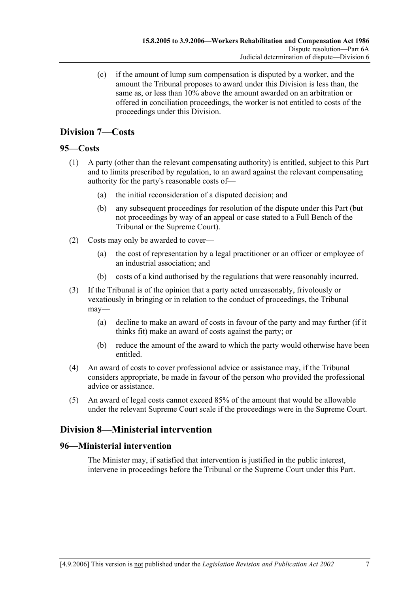(c) if the amount of lump sum compensation is disputed by a worker, and the amount the Tribunal proposes to award under this Division is less than, the same as, or less than 10% above the amount awarded on an arbitration or offered in conciliation proceedings, the worker is not entitled to costs of the proceedings under this Division.

# **Division 7—Costs**

# **95—Costs**

- (1) A party (other than the relevant compensating authority) is entitled, subject to this Part and to limits prescribed by regulation, to an award against the relevant compensating authority for the party's reasonable costs of—
	- (a) the initial reconsideration of a disputed decision; and
	- (b) any subsequent proceedings for resolution of the dispute under this Part (but not proceedings by way of an appeal or case stated to a Full Bench of the Tribunal or the Supreme Court).
- (2) Costs may only be awarded to cover—
	- (a) the cost of representation by a legal practitioner or an officer or employee of an industrial association; and
	- (b) costs of a kind authorised by the regulations that were reasonably incurred.
- (3) If the Tribunal is of the opinion that a party acted unreasonably, frivolously or vexatiously in bringing or in relation to the conduct of proceedings, the Tribunal may—
	- (a) decline to make an award of costs in favour of the party and may further (if it thinks fit) make an award of costs against the party; or
	- (b) reduce the amount of the award to which the party would otherwise have been entitled.
- (4) An award of costs to cover professional advice or assistance may, if the Tribunal considers appropriate, be made in favour of the person who provided the professional advice or assistance.
- (5) An award of legal costs cannot exceed 85% of the amount that would be allowable under the relevant Supreme Court scale if the proceedings were in the Supreme Court.

# **Division 8—Ministerial intervention**

# **96—Ministerial intervention**

The Minister may, if satisfied that intervention is justified in the public interest, intervene in proceedings before the Tribunal or the Supreme Court under this Part.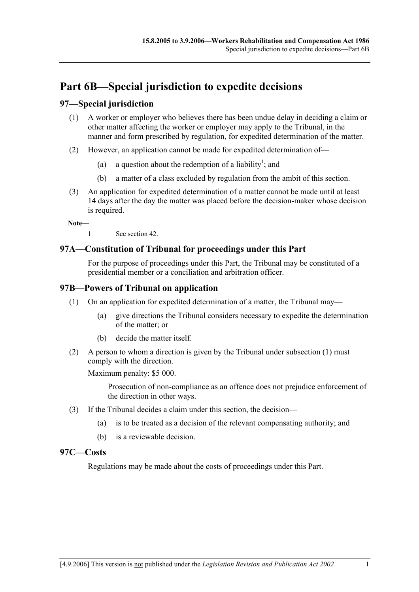# **Part 6B—Special jurisdiction to expedite decisions**

# **97—Special jurisdiction**

- (1) A worker or employer who believes there has been undue delay in deciding a claim or other matter affecting the worker or employer may apply to the Tribunal, in the manner and form prescribed by regulation, for expedited determination of the matter.
- (2) However, an application cannot be made for expedited determination of—
	- (a) a question about the redemption of a liability<sup>1</sup>; and
		- (b) a matter of a class excluded by regulation from the ambit of this section.
- (3) An application for expedited determination of a matter cannot be made until at least 14 days after the day the matter was placed before the decision-maker whose decision is required.

**Note—** 

1 See section 42.

### **97A—Constitution of Tribunal for proceedings under this Part**

For the purpose of proceedings under this Part, the Tribunal may be constituted of a presidential member or a conciliation and arbitration officer.

#### **97B—Powers of Tribunal on application**

- (1) On an application for expedited determination of a matter, the Tribunal may—
	- (a) give directions the Tribunal considers necessary to expedite the determination of the matter; or
	- (b) decide the matter itself.
- (2) A person to whom a direction is given by the Tribunal under subsection (1) must comply with the direction.

Maximum penalty: \$5 000.

Prosecution of non-compliance as an offence does not prejudice enforcement of the direction in other ways.

- (3) If the Tribunal decides a claim under this section, the decision—
	- (a) is to be treated as a decision of the relevant compensating authority; and
	- (b) is a reviewable decision.

#### **97C—Costs**

Regulations may be made about the costs of proceedings under this Part.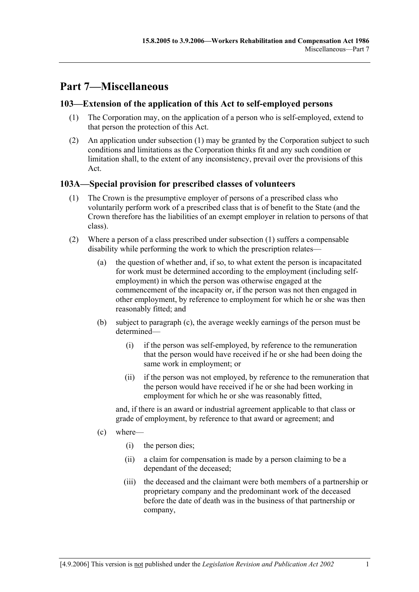# **Part 7—Miscellaneous**

## **103—Extension of the application of this Act to self-employed persons**

- (1) The Corporation may, on the application of a person who is self-employed, extend to that person the protection of this Act.
- (2) An application under subsection (1) may be granted by the Corporation subject to such conditions and limitations as the Corporation thinks fit and any such condition or limitation shall, to the extent of any inconsistency, prevail over the provisions of this Act.

### **103A—Special provision for prescribed classes of volunteers**

- (1) The Crown is the presumptive employer of persons of a prescribed class who voluntarily perform work of a prescribed class that is of benefit to the State (and the Crown therefore has the liabilities of an exempt employer in relation to persons of that class).
- (2) Where a person of a class prescribed under subsection (1) suffers a compensable disability while performing the work to which the prescription relates—
	- (a) the question of whether and, if so, to what extent the person is incapacitated for work must be determined according to the employment (including selfemployment) in which the person was otherwise engaged at the commencement of the incapacity or, if the person was not then engaged in other employment, by reference to employment for which he or she was then reasonably fitted; and
	- (b) subject to paragraph (c), the average weekly earnings of the person must be determined—
		- (i) if the person was self-employed, by reference to the remuneration that the person would have received if he or she had been doing the same work in employment; or
		- (ii) if the person was not employed, by reference to the remuneration that the person would have received if he or she had been working in employment for which he or she was reasonably fitted,

and, if there is an award or industrial agreement applicable to that class or grade of employment, by reference to that award or agreement; and

- (c) where—
	- (i) the person dies;
	- (ii) a claim for compensation is made by a person claiming to be a dependant of the deceased;
	- (iii) the deceased and the claimant were both members of a partnership or proprietary company and the predominant work of the deceased before the date of death was in the business of that partnership or company,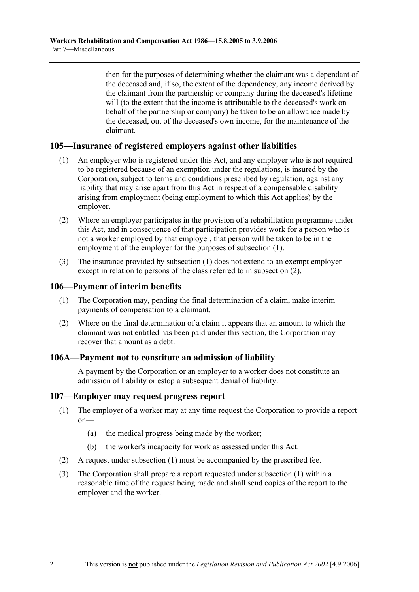then for the purposes of determining whether the claimant was a dependant of the deceased and, if so, the extent of the dependency, any income derived by the claimant from the partnership or company during the deceased's lifetime will (to the extent that the income is attributable to the deceased's work on behalf of the partnership or company) be taken to be an allowance made by the deceased, out of the deceased's own income, for the maintenance of the claimant.

#### **105—Insurance of registered employers against other liabilities**

- (1) An employer who is registered under this Act, and any employer who is not required to be registered because of an exemption under the regulations, is insured by the Corporation, subject to terms and conditions prescribed by regulation, against any liability that may arise apart from this Act in respect of a compensable disability arising from employment (being employment to which this Act applies) by the employer.
- (2) Where an employer participates in the provision of a rehabilitation programme under this Act, and in consequence of that participation provides work for a person who is not a worker employed by that employer, that person will be taken to be in the employment of the employer for the purposes of subsection (1).
- (3) The insurance provided by subsection (1) does not extend to an exempt employer except in relation to persons of the class referred to in subsection (2).

#### **106—Payment of interim benefits**

- (1) The Corporation may, pending the final determination of a claim, make interim payments of compensation to a claimant.
- (2) Where on the final determination of a claim it appears that an amount to which the claimant was not entitled has been paid under this section, the Corporation may recover that amount as a debt.

#### **106A—Payment not to constitute an admission of liability**

A payment by the Corporation or an employer to a worker does not constitute an admission of liability or estop a subsequent denial of liability.

#### **107—Employer may request progress report**

- (1) The employer of a worker may at any time request the Corporation to provide a report on—
	- (a) the medical progress being made by the worker;
	- (b) the worker's incapacity for work as assessed under this Act.
- (2) A request under subsection (1) must be accompanied by the prescribed fee.
- (3) The Corporation shall prepare a report requested under subsection (1) within a reasonable time of the request being made and shall send copies of the report to the employer and the worker.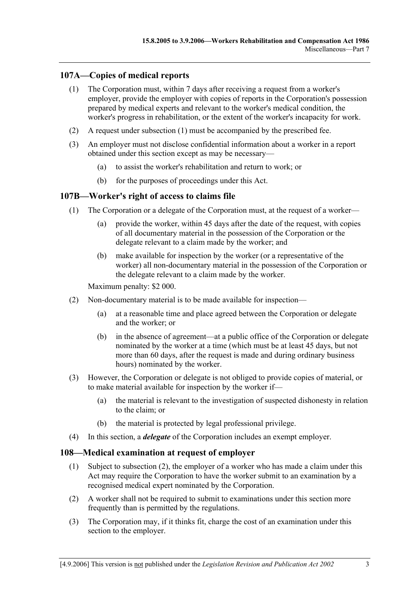# **107A—Copies of medical reports**

- (1) The Corporation must, within 7 days after receiving a request from a worker's employer, provide the employer with copies of reports in the Corporation's possession prepared by medical experts and relevant to the worker's medical condition, the worker's progress in rehabilitation, or the extent of the worker's incapacity for work.
- (2) A request under subsection (1) must be accompanied by the prescribed fee.
- (3) An employer must not disclose confidential information about a worker in a report obtained under this section except as may be necessary—
	- (a) to assist the worker's rehabilitation and return to work; or
	- (b) for the purposes of proceedings under this Act.

#### **107B—Worker's right of access to claims file**

- (1) The Corporation or a delegate of the Corporation must, at the request of a worker—
	- (a) provide the worker, within 45 days after the date of the request, with copies of all documentary material in the possession of the Corporation or the delegate relevant to a claim made by the worker; and
	- (b) make available for inspection by the worker (or a representative of the worker) all non-documentary material in the possession of the Corporation or the delegate relevant to a claim made by the worker.

Maximum penalty: \$2 000.

- (2) Non-documentary material is to be made available for inspection—
	- (a) at a reasonable time and place agreed between the Corporation or delegate and the worker; or
	- (b) in the absence of agreement—at a public office of the Corporation or delegate nominated by the worker at a time (which must be at least 45 days, but not more than 60 days, after the request is made and during ordinary business hours) nominated by the worker.
- (3) However, the Corporation or delegate is not obliged to provide copies of material, or to make material available for inspection by the worker if—
	- (a) the material is relevant to the investigation of suspected dishonesty in relation to the claim; or
	- (b) the material is protected by legal professional privilege.
- (4) In this section, a *delegate* of the Corporation includes an exempt employer.

#### **108—Medical examination at request of employer**

- (1) Subject to subsection (2), the employer of a worker who has made a claim under this Act may require the Corporation to have the worker submit to an examination by a recognised medical expert nominated by the Corporation.
- (2) A worker shall not be required to submit to examinations under this section more frequently than is permitted by the regulations.
- (3) The Corporation may, if it thinks fit, charge the cost of an examination under this section to the employer.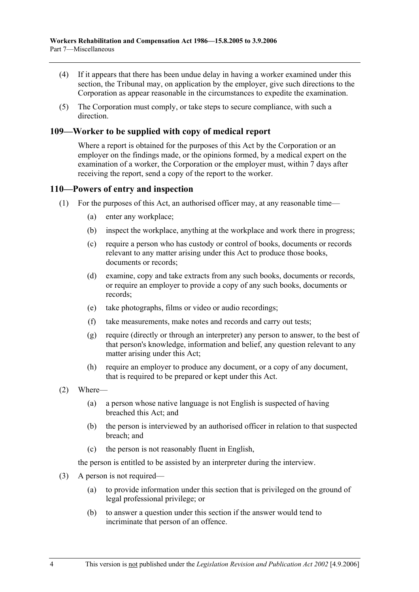- (4) If it appears that there has been undue delay in having a worker examined under this section, the Tribunal may, on application by the employer, give such directions to the Corporation as appear reasonable in the circumstances to expedite the examination.
- (5) The Corporation must comply, or take steps to secure compliance, with such a direction.

### **109—Worker to be supplied with copy of medical report**

Where a report is obtained for the purposes of this Act by the Corporation or an employer on the findings made, or the opinions formed, by a medical expert on the examination of a worker, the Corporation or the employer must, within 7 days after receiving the report, send a copy of the report to the worker.

#### **110—Powers of entry and inspection**

- (1) For the purposes of this Act, an authorised officer may, at any reasonable time—
	- (a) enter any workplace;
	- (b) inspect the workplace, anything at the workplace and work there in progress;
	- (c) require a person who has custody or control of books, documents or records relevant to any matter arising under this Act to produce those books, documents or records;
	- (d) examine, copy and take extracts from any such books, documents or records, or require an employer to provide a copy of any such books, documents or records;
	- (e) take photographs, films or video or audio recordings;
	- (f) take measurements, make notes and records and carry out tests;
	- (g) require (directly or through an interpreter) any person to answer, to the best of that person's knowledge, information and belief, any question relevant to any matter arising under this Act;
	- (h) require an employer to produce any document, or a copy of any document, that is required to be prepared or kept under this Act.
- (2) Where—
	- (a) a person whose native language is not English is suspected of having breached this Act; and
	- (b) the person is interviewed by an authorised officer in relation to that suspected breach; and
	- (c) the person is not reasonably fluent in English,

the person is entitled to be assisted by an interpreter during the interview.

- (3) A person is not required—
	- (a) to provide information under this section that is privileged on the ground of legal professional privilege; or
	- (b) to answer a question under this section if the answer would tend to incriminate that person of an offence.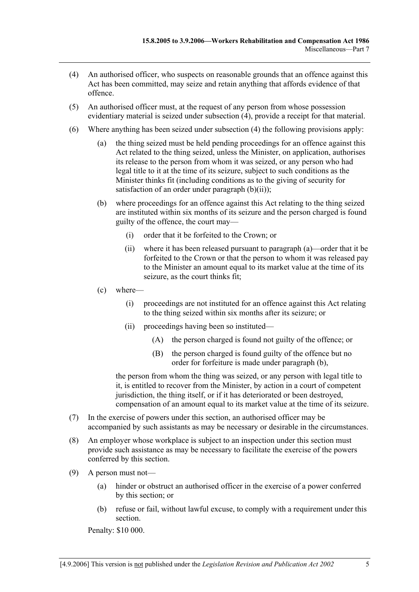- (4) An authorised officer, who suspects on reasonable grounds that an offence against this Act has been committed, may seize and retain anything that affords evidence of that offence.
- (5) An authorised officer must, at the request of any person from whose possession evidentiary material is seized under subsection (4), provide a receipt for that material.
- (6) Where anything has been seized under subsection (4) the following provisions apply:
	- (a) the thing seized must be held pending proceedings for an offence against this Act related to the thing seized, unless the Minister, on application, authorises its release to the person from whom it was seized, or any person who had legal title to it at the time of its seizure, subject to such conditions as the Minister thinks fit (including conditions as to the giving of security for satisfaction of an order under paragraph  $(b)(ii)$ ;
	- (b) where proceedings for an offence against this Act relating to the thing seized are instituted within six months of its seizure and the person charged is found guilty of the offence, the court may—
		- (i) order that it be forfeited to the Crown; or
		- (ii) where it has been released pursuant to paragraph (a)—order that it be forfeited to the Crown or that the person to whom it was released pay to the Minister an amount equal to its market value at the time of its seizure, as the court thinks fit;
	- (c) where—
		- (i) proceedings are not instituted for an offence against this Act relating to the thing seized within six months after its seizure; or
		- (ii) proceedings having been so instituted—
			- (A) the person charged is found not guilty of the offence; or
			- (B) the person charged is found guilty of the offence but no order for forfeiture is made under paragraph (b),

the person from whom the thing was seized, or any person with legal title to it, is entitled to recover from the Minister, by action in a court of competent jurisdiction, the thing itself, or if it has deteriorated or been destroyed, compensation of an amount equal to its market value at the time of its seizure.

- (7) In the exercise of powers under this section, an authorised officer may be accompanied by such assistants as may be necessary or desirable in the circumstances.
- (8) An employer whose workplace is subject to an inspection under this section must provide such assistance as may be necessary to facilitate the exercise of the powers conferred by this section.
- (9) A person must not—
	- (a) hinder or obstruct an authorised officer in the exercise of a power conferred by this section; or
	- (b) refuse or fail, without lawful excuse, to comply with a requirement under this section.

Penalty: \$10 000.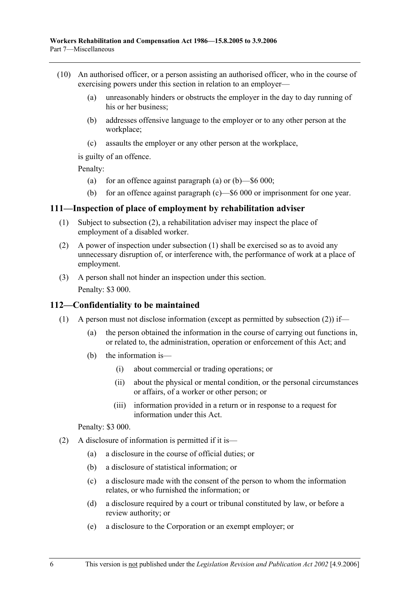- (10) An authorised officer, or a person assisting an authorised officer, who in the course of exercising powers under this section in relation to an employer—
	- (a) unreasonably hinders or obstructs the employer in the day to day running of his or her business:
	- (b) addresses offensive language to the employer or to any other person at the workplace;
	- (c) assaults the employer or any other person at the workplace,

is guilty of an offence.

Penalty:

- (a) for an offence against paragraph (a) or  $(b)$ —\$6 000;
- (b) for an offence against paragraph (c)—\$6 000 or imprisonment for one year.

#### **111—Inspection of place of employment by rehabilitation adviser**

- (1) Subject to subsection (2), a rehabilitation adviser may inspect the place of employment of a disabled worker.
- (2) A power of inspection under subsection (1) shall be exercised so as to avoid any unnecessary disruption of, or interference with, the performance of work at a place of employment.
- (3) A person shall not hinder an inspection under this section. Penalty: \$3 000.

#### **112—Confidentiality to be maintained**

- (1) A person must not disclose information (except as permitted by subsection (2)) if—
	- (a) the person obtained the information in the course of carrying out functions in, or related to, the administration, operation or enforcement of this Act; and
	- (b) the information is—
		- (i) about commercial or trading operations; or
		- (ii) about the physical or mental condition, or the personal circumstances or affairs, of a worker or other person; or
		- (iii) information provided in a return or in response to a request for information under this Act.

#### Penalty: \$3 000.

- (2) A disclosure of information is permitted if it is—
	- (a) a disclosure in the course of official duties; or
	- (b) a disclosure of statistical information; or
	- (c) a disclosure made with the consent of the person to whom the information relates, or who furnished the information; or
	- (d) a disclosure required by a court or tribunal constituted by law, or before a review authority; or
	- (e) a disclosure to the Corporation or an exempt employer; or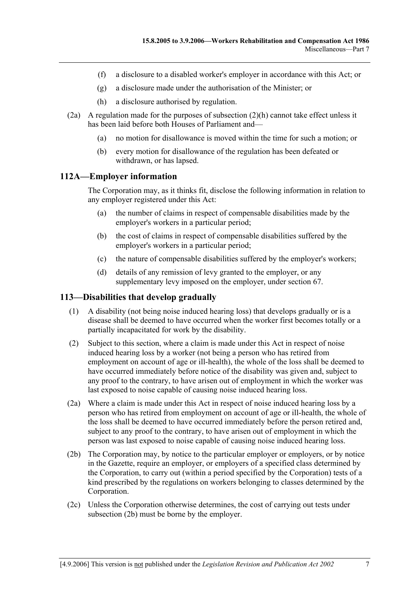- (f) a disclosure to a disabled worker's employer in accordance with this Act; or
- (g) a disclosure made under the authorisation of the Minister; or
- (h) a disclosure authorised by regulation.
- (2a) A regulation made for the purposes of subsection (2)(h) cannot take effect unless it has been laid before both Houses of Parliament and—
	- (a) no motion for disallowance is moved within the time for such a motion; or
	- (b) every motion for disallowance of the regulation has been defeated or withdrawn, or has lapsed.

#### **112A—Employer information**

The Corporation may, as it thinks fit, disclose the following information in relation to any employer registered under this Act:

- (a) the number of claims in respect of compensable disabilities made by the employer's workers in a particular period;
- (b) the cost of claims in respect of compensable disabilities suffered by the employer's workers in a particular period;
- (c) the nature of compensable disabilities suffered by the employer's workers;
- (d) details of any remission of levy granted to the employer, or any supplementary levy imposed on the employer, under section 67.

#### **113—Disabilities that develop gradually**

- (1) A disability (not being noise induced hearing loss) that develops gradually or is a disease shall be deemed to have occurred when the worker first becomes totally or a partially incapacitated for work by the disability.
- (2) Subject to this section, where a claim is made under this Act in respect of noise induced hearing loss by a worker (not being a person who has retired from employment on account of age or ill-health), the whole of the loss shall be deemed to have occurred immediately before notice of the disability was given and, subject to any proof to the contrary, to have arisen out of employment in which the worker was last exposed to noise capable of causing noise induced hearing loss.
- (2a) Where a claim is made under this Act in respect of noise induced hearing loss by a person who has retired from employment on account of age or ill-health, the whole of the loss shall be deemed to have occurred immediately before the person retired and, subject to any proof to the contrary, to have arisen out of employment in which the person was last exposed to noise capable of causing noise induced hearing loss.
- (2b) The Corporation may, by notice to the particular employer or employers, or by notice in the Gazette, require an employer, or employers of a specified class determined by the Corporation, to carry out (within a period specified by the Corporation) tests of a kind prescribed by the regulations on workers belonging to classes determined by the Corporation.
- (2c) Unless the Corporation otherwise determines, the cost of carrying out tests under subsection (2b) must be borne by the employer.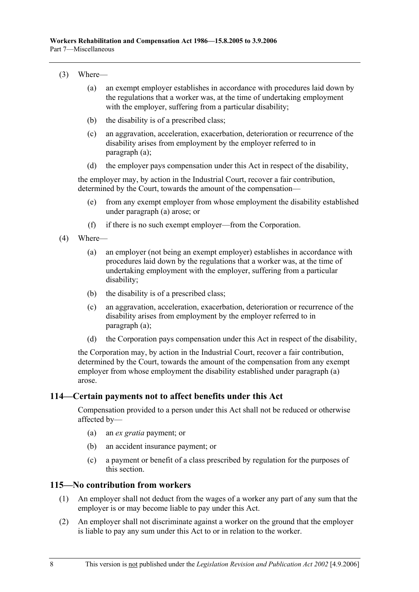#### (3) Where—

- (a) an exempt employer establishes in accordance with procedures laid down by the regulations that a worker was, at the time of undertaking employment with the employer, suffering from a particular disability;
- (b) the disability is of a prescribed class;
- (c) an aggravation, acceleration, exacerbation, deterioration or recurrence of the disability arises from employment by the employer referred to in paragraph (a);
- (d) the employer pays compensation under this Act in respect of the disability,

the employer may, by action in the Industrial Court, recover a fair contribution, determined by the Court, towards the amount of the compensation—

- (e) from any exempt employer from whose employment the disability established under paragraph (a) arose; or
- (f) if there is no such exempt employer—from the Corporation.
- (4) Where—
	- (a) an employer (not being an exempt employer) establishes in accordance with procedures laid down by the regulations that a worker was, at the time of undertaking employment with the employer, suffering from a particular disability;
	- (b) the disability is of a prescribed class;
	- (c) an aggravation, acceleration, exacerbation, deterioration or recurrence of the disability arises from employment by the employer referred to in paragraph (a);
	- (d) the Corporation pays compensation under this Act in respect of the disability,

the Corporation may, by action in the Industrial Court, recover a fair contribution, determined by the Court, towards the amount of the compensation from any exempt employer from whose employment the disability established under paragraph (a) arose.

#### **114—Certain payments not to affect benefits under this Act**

Compensation provided to a person under this Act shall not be reduced or otherwise affected by—

- (a) an *ex gratia* payment; or
- (b) an accident insurance payment; or
- (c) a payment or benefit of a class prescribed by regulation for the purposes of this section.

#### **115—No contribution from workers**

- (1) An employer shall not deduct from the wages of a worker any part of any sum that the employer is or may become liable to pay under this Act.
- (2) An employer shall not discriminate against a worker on the ground that the employer is liable to pay any sum under this Act to or in relation to the worker.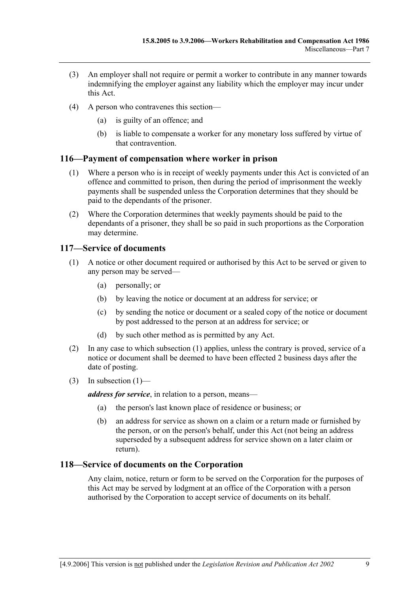- (3) An employer shall not require or permit a worker to contribute in any manner towards indemnifying the employer against any liability which the employer may incur under this Act.
- (4) A person who contravenes this section—
	- (a) is guilty of an offence; and
	- (b) is liable to compensate a worker for any monetary loss suffered by virtue of that contravention.

#### **116—Payment of compensation where worker in prison**

- (1) Where a person who is in receipt of weekly payments under this Act is convicted of an offence and committed to prison, then during the period of imprisonment the weekly payments shall be suspended unless the Corporation determines that they should be paid to the dependants of the prisoner.
- (2) Where the Corporation determines that weekly payments should be paid to the dependants of a prisoner, they shall be so paid in such proportions as the Corporation may determine.

#### **117—Service of documents**

- (1) A notice or other document required or authorised by this Act to be served or given to any person may be served—
	- (a) personally; or
	- (b) by leaving the notice or document at an address for service; or
	- (c) by sending the notice or document or a sealed copy of the notice or document by post addressed to the person at an address for service; or
	- (d) by such other method as is permitted by any Act.
- (2) In any case to which subsection (1) applies, unless the contrary is proved, service of a notice or document shall be deemed to have been effected 2 business days after the date of posting.
- (3) In subsection  $(1)$ —

*address for service*, in relation to a person, means—

- (a) the person's last known place of residence or business; or
- (b) an address for service as shown on a claim or a return made or furnished by the person, or on the person's behalf, under this Act (not being an address superseded by a subsequent address for service shown on a later claim or return).

#### **118—Service of documents on the Corporation**

Any claim, notice, return or form to be served on the Corporation for the purposes of this Act may be served by lodgment at an office of the Corporation with a person authorised by the Corporation to accept service of documents on its behalf.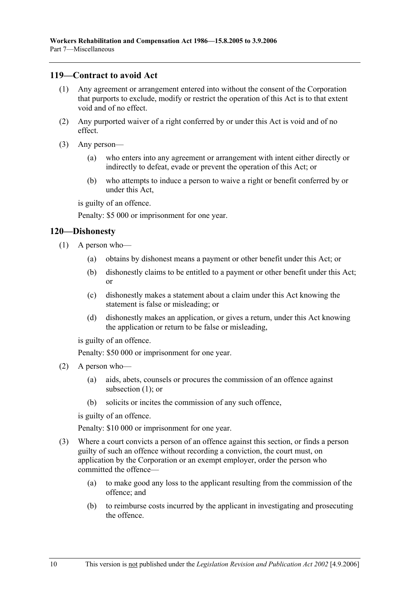#### **119—Contract to avoid Act**

- (1) Any agreement or arrangement entered into without the consent of the Corporation that purports to exclude, modify or restrict the operation of this Act is to that extent void and of no effect.
- (2) Any purported waiver of a right conferred by or under this Act is void and of no effect.
- (3) Any person—
	- (a) who enters into any agreement or arrangement with intent either directly or indirectly to defeat, evade or prevent the operation of this Act; or
	- (b) who attempts to induce a person to waive a right or benefit conferred by or under this Act,

is guilty of an offence.

Penalty: \$5 000 or imprisonment for one year.

#### **120—Dishonesty**

- (1) A person who—
	- (a) obtains by dishonest means a payment or other benefit under this Act; or
	- (b) dishonestly claims to be entitled to a payment or other benefit under this Act; or
	- (c) dishonestly makes a statement about a claim under this Act knowing the statement is false or misleading; or
	- (d) dishonestly makes an application, or gives a return, under this Act knowing the application or return to be false or misleading,

is guilty of an offence.

Penalty: \$50 000 or imprisonment for one year.

- (2) A person who—
	- (a) aids, abets, counsels or procures the commission of an offence against subsection (1); or
	- (b) solicits or incites the commission of any such offence,

is guilty of an offence.

Penalty: \$10 000 or imprisonment for one year.

- (3) Where a court convicts a person of an offence against this section, or finds a person guilty of such an offence without recording a conviction, the court must, on application by the Corporation or an exempt employer, order the person who committed the offence—
	- (a) to make good any loss to the applicant resulting from the commission of the offence; and
	- (b) to reimburse costs incurred by the applicant in investigating and prosecuting the offence.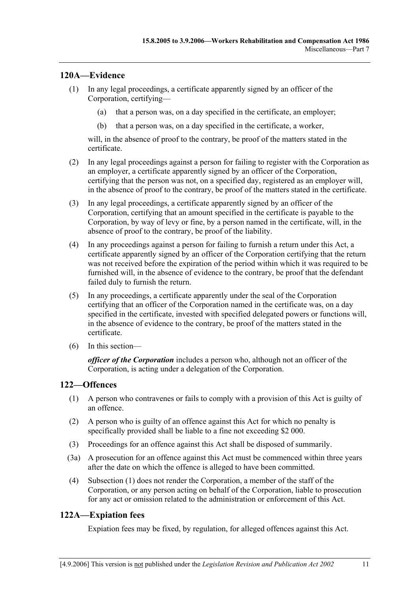### **120A—Evidence**

- (1) In any legal proceedings, a certificate apparently signed by an officer of the Corporation, certifying—
	- (a) that a person was, on a day specified in the certificate, an employer;
	- (b) that a person was, on a day specified in the certificate, a worker,

will, in the absence of proof to the contrary, be proof of the matters stated in the certificate.

- (2) In any legal proceedings against a person for failing to register with the Corporation as an employer, a certificate apparently signed by an officer of the Corporation, certifying that the person was not, on a specified day, registered as an employer will, in the absence of proof to the contrary, be proof of the matters stated in the certificate.
- (3) In any legal proceedings, a certificate apparently signed by an officer of the Corporation, certifying that an amount specified in the certificate is payable to the Corporation, by way of levy or fine, by a person named in the certificate, will, in the absence of proof to the contrary, be proof of the liability.
- (4) In any proceedings against a person for failing to furnish a return under this Act, a certificate apparently signed by an officer of the Corporation certifying that the return was not received before the expiration of the period within which it was required to be furnished will, in the absence of evidence to the contrary, be proof that the defendant failed duly to furnish the return.
- (5) In any proceedings, a certificate apparently under the seal of the Corporation certifying that an officer of the Corporation named in the certificate was, on a day specified in the certificate, invested with specified delegated powers or functions will, in the absence of evidence to the contrary, be proof of the matters stated in the certificate.
- (6) In this section—

*officer of the Corporation* includes a person who, although not an officer of the Corporation, is acting under a delegation of the Corporation.

#### **122—Offences**

- (1) A person who contravenes or fails to comply with a provision of this Act is guilty of an offence.
- (2) A person who is guilty of an offence against this Act for which no penalty is specifically provided shall be liable to a fine not exceeding \$2 000.
- (3) Proceedings for an offence against this Act shall be disposed of summarily.
- (3a) A prosecution for an offence against this Act must be commenced within three years after the date on which the offence is alleged to have been committed.
- (4) Subsection (1) does not render the Corporation, a member of the staff of the Corporation, or any person acting on behalf of the Corporation, liable to prosecution for any act or omission related to the administration or enforcement of this Act.

# **122A—Expiation fees**

Expiation fees may be fixed, by regulation, for alleged offences against this Act.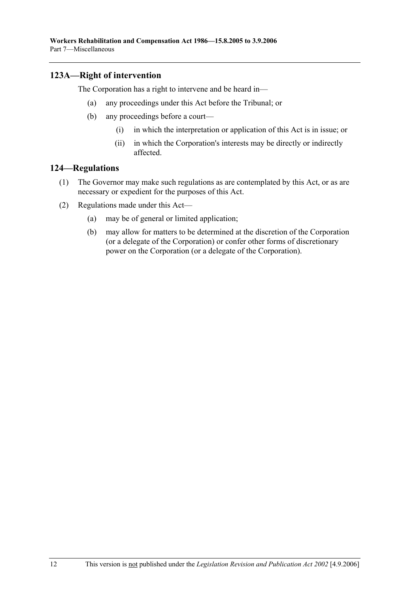## **123A—Right of intervention**

The Corporation has a right to intervene and be heard in—

- (a) any proceedings under this Act before the Tribunal; or
- (b) any proceedings before a court—
	- (i) in which the interpretation or application of this Act is in issue; or
	- (ii) in which the Corporation's interests may be directly or indirectly affected.

#### **124—Regulations**

- (1) The Governor may make such regulations as are contemplated by this Act, or as are necessary or expedient for the purposes of this Act.
- (2) Regulations made under this Act—
	- (a) may be of general or limited application;
	- (b) may allow for matters to be determined at the discretion of the Corporation (or a delegate of the Corporation) or confer other forms of discretionary power on the Corporation (or a delegate of the Corporation).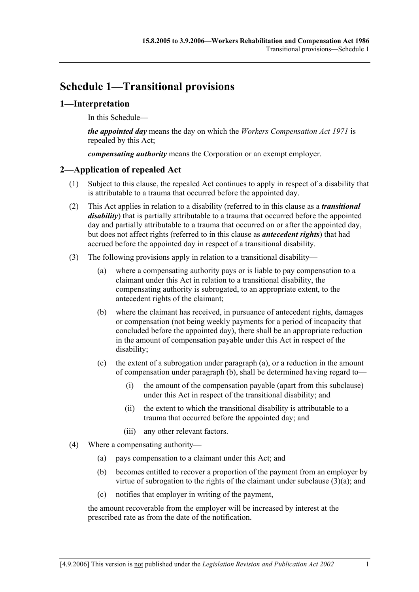# **Schedule 1—Transitional provisions**

### **1—Interpretation**

In this Schedule—

*the appointed day* means the day on which the *Workers Compensation Act 1971* is repealed by this Act;

*compensating authority* means the Corporation or an exempt employer.

### **2—Application of repealed Act**

- (1) Subject to this clause, the repealed Act continues to apply in respect of a disability that is attributable to a trauma that occurred before the appointed day.
- (2) This Act applies in relation to a disability (referred to in this clause as a *transitional disability*) that is partially attributable to a trauma that occurred before the appointed day and partially attributable to a trauma that occurred on or after the appointed day, but does not affect rights (referred to in this clause as *antecedent rights*) that had accrued before the appointed day in respect of a transitional disability.
- (3) The following provisions apply in relation to a transitional disability—
	- (a) where a compensating authority pays or is liable to pay compensation to a claimant under this Act in relation to a transitional disability, the compensating authority is subrogated, to an appropriate extent, to the antecedent rights of the claimant;
	- (b) where the claimant has received, in pursuance of antecedent rights, damages or compensation (not being weekly payments for a period of incapacity that concluded before the appointed day), there shall be an appropriate reduction in the amount of compensation payable under this Act in respect of the disability;
	- (c) the extent of a subrogation under paragraph (a), or a reduction in the amount of compensation under paragraph (b), shall be determined having regard to—
		- (i) the amount of the compensation payable (apart from this subclause) under this Act in respect of the transitional disability; and
		- (ii) the extent to which the transitional disability is attributable to a trauma that occurred before the appointed day; and
		- (iii) any other relevant factors.
- (4) Where a compensating authority—
	- (a) pays compensation to a claimant under this Act; and
	- (b) becomes entitled to recover a proportion of the payment from an employer by virtue of subrogation to the rights of the claimant under subclause  $(3)(a)$ ; and
	- (c) notifies that employer in writing of the payment,

the amount recoverable from the employer will be increased by interest at the prescribed rate as from the date of the notification.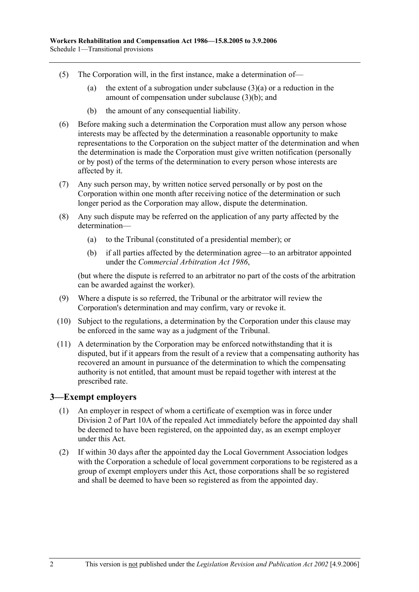- (5) The Corporation will, in the first instance, make a determination of—
	- (a) the extent of a subrogation under subclause  $(3)(a)$  or a reduction in the amount of compensation under subclause (3)(b); and
	- (b) the amount of any consequential liability.
- (6) Before making such a determination the Corporation must allow any person whose interests may be affected by the determination a reasonable opportunity to make representations to the Corporation on the subject matter of the determination and when the determination is made the Corporation must give written notification (personally or by post) of the terms of the determination to every person whose interests are affected by it.
- (7) Any such person may, by written notice served personally or by post on the Corporation within one month after receiving notice of the determination or such longer period as the Corporation may allow, dispute the determination.
- (8) Any such dispute may be referred on the application of any party affected by the determination—
	- (a) to the Tribunal (constituted of a presidential member); or
	- (b) if all parties affected by the determination agree—to an arbitrator appointed under the *Commercial Arbitration Act 1986*,

(but where the dispute is referred to an arbitrator no part of the costs of the arbitration can be awarded against the worker).

- (9) Where a dispute is so referred, the Tribunal or the arbitrator will review the Corporation's determination and may confirm, vary or revoke it.
- (10) Subject to the regulations, a determination by the Corporation under this clause may be enforced in the same way as a judgment of the Tribunal.
- (11) A determination by the Corporation may be enforced notwithstanding that it is disputed, but if it appears from the result of a review that a compensating authority has recovered an amount in pursuance of the determination to which the compensating authority is not entitled, that amount must be repaid together with interest at the prescribed rate.

#### **3—Exempt employers**

- (1) An employer in respect of whom a certificate of exemption was in force under Division 2 of Part 10A of the repealed Act immediately before the appointed day shall be deemed to have been registered, on the appointed day, as an exempt employer under this Act.
- (2) If within 30 days after the appointed day the Local Government Association lodges with the Corporation a schedule of local government corporations to be registered as a group of exempt employers under this Act, those corporations shall be so registered and shall be deemed to have been so registered as from the appointed day.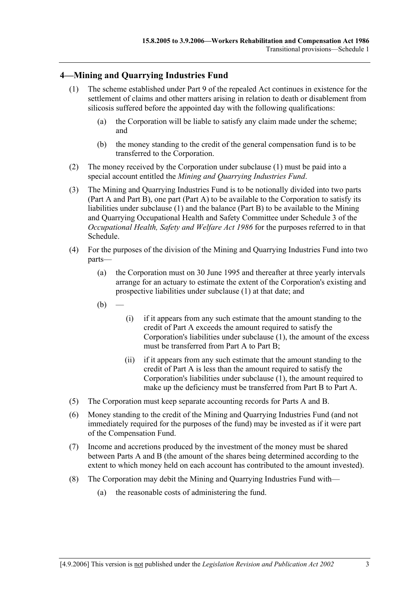## **4—Mining and Quarrying Industries Fund**

- (1) The scheme established under Part 9 of the repealed Act continues in existence for the settlement of claims and other matters arising in relation to death or disablement from silicosis suffered before the appointed day with the following qualifications:
	- (a) the Corporation will be liable to satisfy any claim made under the scheme; and
	- (b) the money standing to the credit of the general compensation fund is to be transferred to the Corporation.
- (2) The money received by the Corporation under subclause (1) must be paid into a special account entitled the *Mining and Quarrying Industries Fund*.
- (3) The Mining and Quarrying Industries Fund is to be notionally divided into two parts (Part A and Part B), one part (Part A) to be available to the Corporation to satisfy its liabilities under subclause (1) and the balance (Part B) to be available to the Mining and Quarrying Occupational Health and Safety Committee under Schedule 3 of the *Occupational Health, Safety and Welfare Act 1986* for the purposes referred to in that Schedule.
- (4) For the purposes of the division of the Mining and Quarrying Industries Fund into two parts—
	- (a) the Corporation must on 30 June 1995 and thereafter at three yearly intervals arrange for an actuary to estimate the extent of the Corporation's existing and prospective liabilities under subclause (1) at that date; and
	- $(b)$ 
		- (i) if it appears from any such estimate that the amount standing to the credit of Part A exceeds the amount required to satisfy the Corporation's liabilities under subclause (1), the amount of the excess must be transferred from Part A to Part B;
		- (ii) if it appears from any such estimate that the amount standing to the credit of Part A is less than the amount required to satisfy the Corporation's liabilities under subclause (1), the amount required to make up the deficiency must be transferred from Part B to Part A.
- (5) The Corporation must keep separate accounting records for Parts A and B.
- (6) Money standing to the credit of the Mining and Quarrying Industries Fund (and not immediately required for the purposes of the fund) may be invested as if it were part of the Compensation Fund.
- (7) Income and accretions produced by the investment of the money must be shared between Parts A and B (the amount of the shares being determined according to the extent to which money held on each account has contributed to the amount invested).
- (8) The Corporation may debit the Mining and Quarrying Industries Fund with—
	- (a) the reasonable costs of administering the fund.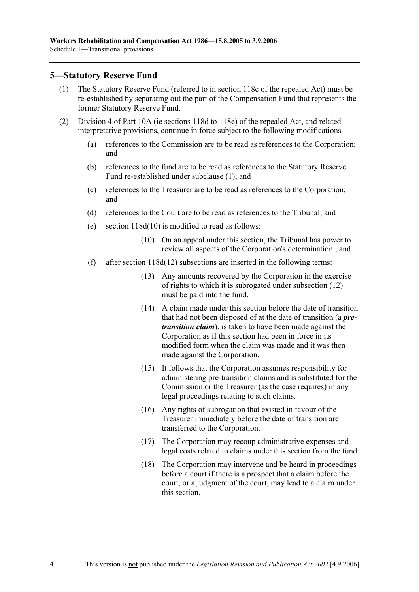#### **5—Statutory Reserve Fund**

- (1) The Statutory Reserve Fund (referred to in section 118c of the repealed Act) must be re-established by separating out the part of the Compensation Fund that represents the former Statutory Reserve Fund.
- (2) Division 4 of Part 10A (ie sections 118d to 118e) of the repealed Act, and related interpretative provisions, continue in force subject to the following modifications—
	- (a) references to the Commission are to be read as references to the Corporation; and
	- (b) references to the fund are to be read as references to the Statutory Reserve Fund re-established under subclause (1); and
	- (c) references to the Treasurer are to be read as references to the Corporation; and
	- (d) references to the Court are to be read as references to the Tribunal; and
	- (e) section 118d(10) is modified to read as follows:
		- (10) On an appeal under this section, the Tribunal has power to review all aspects of the Corporation's determination.; and
	- (f) after section  $118d(12)$  subsections are inserted in the following terms:
		- (13) Any amounts recovered by the Corporation in the exercise of rights to which it is subrogated under subsection (12) must be paid into the fund.
		- (14) A claim made under this section before the date of transition that had not been disposed of at the date of transition (a *pretransition claim*), is taken to have been made against the Corporation as if this section had been in force in its modified form when the claim was made and it was then made against the Corporation.
		- (15) It follows that the Corporation assumes responsibility for administering pre-transition claims and is substituted for the Commission or the Treasurer (as the case requires) in any legal proceedings relating to such claims.
		- (16) Any rights of subrogation that existed in favour of the Treasurer immediately before the date of transition are transferred to the Corporation.
		- (17) The Corporation may recoup administrative expenses and legal costs related to claims under this section from the fund.
		- (18) The Corporation may intervene and be heard in proceedings before a court if there is a prospect that a claim before the court, or a judgment of the court, may lead to a claim under this section.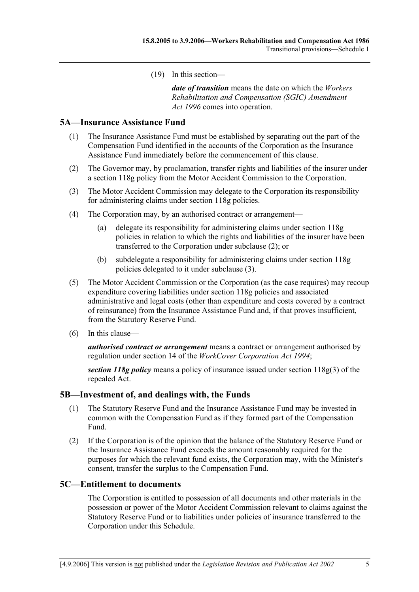(19) In this section—

*date of transition* means the date on which the *Workers Rehabilitation and Compensation (SGIC) Amendment Act 1996* comes into operation.

#### **5A—Insurance Assistance Fund**

- (1) The Insurance Assistance Fund must be established by separating out the part of the Compensation Fund identified in the accounts of the Corporation as the Insurance Assistance Fund immediately before the commencement of this clause.
- (2) The Governor may, by proclamation, transfer rights and liabilities of the insurer under a section 118g policy from the Motor Accident Commission to the Corporation.
- (3) The Motor Accident Commission may delegate to the Corporation its responsibility for administering claims under section 118g policies.
- (4) The Corporation may, by an authorised contract or arrangement—
	- (a) delegate its responsibility for administering claims under section 118g policies in relation to which the rights and liabilities of the insurer have been transferred to the Corporation under subclause (2); or
	- (b) subdelegate a responsibility for administering claims under section 118g policies delegated to it under subclause (3).
- (5) The Motor Accident Commission or the Corporation (as the case requires) may recoup expenditure covering liabilities under section 118g policies and associated administrative and legal costs (other than expenditure and costs covered by a contract of reinsurance) from the Insurance Assistance Fund and, if that proves insufficient, from the Statutory Reserve Fund.
- (6) In this clause—

*authorised contract or arrangement* means a contract or arrangement authorised by regulation under section 14 of the *WorkCover Corporation Act 1994*;

*section 118g policy* means a policy of insurance issued under section 118g(3) of the repealed Act.

#### **5B—Investment of, and dealings with, the Funds**

- (1) The Statutory Reserve Fund and the Insurance Assistance Fund may be invested in common with the Compensation Fund as if they formed part of the Compensation Fund.
- (2) If the Corporation is of the opinion that the balance of the Statutory Reserve Fund or the Insurance Assistance Fund exceeds the amount reasonably required for the purposes for which the relevant fund exists, the Corporation may, with the Minister's consent, transfer the surplus to the Compensation Fund.

#### **5C—Entitlement to documents**

The Corporation is entitled to possession of all documents and other materials in the possession or power of the Motor Accident Commission relevant to claims against the Statutory Reserve Fund or to liabilities under policies of insurance transferred to the Corporation under this Schedule.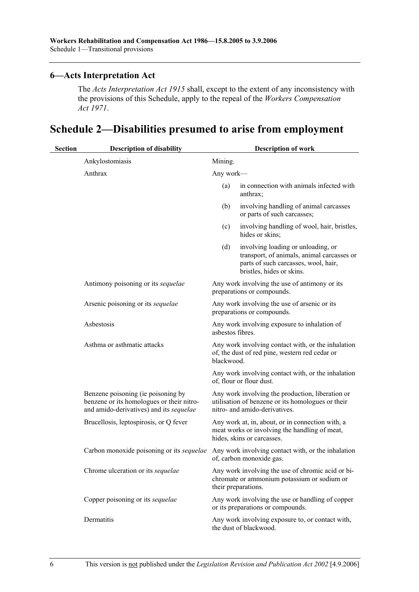#### **6—Acts Interpretation Act**

The *Acts Interpretation Act 1915* shall, except to the extent of any inconsistency with the provisions of this Schedule, apply to the repeal of the *Workers Compensation Act 1971*.

# **Schedule 2—Disabilities presumed to arise from employment**

| <b>Section</b> | <b>Description of disability</b>                                                                                           |                  | <b>Description of work</b>                                                                                                                            |
|----------------|----------------------------------------------------------------------------------------------------------------------------|------------------|-------------------------------------------------------------------------------------------------------------------------------------------------------|
|                | Ankylostomiasis                                                                                                            | Mining.          |                                                                                                                                                       |
|                | Anthrax                                                                                                                    | Any work—        |                                                                                                                                                       |
|                |                                                                                                                            | (a)              | in connection with animals infected with<br>anthrax;                                                                                                  |
|                |                                                                                                                            | (b)              | involving handling of animal carcasses<br>or parts of such carcasses;                                                                                 |
|                |                                                                                                                            | (c)              | involving handling of wool, hair, bristles,<br>hides or skins;                                                                                        |
|                |                                                                                                                            | (d)              | involving loading or unloading, or<br>transport, of animals, animal carcasses or<br>parts of such carcasses, wool, hair,<br>bristles, hides or skins. |
|                | Antimony poisoning or its sequelae                                                                                         |                  | Any work involving the use of antimony or its<br>preparations or compounds.                                                                           |
|                | Arsenic poisoning or its sequelae                                                                                          |                  | Any work involving the use of arsenic or its<br>preparations or compounds.                                                                            |
|                | Asbestosis                                                                                                                 | asbestos fibres. | Any work involving exposure to inhalation of                                                                                                          |
|                | Asthma or asthmatic attacks                                                                                                | blackwood.       | Any work involving contact with, or the inhalation<br>of, the dust of red pine, western red cedar or                                                  |
|                |                                                                                                                            |                  | Any work involving contact with, or the inhalation<br>of, flour or flour dust.                                                                        |
|                | Benzene poisoning (ie poisoning by<br>benzene or its homologues or their nitro-<br>and amido-derivatives) and its sequelae |                  | Any work involving the production, liberation or<br>utilisation of benzene or its homologues or their<br>nitro- and amido-derivatives.                |
|                | Brucellosis, leptospirosis, or Q fever                                                                                     |                  | Any work at, in, about, or in connection with, a<br>meat works or involving the handling of meat,<br>hides, skins or carcasses.                       |
|                | Carbon monoxide poisoning or its sequelae                                                                                  |                  | Any work involving contact with, or the inhalation<br>of, carbon monoxide gas.                                                                        |
|                | Chrome ulceration or its sequelae                                                                                          |                  | Any work involving the use of chromic acid or bi-<br>chromate or ammonium potassium or sodium or<br>their preparations.                               |
|                | Copper poisoning or its sequelae                                                                                           |                  | Any work involving the use or handling of copper<br>or its preparations or compounds.                                                                 |
|                | Dermatitis                                                                                                                 |                  | Any work involving exposure to, or contact with,<br>the dust of blackwood.                                                                            |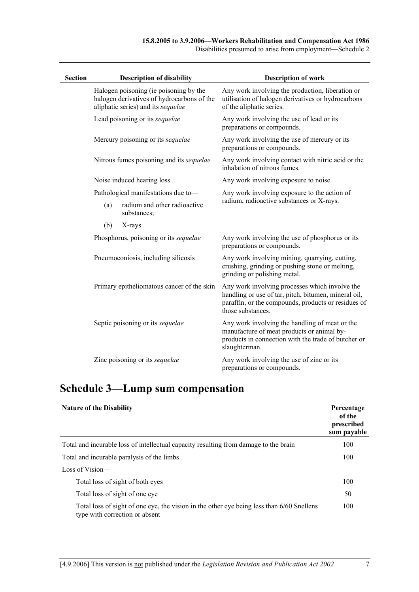Disabilities presumed to arise from employment—Schedule 2

| <b>Section</b> | <b>Description of disability</b>                                                                                           | <b>Description of work</b>                                                                                                                                                         |
|----------------|----------------------------------------------------------------------------------------------------------------------------|------------------------------------------------------------------------------------------------------------------------------------------------------------------------------------|
|                | Halogen poisoning (ie poisoning by the<br>halogen derivatives of hydrocarbons of the<br>aliphatic series) and its sequelae | Any work involving the production, liberation or<br>utilisation of halogen derivatives or hydrocarbons<br>of the aliphatic series.                                                 |
|                | Lead poisoning or its sequelae                                                                                             | Any work involving the use of lead or its<br>preparations or compounds.                                                                                                            |
|                | Mercury poisoning or its sequelae                                                                                          | Any work involving the use of mercury or its<br>preparations or compounds.                                                                                                         |
|                | Nitrous fumes poisoning and its sequelae                                                                                   | Any work involving contact with nitric acid or the<br>inhalation of nitrous fumes.                                                                                                 |
|                | Noise induced hearing loss                                                                                                 | Any work involving exposure to noise.                                                                                                                                              |
|                | Pathological manifestations due to-                                                                                        | Any work involving exposure to the action of                                                                                                                                       |
|                | radium and other radioactive<br>(a)<br>substances;                                                                         | radium, radioactive substances or X-rays.                                                                                                                                          |
|                | (b)<br>X-rays                                                                                                              |                                                                                                                                                                                    |
|                | Phosphorus, poisoning or its sequelae                                                                                      | Any work involving the use of phosphorus or its<br>preparations or compounds.                                                                                                      |
|                | Pneumoconiosis, including silicosis                                                                                        | Any work involving mining, quarrying, cutting,<br>crushing, grinding or pushing stone or melting,<br>grinding or polishing metal.                                                  |
|                | Primary epitheliomatous cancer of the skin                                                                                 | Any work involving processes which involve the<br>handling or use of tar, pitch, bitumen, mineral oil,<br>paraffin, or the compounds, products or residues of<br>those substances. |
|                | Septic poisoning or its sequelae                                                                                           | Any work involving the handling of meat or the<br>manufacture of meat products or animal by-<br>products in connection with the trade of butcher or<br>slaughterman.               |
|                | Zinc poisoning or its sequelae                                                                                             | Any work involving the use of zinc or its<br>preparations or compounds.                                                                                                            |

# **Schedule 3—Lump sum compensation**

 $\overline{a}$ 

| <b>Nature of the Disability</b>                                                                                             | Percentage<br>of the<br>prescribed<br>sum payable |
|-----------------------------------------------------------------------------------------------------------------------------|---------------------------------------------------|
| Total and incurable loss of intellectual capacity resulting from damage to the brain                                        | 100                                               |
| Total and incurable paralysis of the limbs                                                                                  | 100                                               |
| Loss of Vision-                                                                                                             |                                                   |
| Total loss of sight of both eyes                                                                                            | 100                                               |
| Total loss of sight of one eye                                                                                              | 50                                                |
| Total loss of sight of one eye, the vision in the other eye being less than 6/60 Snellens<br>type with correction or absent | 100                                               |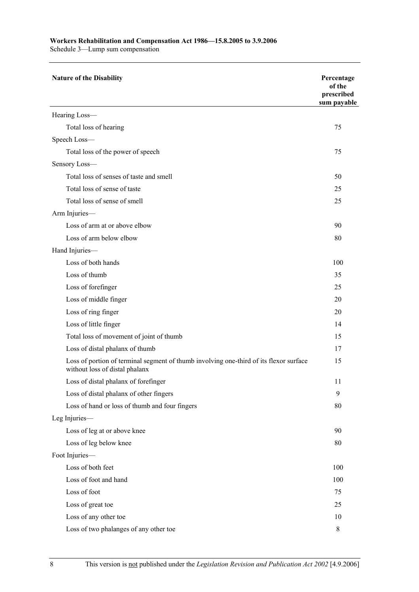#### **Workers Rehabilitation and Compensation Act 1986—15.8.2005 to 3.9.2006**

Schedule 3—Lump sum compensation

| <b>Nature of the Disability</b>                                                                                          | Percentage<br>of the<br>prescribed<br>sum payable |
|--------------------------------------------------------------------------------------------------------------------------|---------------------------------------------------|
| Hearing Loss-                                                                                                            |                                                   |
| Total loss of hearing                                                                                                    | 75                                                |
| Speech Loss-                                                                                                             |                                                   |
| Total loss of the power of speech                                                                                        | 75                                                |
| Sensory Loss-                                                                                                            |                                                   |
| Total loss of senses of taste and smell                                                                                  | 50                                                |
| Total loss of sense of taste                                                                                             | 25                                                |
| Total loss of sense of smell                                                                                             | 25                                                |
| Arm Injuries-                                                                                                            |                                                   |
| Loss of arm at or above elbow                                                                                            | 90                                                |
| Loss of arm below elbow                                                                                                  | 80                                                |
| Hand Injuries-                                                                                                           |                                                   |
| Loss of both hands                                                                                                       | 100                                               |
| Loss of thumb                                                                                                            | 35                                                |
| Loss of forefinger                                                                                                       | 25                                                |
| Loss of middle finger                                                                                                    | 20                                                |
| Loss of ring finger                                                                                                      | 20                                                |
| Loss of little finger                                                                                                    | 14                                                |
| Total loss of movement of joint of thumb                                                                                 | 15                                                |
| Loss of distal phalanx of thumb                                                                                          | 17                                                |
| Loss of portion of terminal segment of thumb involving one-third of its flexor surface<br>without loss of distal phalanx | 15                                                |
| Loss of distal phalanx of forefinger                                                                                     | 11                                                |
| Loss of distal phalanx of other fingers                                                                                  | 9                                                 |
| Loss of hand or loss of thumb and four fingers                                                                           | 80                                                |
| Leg Injuries-                                                                                                            |                                                   |
| Loss of leg at or above knee                                                                                             | 90                                                |
| Loss of leg below knee                                                                                                   | 80                                                |
| Foot Injuries-                                                                                                           |                                                   |
| Loss of both feet                                                                                                        | 100                                               |
| Loss of foot and hand                                                                                                    | 100                                               |
| Loss of foot                                                                                                             | 75                                                |
| Loss of great toe                                                                                                        | 25                                                |
| Loss of any other toe                                                                                                    | 10                                                |
| Loss of two phalanges of any other toe                                                                                   | $8\,$                                             |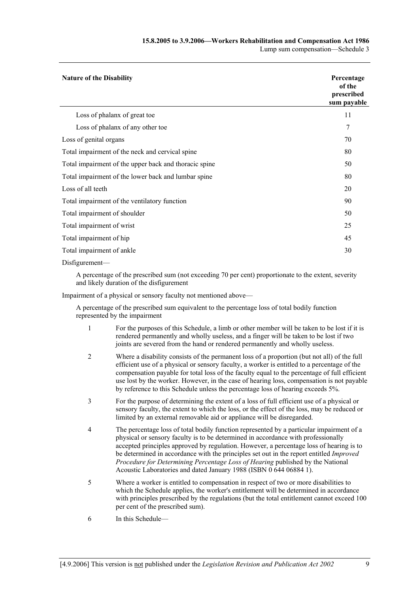| <b>Nature of the Disability</b>                       | Percentage<br>of the<br>prescribed<br>sum payable |
|-------------------------------------------------------|---------------------------------------------------|
| Loss of phalanx of great toe                          | 11                                                |
| Loss of phalanx of any other toe                      | 7                                                 |
| Loss of genital organs                                | 70                                                |
| Total impairment of the neck and cervical spine       | 80                                                |
| Total impairment of the upper back and thoracic spine | 50                                                |
| Total impairment of the lower back and lumbar spine   | 80                                                |
| Loss of all teeth                                     | 20                                                |
| Total impairment of the ventilatory function          | 90                                                |
| Total impairment of shoulder                          | 50                                                |
| Total impairment of wrist                             | 25                                                |
| Total impairment of hip                               | 45                                                |
| Total impairment of ankle                             | 30                                                |
| $Dis$ figurement—                                     |                                                   |

A percentage of the prescribed sum (not exceeding 70 per cent) proportionate to the extent, severity and likely duration of the disfigurement

Impairment of a physical or sensory faculty not mentioned above—

A percentage of the prescribed sum equivalent to the percentage loss of total bodily function represented by the impairment

- 1 For the purposes of this Schedule, a limb or other member will be taken to be lost if it is rendered permanently and wholly useless, and a finger will be taken to be lost if two joints are severed from the hand or rendered permanently and wholly useless.
- 2 Where a disability consists of the permanent loss of a proportion (but not all) of the full efficient use of a physical or sensory faculty, a worker is entitled to a percentage of the compensation payable for total loss of the faculty equal to the percentage of full efficient use lost by the worker. However, in the case of hearing loss, compensation is not payable by reference to this Schedule unless the percentage loss of hearing exceeds 5%.
- 3 For the purpose of determining the extent of a loss of full efficient use of a physical or sensory faculty, the extent to which the loss, or the effect of the loss, may be reduced or limited by an external removable aid or appliance will be disregarded.
- 4 The percentage loss of total bodily function represented by a particular impairment of a physical or sensory faculty is to be determined in accordance with professionally accepted principles approved by regulation. However, a percentage loss of hearing is to be determined in accordance with the principles set out in the report entitled *Improved Procedure for Determining Percentage Loss of Hearing* published by the National Acoustic Laboratories and dated January 1988 (ISBN 0 644 06884 1).
- 5 Where a worker is entitled to compensation in respect of two or more disabilities to which the Schedule applies, the worker's entitlement will be determined in accordance with principles prescribed by the regulations (but the total entitlement cannot exceed 100 per cent of the prescribed sum).
- 6 In this Schedule—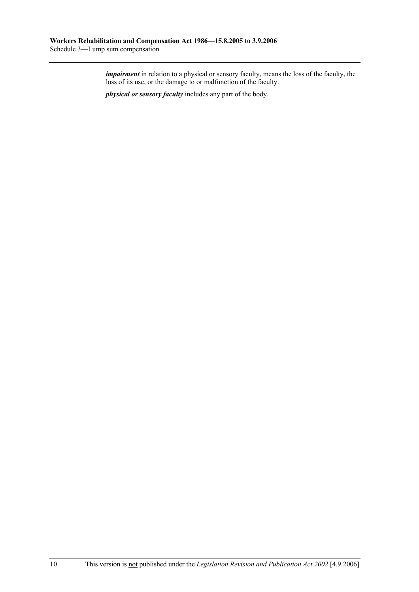*impairment* in relation to a physical or sensory faculty, means the loss of the faculty, the loss of its use, or the damage to or malfunction of the faculty.

*physical or sensory faculty* includes any part of the body.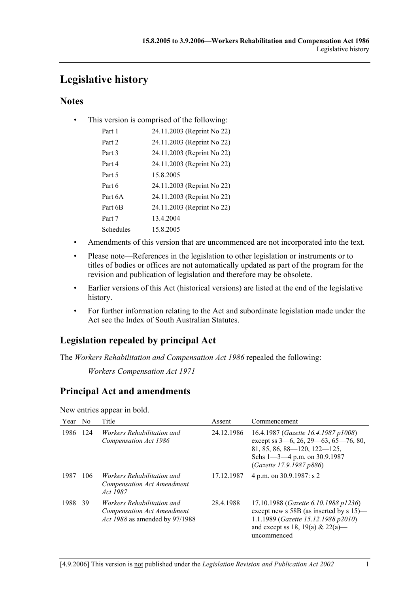# **Legislative history**

# **Notes**

• This version is comprised of the following:

| 24.11.2003 (Reprint No 22) |
|----------------------------|
| 24.11.2003 (Reprint No 22) |
| 24.11.2003 (Reprint No 22) |
| 24.11.2003 (Reprint No 22) |
|                            |
| 24.11.2003 (Reprint No 22) |
| 24.11.2003 (Reprint No 22) |
| 24.11.2003 (Reprint No 22) |
|                            |
|                            |
|                            |

- Amendments of this version that are uncommenced are not incorporated into the text.
- Please note—References in the legislation to other legislation or instruments or to titles of bodies or offices are not automatically updated as part of the program for the revision and publication of legislation and therefore may be obsolete.
- Earlier versions of this Act (historical versions) are listed at the end of the legislative history.
- For further information relating to the Act and subordinate legislation made under the Act see the Index of South Australian Statutes.

# **Legislation repealed by principal Act**

The *Workers Rehabilitation and Compensation Act 1986* repealed the following:

*Workers Compensation Act 1971*

# **Principal Act and amendments**

New entries appear in bold.

| Year | N0  | Title                                                                                      | Assent     | Commencement                                                                                                                                                                                       |
|------|-----|--------------------------------------------------------------------------------------------|------------|----------------------------------------------------------------------------------------------------------------------------------------------------------------------------------------------------|
| 1986 | 124 | Workers Rehabilitation and<br>Compensation Act 1986                                        | 24.12.1986 | 16.4.1987 (Gazette 16.4.1987 p1008)<br>except ss $3-6$ , $26$ , $29-63$ , $65-76$ , $80$ ,<br>$81, 85, 86, 88 - 120, 122 - 125,$<br>Schs $1 - 3 - 4$ p.m. on 30.9.1987<br>(Gazette 17.9.1987 p886) |
| 1987 | 106 | Workers Rehabilitation and<br>Compensation Act Amendment<br><i>Act</i> 1987                | 17.12.1987 | 4 p.m. on 30.9.1987: s 2                                                                                                                                                                           |
| 1988 | 39  | Workers Rehabilitation and<br>Compensation Act Amendment<br>Act 1988 as amended by 97/1988 | 28.4.1988  | 17.10.1988 (Gazette 6.10.1988 p1236)<br>except new s 58B (as inserted by s 15)—<br>1.1.1989 (Gazette 15.12.1988 p2010)<br>and except ss 18, 19(a) & 22(a)—<br>uncommenced                          |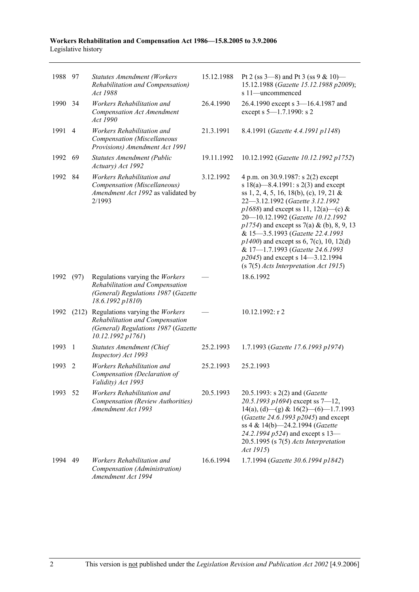| 1988 97 |      | <b>Statutes Amendment (Workers</b><br>Rehabilitation and Compensation)<br>Act 1988                                                  | 15.12.1988 | Pt 2 (ss $3-8$ ) and Pt 3 (ss $9 & 10$ )<br>15.12.1988 (Gazette 15.12.1988 p2009);<br>s 11—uncommenced                                                                                                                                                                                                                                                                                                                                                                                            |
|---------|------|-------------------------------------------------------------------------------------------------------------------------------------|------------|---------------------------------------------------------------------------------------------------------------------------------------------------------------------------------------------------------------------------------------------------------------------------------------------------------------------------------------------------------------------------------------------------------------------------------------------------------------------------------------------------|
| 1990 34 |      | Workers Rehabilitation and<br><b>Compensation Act Amendment</b><br>Act 1990                                                         | 26.4.1990  | 26.4.1990 except s 3-16.4.1987 and<br>except s 5-1.7.1990: s 2                                                                                                                                                                                                                                                                                                                                                                                                                                    |
| 1991    | 4    | Workers Rehabilitation and<br>Compensation (Miscellaneous<br>Provisions) Amendment Act 1991                                         | 21.3.1991  | 8.4.1991 (Gazette 4.4.1991 p1148)                                                                                                                                                                                                                                                                                                                                                                                                                                                                 |
| 1992    | 69   | Statutes Amendment (Public<br>Actuary) Act 1992                                                                                     | 19.11.1992 | 10.12.1992 (Gazette 10.12.1992 p1752)                                                                                                                                                                                                                                                                                                                                                                                                                                                             |
| 1992    | 84   | Workers Rehabilitation and<br>Compensation (Miscellaneous)<br>Amendment Act 1992 as validated by<br>2/1993                          | 3.12.1992  | 4 p.m. on 30.9.1987: s 2(2) except<br>s $18(a)$ —8.4.1991: s $2(3)$ and except<br>ss 1, 2, 4, 5, 16, 18(b), (c), 19, 21 &<br>22-3.12.1992 (Gazette 3.12.1992<br>$p1688$ ) and except ss 11, 12(a)—(c) &<br>20-10.12.1992 (Gazette 10.12.1992<br>$p1754$ ) and except ss 7(a) & (b), 8, 9, 13<br>& 15-3.5.1993 (Gazette 22.4.1993<br>$p1400$ ) and except ss 6, 7(c), 10, 12(d)<br>& 17-1.7.1993 (Gazette 24.6.1993<br>p2045) and except s 14–3.12.1994<br>$(s 7(5)$ Acts Interpretation Act 1915) |
| 1992    | (97) | Regulations varying the Workers<br>Rehabilitation and Compensation<br>(General) Regulations 1987 (Gazette<br>18.6.1992 p1810)       |            | 18.6.1992                                                                                                                                                                                                                                                                                                                                                                                                                                                                                         |
| 1992    |      | (212) Regulations varying the Workers<br>Rehabilitation and Compensation<br>(General) Regulations 1987 (Gazette<br>10.12.1992 p1761 |            | $10.12.1992$ : r 2                                                                                                                                                                                                                                                                                                                                                                                                                                                                                |
| 1993    | 1    | Statutes Amendment (Chief<br>Inspector) Act 1993                                                                                    | 25.2.1993  | 1.7.1993 (Gazette 17.6.1993 p1974)                                                                                                                                                                                                                                                                                                                                                                                                                                                                |
| 1993    | 2    | Workers Rehabilitation and<br>Compensation (Declaration of<br>Validity) Act 1993                                                    | 25.2.1993  | 25.2.1993                                                                                                                                                                                                                                                                                                                                                                                                                                                                                         |
| 1993    | 52   | Workers Rehabilitation and<br>Compensation (Review Authorities)<br>Amendment Act 1993                                               | 20.5.1993  | 20.5.1993: s 2(2) and (Gazette<br>20.5.1993 p1694) except ss $7-12$ ,<br>14(a), (d)—(g) & 16(2)—(6)—1.7.1993<br>(Gazette 24.6.1993 p2045) and except<br>ss 4 & 14(b)-24.2.1994 (Gazette<br>24.2.1994 p524) and except s 13-<br>$20.5.1995$ (s $7(5)$ Acts Interpretation<br>Act 1915)                                                                                                                                                                                                             |
| 1994    | 49   | Workers Rehabilitation and<br>Compensation (Administration)<br>Amendment Act 1994                                                   | 16.6.1994  | 1.7.1994 (Gazette 30.6.1994 p1842)                                                                                                                                                                                                                                                                                                                                                                                                                                                                |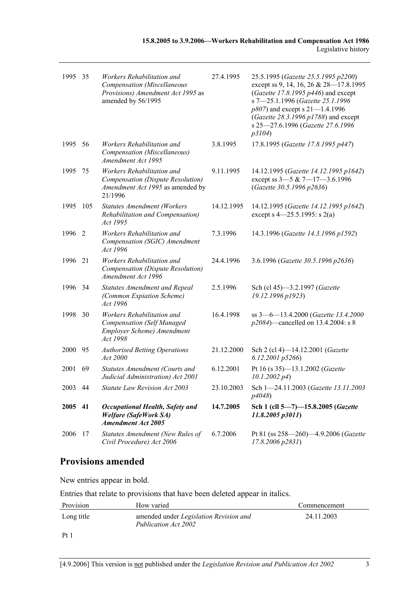| 1995 35 |     | Workers Rehabilitation and<br>Compensation (Miscellaneous<br>Provisions) Amendment Act 1995 as<br>amended by 56/1995 | 27.4.1995  | 25.5.1995 (Gazette 25.5.1995 p2200)<br>except ss 9, 14, 16, 26 & 28-17.8.1995<br>(Gazette 17.8.1995 p446) and except<br>s 7-25.1.1996 (Gazette 25.1.1996<br>$p807$ ) and except s 21–1.4.1996<br>(Gazette 28.3.1996 p1788) and except<br>s 25-27.6.1996 (Gazette 27.6.1996<br>p3104) |
|---------|-----|----------------------------------------------------------------------------------------------------------------------|------------|--------------------------------------------------------------------------------------------------------------------------------------------------------------------------------------------------------------------------------------------------------------------------------------|
| 1995    | 56  | Workers Rehabilitation and<br>Compensation (Miscellaneous)<br>Amendment Act 1995                                     | 3.8.1995   | 17.8.1995 (Gazette 17.8.1995 p447)                                                                                                                                                                                                                                                   |
| 1995    | 75  | Workers Rehabilitation and<br>Compensation (Dispute Resolution)<br>Amendment Act 1995 as amended by<br>21/1996       | 9.11.1995  | 14.12.1995 (Gazette 14.12.1995 p1642)<br>except ss $3-5$ & $7-17-3.6.1996$<br>(Gazette 30.5.1996 p2636)                                                                                                                                                                              |
| 1995    | 105 | <b>Statutes Amendment (Workers</b><br>Rehabilitation and Compensation)<br>Act 1995                                   | 14.12.1995 | 14.12.1995 (Gazette 14.12.1995 p1642)<br>except s $4 - 25.5.1995$ : s $2(a)$                                                                                                                                                                                                         |
| 1996    | 2   | Workers Rehabilitation and<br>Compensation (SGIC) Amendment<br>Act 1996                                              | 7.3.1996   | 14.3.1996 (Gazette 14.3.1996 p1592)                                                                                                                                                                                                                                                  |
| 1996    | 21  | Workers Rehabilitation and<br>Compensation (Dispute Resolution)<br>Amendment Act 1996                                | 24.4.1996  | 3.6.1996 (Gazette 30.5.1996 p2636)                                                                                                                                                                                                                                                   |
| 1996 34 |     | <b>Statutes Amendment and Repeal</b><br>(Common Expiation Scheme)<br>Act 1996                                        | 2.5.1996   | Sch (cl 45)-3.2.1997 (Gazette<br>19.12.1996 p1923)                                                                                                                                                                                                                                   |
| 1998    | 30  | Workers Rehabilitation and<br><b>Compensation</b> (Self Managed<br>Employer Scheme) Amendment<br>Act 1998            | 16.4.1998  | ss 3-6-13.4.2000 (Gazette 13.4.2000<br>$p2084$ )—cancelled on 13.4.2004: s 8                                                                                                                                                                                                         |
| 2000 95 |     | <b>Authorised Betting Operations</b><br>Act 2000                                                                     | 21.12.2000 | Sch 2 (cl 4)-14.12.2001 (Gazette<br>$6.12.2001$ $p5266$ )                                                                                                                                                                                                                            |
| 2001    | 69  | Statutes Amendment (Courts and<br>Judicial Administration) Act 2001                                                  | 6.12.2001  | Pt 16 (s 35)-13.1.2002 (Gazette<br>$10.1.2002\ p4$                                                                                                                                                                                                                                   |
| 2003 44 |     | <b>Statute Law Revision Act 2003</b>                                                                                 | 23.10.2003 | Sch 1-24.11.2003 (Gazette 13.11.2003)<br>p4048)                                                                                                                                                                                                                                      |
| 2005    | 41  | <b>Occupational Health, Safety and</b><br><b>Welfare (SafeWork SA)</b><br><b>Amendment Act 2005</b>                  | 14.7.2005  | Sch 1 (cll 5-7)-15.8.2005 (Gazette<br>11.8.2005 p3011)                                                                                                                                                                                                                               |
| 2006    | 17  | Statutes Amendment (New Rules of<br>Civil Procedure) Act 2006                                                        | 6.7.2006   | Pt 81 (ss 258-260)-4.9.2006 (Gazette<br>17.8.2006 p2831)                                                                                                                                                                                                                             |

# **Provisions amended**

New entries appear in bold.

Entries that relate to provisions that have been deleted appear in italics.

| Provision  | How varied                                                            | Commencement |
|------------|-----------------------------------------------------------------------|--------------|
| Long title | amended under <i>Legislation Revision and</i><br>Publication Act 2002 | 24.11.2003   |
| $Pt$ )     |                                                                       |              |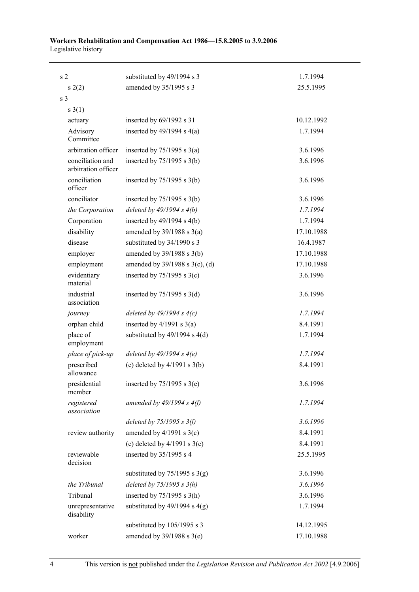| s <sub>2</sub>                          | substituted by 49/1994 s 3          | 1.7.1994   |
|-----------------------------------------|-------------------------------------|------------|
| s(2)                                    | amended by 35/1995 s 3              | 25.5.1995  |
| s 3                                     |                                     |            |
| $s \; 3(1)$                             |                                     |            |
| actuary                                 | inserted by $69/1992$ s 31          | 10.12.1992 |
| Advisory<br>Committee                   | inserted by $49/1994$ s $4(a)$      | 1.7.1994   |
| arbitration officer                     | inserted by $75/1995$ s $3(a)$      | 3.6.1996   |
| conciliation and<br>arbitration officer | inserted by $75/1995$ s $3(b)$      | 3.6.1996   |
| conciliation<br>officer                 | inserted by $75/1995$ s $3(b)$      | 3.6.1996   |
| conciliator                             | inserted by $75/1995$ s 3(b)        | 3.6.1996   |
| the Corporation                         | deleted by $49/1994 s 4(b)$         | 1.7.1994   |
| Corporation                             | inserted by $49/1994$ s $4(b)$      | 1.7.1994   |
| disability                              | amended by $39/1988$ s $3(a)$       | 17.10.1988 |
| disease                                 | substituted by 34/1990 s 3          | 16.4.1987  |
| employer                                | amended by $39/1988$ s $3(b)$       | 17.10.1988 |
| employment                              | amended by $39/1988$ s $3(c)$ , (d) | 17.10.1988 |
| evidentiary<br>material                 | inserted by $75/1995$ s 3(c)        | 3.6.1996   |
| industrial<br>association               | inserted by $75/1995$ s 3(d)        | 3.6.1996   |
| journey                                 | deleted by $49/1994 s 4(c)$         | 1.7.1994   |
| orphan child                            | inserted by $4/1991$ s $3(a)$       | 8.4.1991   |
| place of<br>employment                  | substituted by $49/1994$ s $4(d)$   | 1.7.1994   |
| place of pick-up                        | deleted by $49/1994 s 4(e)$         | 1.7.1994   |
| prescribed<br>allowance                 | (c) deleted by $4/1991$ s $3(b)$    | 8.4.1991   |
| presidential<br>member                  | inserted by $75/1995$ s $3(e)$      | 3.6.1996   |
| registered<br>association               | amended by $49/1994 s 4(f)$         | 1.7.1994   |
|                                         | deleted by $75/1995 s 3(f)$         | 3.6.1996   |
| review authority                        | amended by $4/1991$ s 3(c)          | 8.4.1991   |
|                                         | (c) deleted by $4/1991$ s $3(c)$    | 8.4.1991   |
| reviewable<br>decision                  | inserted by 35/1995 s 4             | 25.5.1995  |
|                                         | substituted by $75/1995$ s 3(g)     | 3.6.1996   |
| the Tribunal                            | deleted by $75/1995 s 3(h)$         | 3.6.1996   |
| Tribunal                                | inserted by $75/1995$ s 3(h)        | 3.6.1996   |
| unrepresentative<br>disability          | substituted by $49/1994$ s $4(g)$   | 1.7.1994   |
|                                         | substituted by 105/1995 s 3         | 14.12.1995 |
| worker                                  | amended by 39/1988 s 3(e)           | 17.10.1988 |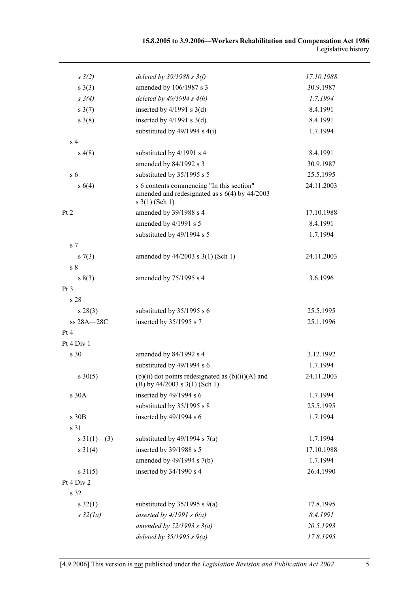| $s \frac{3}{2}$    | deleted by $39/1988$ s $3(f)$                                                                                          | 17.10.1988 |
|--------------------|------------------------------------------------------------------------------------------------------------------------|------------|
| $s \; 3(3)$        | amended by 106/1987 s 3                                                                                                | 30.9.1987  |
| $s \; 3(4)$        | deleted by $49/1994 s 4(h)$                                                                                            | 1.7.1994   |
| $s \frac{3(7)}{2}$ | inserted by $4/1991$ s $3(d)$                                                                                          | 8.4.1991   |
| $s \; 3(8)$        | inserted by $4/1991$ s $3(d)$                                                                                          | 8.4.1991   |
|                    | substituted by $49/1994$ s $4(i)$                                                                                      | 1.7.1994   |
| s <sub>4</sub>     |                                                                                                                        |            |
| s(4(8))            | substituted by 4/1991 s 4                                                                                              | 8.4.1991   |
|                    | amended by 84/1992 s 3                                                                                                 | 30.9.1987  |
| s <sub>6</sub>     | substituted by 35/1995 s 5                                                                                             | 25.5.1995  |
| s 6(4)             | s 6 contents commencing "In this section"<br>amended and redesignated as $s$ 6(4) by 44/2003<br>$s \frac{3(1)}{Sch 1}$ | 24.11.2003 |
| Pt 2               | amended by 39/1988 s 4                                                                                                 | 17.10.1988 |
|                    | amended by 4/1991 s 5                                                                                                  | 8.4.1991   |
|                    | substituted by 49/1994 s 5                                                                                             | 1.7.1994   |
| s <sub>7</sub>     |                                                                                                                        |            |
| s(7(3))            | amended by $44/2003$ s $3(1)$ (Sch 1)                                                                                  | 24.11.2003 |
| s <sub>8</sub>     |                                                                                                                        |            |
| s(3)               | amended by 75/1995 s 4                                                                                                 | 3.6.1996   |
| Pt <sub>3</sub>    |                                                                                                                        |            |
| s 28               |                                                                                                                        |            |
| $s\,28(3)$         | substituted by 35/1995 s 6                                                                                             | 25.5.1995  |
| ss 28A-28C         | inserted by 35/1995 s 7                                                                                                | 25.1.1996  |
| Pt 4               |                                                                                                                        |            |
| Pt 4 Div 1         |                                                                                                                        |            |
| s 30               | amended by 84/1992 s 4                                                                                                 | 3.12.1992  |
|                    | substituted by 49/1994 s 6                                                                                             | 1.7.1994   |
| $s \ 30(5)$        | $(b)(ii)$ dot points redesignated as $(b)(ii)(A)$ and<br>(B) by $44/2003$ s $3(1)$ (Sch 1)                             | 24.11.2003 |
| s 30A              | inserted by $49/1994$ s 6                                                                                              | 1.7.1994   |
|                    | substituted by 35/1995 s 8                                                                                             | 25.5.1995  |
| s 30B              | inserted by $49/1994$ s 6                                                                                              | 1.7.1994   |
| s 31               |                                                                                                                        |            |
| s $31(1)$ – (3)    | substituted by $49/1994$ s $7(a)$                                                                                      | 1.7.1994   |
| $s \, 31(4)$       | inserted by 39/1988 s 5                                                                                                | 17.10.1988 |
|                    | amended by 49/1994 s 7(b)                                                                                              | 1.7.1994   |
| $s \, 31(5)$       | inserted by 34/1990 s 4                                                                                                | 26.4.1990  |
| Pt 4 Div 2         |                                                                                                                        |            |
| s 32               |                                                                                                                        |            |
| $s \, 32(1)$       | substituted by $35/1995$ s $9(a)$                                                                                      | 17.8.1995  |
| $s\,32(la)$        | inserted by $4/1991 s 6(a)$                                                                                            | 8.4.1991   |
|                    | amended by $52/1993$ s $3(a)$                                                                                          | 20.5.1993  |
|                    | deleted by $35/1995 s 9(a)$                                                                                            | 17.8.1995  |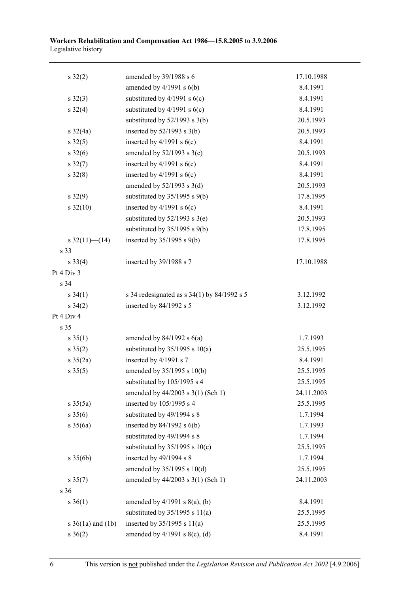| $s \, 32(2)$          | amended by 39/1988 s 6                          | 17.10.1988 |
|-----------------------|-------------------------------------------------|------------|
|                       | amended by $4/1991$ s $6(b)$                    | 8.4.1991   |
| $s \, 32(3)$          | substituted by $4/1991$ s $6(c)$                | 8.4.1991   |
| $s \, 32(4)$          | substituted by $4/1991$ s $6(c)$                | 8.4.1991   |
|                       | substituted by $52/1993$ s $3(b)$               | 20.5.1993  |
| $s \frac{32}{4a}$     | inserted by $52/1993$ s $3(b)$                  | 20.5.1993  |
| $s \, 32(5)$          | inserted by $4/1991$ s $6(c)$                   | 8.4.1991   |
| $s \, 32(6)$          | amended by $52/1993$ s $3(c)$                   | 20.5.1993  |
| $s \, 32(7)$          | inserted by $4/1991$ s $6(c)$                   | 8.4.1991   |
| $s \, 32(8)$          | inserted by $4/1991$ s $6(c)$                   | 8.4.1991   |
|                       | amended by $52/1993$ s $3(d)$                   | 20.5.1993  |
| $s\ 32(9)$            | substituted by $35/1995$ s $9(b)$               | 17.8.1995  |
| $s \frac{32(10)}{2}$  | inserted by $4/1991$ s $6(c)$                   | 8.4.1991   |
|                       | substituted by $52/1993$ s $3(e)$               | 20.5.1993  |
|                       | substituted by $35/1995$ s $9(b)$               | 17.8.1995  |
| s $32(11)$ (14)       | inserted by $35/1995$ s $9(b)$                  | 17.8.1995  |
| s 33                  |                                                 |            |
| $s \, 33(4)$          | inserted by 39/1988 s 7                         | 17.10.1988 |
| Pt 4 Div 3            |                                                 |            |
| s 34                  |                                                 |            |
| $s \, 34(1)$          | s 34 redesignated as s $34(1)$ by $84/1992$ s 5 | 3.12.1992  |
| $s \frac{34(2)}{2}$   | inserted by 84/1992 s 5                         | 3.12.1992  |
| Pt 4 Div 4            |                                                 |            |
| s 35                  |                                                 |            |
| $s \, 35(1)$          | amended by $84/1992$ s $6(a)$                   | 1.7.1993   |
| $s \, 35(2)$          | substituted by $35/1995$ s $10(a)$              | 25.5.1995  |
| $s \frac{35(2a)}{2}$  | inserted by 4/1991 s 7                          | 8.4.1991   |
| $s \, 35(5)$          | amended by 35/1995 s 10(b)                      | 25.5.1995  |
|                       | substituted by 105/1995 s 4                     | 25.5.1995  |
|                       | amended by 44/2003 s 3(1) (Sch 1)               | 24.11.2003 |
| $s \, 35(5a)$         | inserted by 105/1995 s 4                        | 25.5.1995  |
| $s \; 35(6)$          | substituted by 49/1994 s 8                      | 1.7.1994   |
| $s \frac{35(6a)}{2}$  | inserted by $84/1992$ s $6(b)$                  | 1.7.1993   |
|                       | substituted by 49/1994 s 8                      | 1.7.1994   |
|                       | substituted by $35/1995$ s $10(c)$              | 25.5.1995  |
| $s \; 35(6b)$         | inserted by 49/1994 s 8                         | 1.7.1994   |
|                       | amended by 35/1995 s 10(d)                      | 25.5.1995  |
| $s \, 35(7)$          | amended by 44/2003 s 3(1) (Sch 1)               | 24.11.2003 |
| s 36                  |                                                 |            |
| $s \ 36(1)$           | amended by $4/1991$ s $8(a)$ , (b)              | 8.4.1991   |
|                       | substituted by $35/1995$ s $11(a)$              | 25.5.1995  |
| s $36(1a)$ and $(1b)$ | inserted by $35/1995$ s $11(a)$                 | 25.5.1995  |
| $s \ 36(2)$           | amended by $4/1991$ s $8(c)$ , (d)              | 8.4.1991   |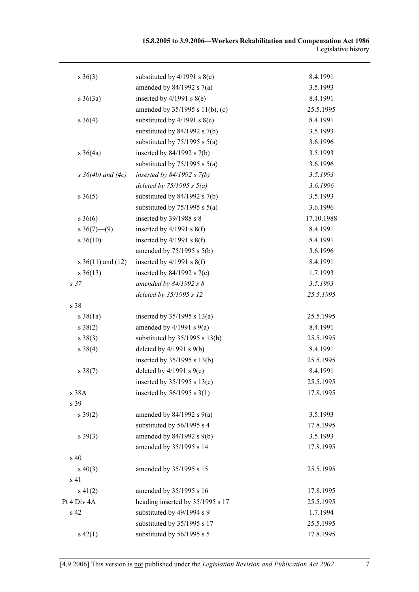| $s \ 36(3)$              | substituted by $4/1991$ s $8(e)$   | 8.4.1991   |
|--------------------------|------------------------------------|------------|
|                          | amended by $84/1992$ s $7(a)$      | 3.5.1993   |
| $s \; 36(3a)$            | inserted by $4/1991$ s $8(e)$      | 8.4.1991   |
|                          | amended by 35/1995 s 11(b), (c)    | 25.5.1995  |
| $s \; 36(4)$             | substituted by $4/1991$ s $8(e)$   | 8.4.1991   |
|                          | substituted by $84/1992$ s $7(b)$  | 3.5.1993   |
|                          | substituted by $75/1995$ s $5(a)$  | 3.6.1996   |
| $s \; 36(4a)$            | inserted by $84/1992$ s $7(b)$     | 3.5.1993   |
|                          | substituted by $75/1995$ s $5(a)$  | 3.6.1996   |
| $s \, 36(4b)$ and $(4c)$ | inserted by $84/1992$ s $7(b)$     | 3.5.1993   |
|                          | deleted by $75/1995 s 5(a)$        | 3.6.1996   |
| $s \ 36(5)$              | substituted by $84/1992$ s $7(b)$  | 3.5.1993   |
|                          | substituted by $75/1995$ s $5(a)$  | 3.6.1996   |
| $s \; 36(6)$             | inserted by 39/1988 s 8            | 17.10.1988 |
| $s \ 36(7)$ (9)          | inserted by $4/1991$ s $8(f)$      | 8.4.1991   |
| $s \ 36(10)$             | inserted by $4/1991$ s $8(f)$      | 8.4.1991   |
|                          | amended by $75/1995$ s $5(b)$      | 3.6.1996   |
| s $36(11)$ and $(12)$    | inserted by $4/1991$ s $8(f)$      | 8.4.1991   |
| $s \ 36(13)$             | inserted by $84/1992$ s $7(c)$     | 1.7.1993   |
| s <sub>37</sub>          | amended by $84/1992 s 8$           | 3.5.1993   |
|                          | deleted by 35/1995 s 12            | 25.5.1995  |
| s 38                     |                                    |            |
| $s \, 38(1a)$            | inserted by $35/1995$ s $13(a)$    | 25.5.1995  |
| $s \ 38(2)$              | amended by $4/1991$ s $9(a)$       | 8.4.1991   |
| $s \ 38(3)$              | substituted by $35/1995$ s $13(b)$ | 25.5.1995  |
| $s \ 38(4)$              | deleted by $4/1991$ s $9(b)$       | 8.4.1991   |
|                          | inserted by 35/1995 s 13(b)        | 25.5.1995  |
| $s \ 38(7)$              | deleted by $4/1991$ s $9(c)$       | 8.4.1991   |
|                          | inserted by $35/1995$ s $13(c)$    | 25.5.1995  |
| s 38A                    | inserted by $56/1995$ s $3(1)$     | 17.8.1995  |
| s 39                     |                                    |            |
| $s \, 39(2)$             | amended by $84/1992$ s $9(a)$      | 3.5.1993   |
|                          | substituted by 56/1995 s 4         | 17.8.1995  |
| $s \, 39(3)$             | amended by 84/1992 s 9(b)          | 3.5.1993   |
|                          | amended by 35/1995 s 14            | 17.8.1995  |
| s 40                     |                                    |            |
| $s\ 40(3)$               | amended by 35/1995 s 15            | 25.5.1995  |
| s 41                     |                                    |            |
| $s\ 41(2)$               | amended by 35/1995 s 16            | 17.8.1995  |
| Pt 4 Div 4A              | heading inserted by 35/1995 s 17   | 25.5.1995  |
| s 42                     | substituted by 49/1994 s 9         | 1.7.1994   |
|                          | substituted by 35/1995 s 17        | 25.5.1995  |
| $s\ 42(1)$               | substituted by 56/1995 s 5         | 17.8.1995  |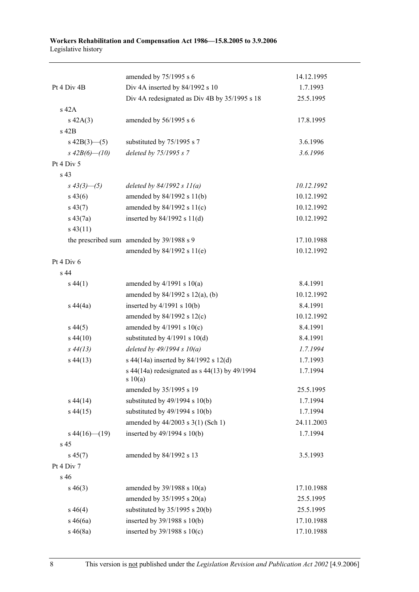|                   | amended by 75/1995 s 6                                   | 14.12.1995 |
|-------------------|----------------------------------------------------------|------------|
| Pt 4 Div 4B       | Div 4A inserted by 84/1992 s 10                          | 1.7.1993   |
|                   | Div 4A redesignated as Div 4B by 35/1995 s 18            | 25.5.1995  |
| s 42A             |                                                          |            |
| $s\ 42A(3)$       | amended by 56/1995 s 6                                   | 17.8.1995  |
| s 42B             |                                                          |            |
| $s\ 42B(3)$ (5)   | substituted by 75/1995 s 7                               | 3.6.1996   |
| s $42B(6)$ - (10) | deleted by 75/1995 s 7                                   | 3.6.1996   |
| Pt 4 Div 5        |                                                          |            |
| s 43              |                                                          |            |
| $s\,43(3)$ - (5)  | deleted by $84/1992 s 11(a)$                             | 10.12.1992 |
| $s\,43(6)$        | amended by 84/1992 s 11(b)                               | 10.12.1992 |
| $s\,43(7)$        | amended by 84/1992 s 11(c)                               | 10.12.1992 |
| $s\,43(7a)$       | inserted by $84/1992$ s $11(d)$                          | 10.12.1992 |
| $s\,43(11)$       |                                                          |            |
|                   | the prescribed sum amended by 39/1988 s 9                | 17.10.1988 |
|                   | amended by $84/1992$ s $11(e)$                           | 10.12.1992 |
| Pt 4 Div 6        |                                                          |            |
| s 44              |                                                          |            |
| $s\,44(1)$        | amended by $4/1991$ s $10(a)$                            | 8.4.1991   |
|                   | amended by $84/1992$ s $12(a)$ , (b)                     | 10.12.1992 |
| $s\,44(4a)$       | inserted by $4/1991$ s $10(b)$                           | 8.4.1991   |
|                   | amended by $84/1992$ s $12(c)$                           | 10.12.1992 |
| $s\,44(5)$        | amended by $4/1991$ s $10(c)$                            | 8.4.1991   |
| $s\,44(10)$       | substituted by $4/1991$ s $10(d)$                        | 8.4.1991   |
| $s\,44(13)$       | deleted by $49/1994 s 10(a)$                             | 1.7.1994   |
| $s\,44(13)$       | s 44(14a) inserted by 84/1992 s 12(d)                    | 1.7.1993   |
|                   | s 44(14a) redesignated as s 44(13) by 49/1994<br>s 10(a) | 1.7.1994   |
|                   | amended by 35/1995 s 19                                  | 25.5.1995  |
| $s\,44(14)$       | substituted by $49/1994$ s $10(b)$                       | 1.7.1994   |
| $s\,44(15)$       | substituted by $49/1994$ s $10(b)$                       | 1.7.1994   |
|                   | amended by 44/2003 s 3(1) (Sch 1)                        | 24.11.2003 |
| $s\,44(16)$ (19)  | inserted by 49/1994 s 10(b)                              | 1.7.1994   |
| s 45              |                                                          |            |
| $s\,45(7)$        | amended by 84/1992 s 13                                  | 3.5.1993   |
| Pt 4 Div 7        |                                                          |            |
| s 46              |                                                          |            |
| $s\,46(3)$        | amended by $39/1988$ s $10(a)$                           | 17.10.1988 |
|                   | amended by 35/1995 s 20(a)                               | 25.5.1995  |
| $s\,46(4)$        | substituted by $35/1995$ s $20(b)$                       | 25.5.1995  |
| $s\,46(6a)$       | inserted by 39/1988 s 10(b)                              | 17.10.1988 |
| $s\,46(8a)$       | inserted by $39/1988$ s $10(c)$                          | 17.10.1988 |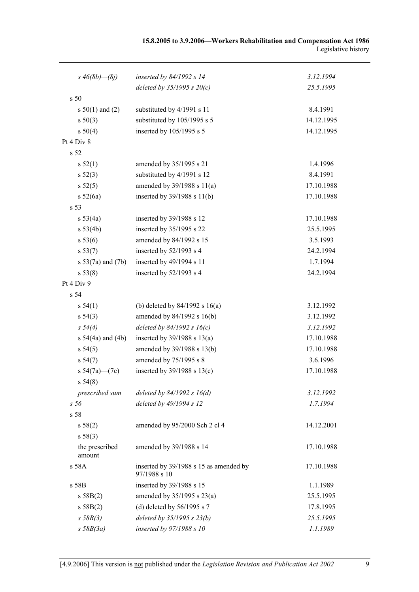| 15.8.2005 to 3.9.2006—Workers Rehabilitation and Compensation Act 1986 |                     |
|------------------------------------------------------------------------|---------------------|
|                                                                        | Legislative history |

| s $46(8b) - (8j)$        | inserted by 84/1992 s 14                               | 3.12.1994  |
|--------------------------|--------------------------------------------------------|------------|
|                          | deleted by $35/1995 s 20(c)$                           | 25.5.1995  |
| s 50                     |                                                        |            |
| s $50(1)$ and (2)        | substituted by 4/1991 s 11                             | 8.4.1991   |
| s 50(3)                  | substituted by 105/1995 s 5                            | 14.12.1995 |
| s 50(4)                  | inserted by 105/1995 s 5                               | 14.12.1995 |
| Pt 4 Div 8               |                                                        |            |
| s <sub>52</sub>          |                                                        |            |
| s 52(1)                  | amended by 35/1995 s 21                                | 1.4.1996   |
| $s\,52(3)$               | substituted by 4/1991 s 12                             | 8.4.1991   |
| s 52(5)                  | amended by $39/1988$ s $11(a)$                         | 17.10.1988 |
| s 52(6a)                 | inserted by 39/1988 s 11(b)                            | 17.10.1988 |
| s 53                     |                                                        |            |
| s 53(4a)                 | inserted by 39/1988 s 12                               | 17.10.1988 |
| s 53(4b)                 | inserted by 35/1995 s 22                               | 25.5.1995  |
| s 53(6)                  | amended by 84/1992 s 15                                | 3.5.1993   |
| s 53(7)                  | inserted by 52/1993 s 4                                | 24.2.1994  |
| s 53(7a) and (7b)        | inserted by 49/1994 s 11                               | 1.7.1994   |
| s 53(8)                  | inserted by 52/1993 s 4                                | 24.2.1994  |
| Pt 4 Div 9               |                                                        |            |
| s 54                     |                                                        |            |
| s 54(1)                  | (b) deleted by $84/1992$ s $16(a)$                     | 3.12.1992  |
| $s\,54(3)$               | amended by 84/1992 s 16(b)                             | 3.12.1992  |
| s 54(4)                  | deleted by 84/1992 s 16(c)                             | 3.12.1992  |
| s $54(4a)$ and $(4b)$    | inserted by $39/1988$ s $13(a)$                        | 17.10.1988 |
| s 54(5)                  | amended by 39/1988 s 13(b)                             | 17.10.1988 |
| s 54(7)                  | amended by 75/1995 s 8                                 | 3.6.1996   |
| s $54(7a)$ (7c)          | inserted by $39/1988$ s $13(c)$                        | 17.10.1988 |
| s 54(8)                  |                                                        |            |
| prescribed sum           | deleted by $84/1992 s 16(d)$                           | 3.12.1992  |
| s <sub>56</sub>          | deleted by 49/1994 s 12                                | 1.7.1994   |
| s 58                     |                                                        |            |
| s 58(2)                  | amended by 95/2000 Sch 2 cl 4                          | 14.12.2001 |
| s 58(3)                  |                                                        |            |
| the prescribed<br>amount | amended by 39/1988 s 14                                | 17.10.1988 |
| s 58A                    | inserted by 39/1988 s 15 as amended by<br>97/1988 s 10 | 17.10.1988 |
| s 58B                    | inserted by 39/1988 s 15                               | 1.1.1989   |
| s 58B(2)                 | amended by $35/1995$ s $23(a)$                         | 25.5.1995  |
| s 58B(2)                 | (d) deleted by $56/1995$ s 7                           | 17.8.1995  |
| s 58B(3)                 | deleted by 35/1995 s 23(b)                             | 25.5.1995  |
| $s$ 58B(3a)              | inserted by 97/1988 s 10                               | 1.1.1989   |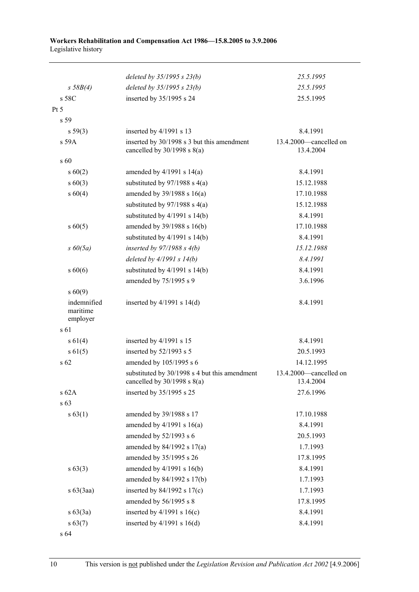|                                     | deleted by $35/1995 s 23(b)$                                                     | 25.5.1995                           |
|-------------------------------------|----------------------------------------------------------------------------------|-------------------------------------|
| $s \, 58B(4)$                       | deleted by $35/1995 s 23(b)$                                                     | 25.5.1995                           |
| s 58C                               | inserted by 35/1995 s 24                                                         | 25.5.1995                           |
| Pt 5                                |                                                                                  |                                     |
| s 59                                |                                                                                  |                                     |
| $s\,59(3)$                          | inserted by 4/1991 s 13                                                          | 8.4.1991                            |
| s 59A                               | inserted by 30/1998 s 3 but this amendment<br>cancelled by $30/1998$ s $8(a)$    | 13.4.2000—cancelled on<br>13.4.2004 |
| s 60                                |                                                                                  |                                     |
| $s\ 60(2)$                          | amended by $4/1991$ s $14(a)$                                                    | 8.4.1991                            |
| $s\ 60(3)$                          | substituted by $97/1988$ s 4(a)                                                  | 15.12.1988                          |
| $s\ 60(4)$                          | amended by $39/1988$ s $16(a)$                                                   | 17.10.1988                          |
|                                     | substituted by $97/1988$ s $4(a)$                                                | 15.12.1988                          |
|                                     | substituted by $4/1991$ s $14(b)$                                                | 8.4.1991                            |
| $s\ 60(5)$                          | amended by 39/1988 s 16(b)                                                       | 17.10.1988                          |
|                                     | substituted by $4/1991$ s $14(b)$                                                | 8.4.1991                            |
| $s\ 60(5a)$                         | inserted by $97/1988 s 4(b)$                                                     | 15.12.1988                          |
|                                     | deleted by $4/1991 s 14(b)$                                                      | 8.4.1991                            |
| $s\ 60(6)$                          | substituted by $4/1991$ s $14(b)$                                                | 8.4.1991                            |
|                                     | amended by 75/1995 s 9                                                           | 3.6.1996                            |
| $s\ 60(9)$                          |                                                                                  |                                     |
| indemnified<br>maritime<br>employer | inserted by $4/1991$ s $14(d)$                                                   | 8.4.1991                            |
| s 61                                |                                                                                  |                                     |
| $s\ 61(4)$                          | inserted by $4/1991$ s 15                                                        | 8.4.1991                            |
| $s \ 61(5)$                         | inserted by 52/1993 s 5                                                          | 20.5.1993                           |
| s 62                                | amended by 105/1995 s 6                                                          | 14.12.1995                          |
|                                     | substituted by 30/1998 s 4 but this amendment<br>cancelled by $30/1998$ s $8(a)$ | 13.4.2000-cancelled on<br>13.4.2004 |
| s 62A                               | inserted by 35/1995 s 25                                                         | 27.6.1996                           |
| s 63                                |                                                                                  |                                     |
| s 63(1)                             | amended by 39/1988 s 17                                                          | 17.10.1988                          |
|                                     | amended by $4/1991$ s $16(a)$                                                    | 8.4.1991                            |
|                                     | amended by 52/1993 s 6                                                           | 20.5.1993                           |
|                                     | amended by $84/1992$ s $17(a)$                                                   | 1.7.1993                            |
|                                     | amended by 35/1995 s 26                                                          | 17.8.1995                           |
| $s\,63(3)$                          | amended by $4/1991$ s $16(b)$                                                    | 8.4.1991                            |
|                                     | amended by 84/1992 s 17(b)                                                       | 1.7.1993                            |
| $s\ 63(3aa)$                        | inserted by $84/1992$ s $17(c)$                                                  | 1.7.1993                            |
|                                     | amended by 56/1995 s 8                                                           | 17.8.1995                           |
| $s\ 63(3a)$                         | inserted by $4/1991$ s $16(c)$                                                   | 8.4.1991                            |
| $s\,63(7)$                          | inserted by $4/1991$ s $16(d)$                                                   | 8.4.1991                            |

s 64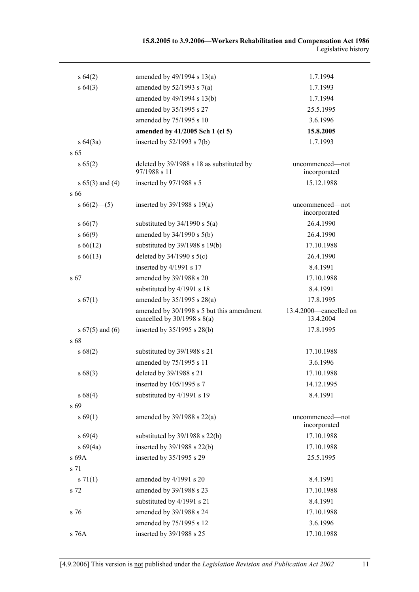| s 64(2)             | amended by 49/1994 s 13(a)                                                   | 1.7.1994                            |
|---------------------|------------------------------------------------------------------------------|-------------------------------------|
| s 64(3)             | amended by $52/1993$ s $7(a)$                                                | 1.7.1993                            |
|                     | amended by 49/1994 s 13(b)                                                   | 1.7.1994                            |
|                     | amended by 35/1995 s 27                                                      | 25.5.1995                           |
|                     | amended by 75/1995 s 10                                                      | 3.6.1996                            |
|                     | amended by 41/2005 Sch 1 (cl 5)                                              | 15.8.2005                           |
| $s\,64(3a)$         | inserted by $52/1993$ s $7(b)$                                               | 1.7.1993                            |
| $s\,65$             |                                                                              |                                     |
| s 65(2)             | deleted by 39/1988 s 18 as substituted by<br>97/1988 s 11                    | uncommenced—not<br>incorporated     |
| s $65(3)$ and $(4)$ | inserted by 97/1988 s 5                                                      | 15.12.1988                          |
| s 66                |                                                                              |                                     |
| $s66(2)$ – (5)      | inserted by $39/1988$ s $19(a)$                                              | uncommenced-not<br>incorporated     |
| $s\,66(7)$          | substituted by $34/1990$ s $5(a)$                                            | 26.4.1990                           |
| s 66(9)             | amended by 34/1990 s 5(b)                                                    | 26.4.1990                           |
| $s\,66(12)$         | substituted by 39/1988 s 19(b)                                               | 17.10.1988                          |
| $s\,66(13)$         | deleted by $34/1990$ s $5(c)$                                                | 26.4.1990                           |
|                     | inserted by 4/1991 s 17                                                      | 8.4.1991                            |
| s 67                | amended by 39/1988 s 20                                                      | 17.10.1988                          |
|                     | substituted by 4/1991 s 18                                                   | 8.4.1991                            |
| s 67(1)             | amended by 35/1995 s 28(a)                                                   | 17.8.1995                           |
|                     | amended by 30/1998 s 5 but this amendment<br>cancelled by $30/1998$ s $8(a)$ | 13.4.2000-cancelled on<br>13.4.2004 |
| s $67(5)$ and $(6)$ | inserted by 35/1995 s 28(b)                                                  | 17.8.1995                           |
| s 68                |                                                                              |                                     |
| s 68(2)             | substituted by 39/1988 s 21                                                  | 17.10.1988                          |
|                     | amended by 75/1995 s 11                                                      | 3.6.1996                            |
| s68(3)              | deleted by 39/1988 s 21                                                      | 17.10.1988                          |
|                     | inserted by 105/1995 s 7                                                     | 14.12.1995                          |
| s 68(4)             | substituted by 4/1991 s 19                                                   | 8.4.1991                            |
| s 69                |                                                                              |                                     |
| s 69(1)             | amended by $39/1988$ s $22(a)$                                               | uncommenced-not<br>incorporated     |
| s 69(4)             | substituted by $39/1988$ s $22(b)$                                           | 17.10.1988                          |
| s 69(4a)            | inserted by $39/1988$ s $22(b)$                                              | 17.10.1988                          |
| s 69A               | inserted by 35/1995 s 29                                                     | 25.5.1995                           |
| s 71                |                                                                              |                                     |
| s 71(1)             | amended by 4/1991 s 20                                                       | 8.4.1991                            |
| s 72                | amended by 39/1988 s 23                                                      | 17.10.1988                          |
|                     | substituted by 4/1991 s 21                                                   | 8.4.1991                            |
| s 76                | amended by 39/1988 s 24                                                      | 17.10.1988                          |
|                     | amended by 75/1995 s 12                                                      | 3.6.1996                            |
| s 76A               | inserted by 39/1988 s 25                                                     | 17.10.1988                          |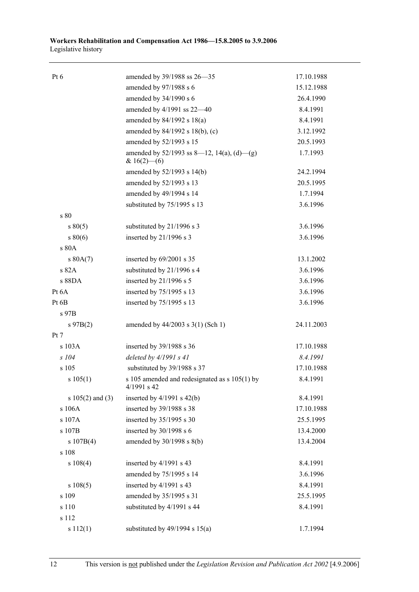| Pt <sub>6</sub>      | amended by 39/1988 ss 26–35                                     | 17.10.1988 |
|----------------------|-----------------------------------------------------------------|------------|
|                      | amended by 97/1988 s 6                                          | 15.12.1988 |
|                      | amended by 34/1990 s 6                                          | 26.4.1990  |
|                      | amended by 4/1991 ss 22-40                                      | 8.4.1991   |
|                      | amended by $84/1992$ s $18(a)$                                  | 8.4.1991   |
|                      | amended by 84/1992 s 18(b), (c)                                 | 3.12.1992  |
|                      | amended by 52/1993 s 15                                         | 20.5.1993  |
|                      | amended by $52/1993$ ss 8—12, 14(a), (d)—(g)<br>& $16(2)$ - (6) | 1.7.1993   |
|                      | amended by 52/1993 s 14(b)                                      | 24.2.1994  |
|                      | amended by 52/1993 s 13                                         | 20.5.1995  |
|                      | amended by 49/1994 s 14                                         | 1.7.1994   |
|                      | substituted by 75/1995 s 13                                     | 3.6.1996   |
| s 80                 |                                                                 |            |
| $s\,80(5)$           | substituted by 21/1996 s 3                                      | 3.6.1996   |
| $s\,80(6)$           | inserted by $21/1996$ s 3                                       | 3.6.1996   |
| s 80A                |                                                                 |            |
| s 80A(7)             | inserted by 69/2001 s 35                                        | 13.1.2002  |
| s 82A                | substituted by 21/1996 s 4                                      | 3.6.1996   |
| s 88DA               | inserted by 21/1996 s 5                                         | 3.6.1996   |
| Pt 6A                | inserted by 75/1995 s 13                                        | 3.6.1996   |
| Pt 6B                | inserted by 75/1995 s 13                                        | 3.6.1996   |
| s 97B                |                                                                 |            |
| $s\,97B(2)$          | amended by $44/2003$ s $3(1)$ (Sch 1)                           | 24.11.2003 |
| Pt 7                 |                                                                 |            |
| s 103A               | inserted by 39/1988 s 36                                        | 17.10.1988 |
| s 104                | deleted by $4/1991 s 41$                                        | 8.4.1991   |
| s 105                | substituted by 39/1988 s 37                                     | 17.10.1988 |
| s 105(1)             | s 105 amended and redesignated as s 105(1) by<br>4/1991 s 42    | 8.4.1991   |
| s $105(2)$ and $(3)$ | inserted by $4/1991$ s $42(b)$                                  | 8.4.1991   |
| s 106A               | inserted by 39/1988 s 38                                        | 17.10.1988 |
| s 107A               | inserted by 35/1995 s 30                                        | 25.5.1995  |
| s 107B               | inserted by $30/1998$ s 6                                       | 13.4.2000  |
| s 107B(4)            | amended by $30/1998$ s $8(b)$                                   | 13.4.2004  |
| s 108                |                                                                 |            |
| $s\ 108(4)$          | inserted by 4/1991 s 43                                         | 8.4.1991   |
|                      | amended by 75/1995 s 14                                         | 3.6.1996   |
| s 108(5)             | inserted by 4/1991 s 43                                         | 8.4.1991   |
| s 109                | amended by 35/1995 s 31                                         | 25.5.1995  |
| s 110                | substituted by 4/1991 s 44                                      | 8.4.1991   |
| s 112                |                                                                 |            |
| s 112(1)             | substituted by $49/1994$ s $15(a)$                              | 1.7.1994   |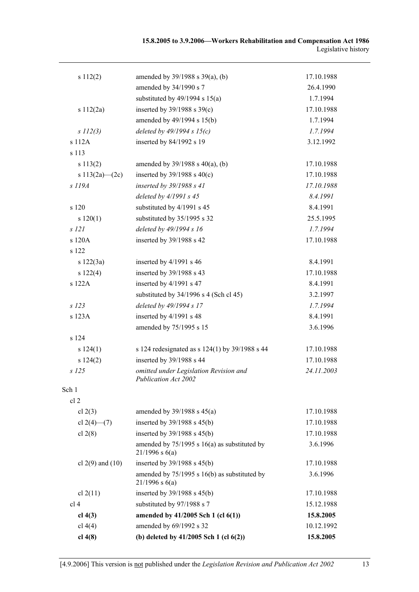| s 112(2)             | amended by 39/1988 s 39(a), (b)                                      | 17.10.1988 |
|----------------------|----------------------------------------------------------------------|------------|
|                      | amended by 34/1990 s 7                                               | 26.4.1990  |
|                      | substituted by $49/1994$ s $15(a)$                                   | 1.7.1994   |
| s 112(2a)            | inserted by $39/1988$ s $39(c)$                                      | 17.10.1988 |
|                      | amended by 49/1994 s 15(b)                                           | 1.7.1994   |
| s 112(3)             | deleted by $49/1994 s 15(c)$                                         | 1.7.1994   |
| s 112A               | inserted by 84/1992 s 19                                             | 3.12.1992  |
| s 113                |                                                                      |            |
| s 113(2)             | amended by $39/1988$ s $40(a)$ , (b)                                 | 17.10.1988 |
| s $113(2a)$ (2c)     | inserted by $39/1988$ s $40(c)$                                      | 17.10.1988 |
| s 119A               | inserted by 39/1988 s 41                                             | 17.10.1988 |
|                      | deleted by $4/1991 s 45$                                             | 8.4.1991   |
| s 120                | substituted by 4/1991 s 45                                           | 8.4.1991   |
| s 120(1)             | substituted by 35/1995 s 32                                          | 25.5.1995  |
| $s$ 121              | deleted by 49/1994 s 16                                              | 1.7.1994   |
| s 120A               | inserted by 39/1988 s 42                                             | 17.10.1988 |
| s 122                |                                                                      |            |
| s 122(3a)            | inserted by $4/1991$ s 46                                            | 8.4.1991   |
| s 122(4)             | inserted by 39/1988 s 43                                             | 17.10.1988 |
| s 122A               | inserted by 4/1991 s 47                                              | 8.4.1991   |
|                      | substituted by $34/1996$ s 4 (Sch cl 45)                             | 3.2.1997   |
| $s$ 123              | deleted by 49/1994 s 17                                              | 1.7.1994   |
| s 123A               | inserted by 4/1991 s 48                                              | 8.4.1991   |
|                      | amended by 75/1995 s 15                                              | 3.6.1996   |
| s 124                |                                                                      |            |
| s 124(1)             | s 124 redesignated as s 124(1) by 39/1988 s 44                       | 17.10.1988 |
| s 124(2)             | inserted by 39/1988 s 44                                             | 17.10.1988 |
| $s$ 125              | omitted under Legislation Revision and<br>Publication Act 2002       | 24.11.2003 |
| Sch 1                |                                                                      |            |
| cl <sub>2</sub>      |                                                                      |            |
| cl $2(3)$            | amended by $39/1988$ s $45(a)$                                       | 17.10.1988 |
| cl $2(4)$ (7)        | inserted by 39/1988 s 45(b)                                          | 17.10.1988 |
| cl $2(8)$            | inserted by 39/1988 s 45(b)                                          | 17.10.1988 |
|                      | amended by $75/1995$ s 16(a) as substituted by<br>$21/1996$ s $6(a)$ | 3.6.1996   |
| cl $2(9)$ and $(10)$ | inserted by 39/1988 s 45(b)                                          | 17.10.1988 |
|                      | amended by $75/1995$ s 16(b) as substituted by<br>$21/1996$ s $6(a)$ | 3.6.1996   |
| cl $2(11)$           | inserted by $39/1988$ s $45(b)$                                      | 17.10.1988 |
| cl <sub>4</sub>      | substituted by 97/1988 s 7                                           | 15.12.1988 |
| cl $4(3)$            | amended by 41/2005 Sch 1 (cl 6(1))                                   | 15.8.2005  |
| cl $4(4)$            | amended by 69/1992 s 32                                              | 10.12.1992 |
| cl 4(8)              | (b) deleted by $41/2005$ Sch 1 (cl $6(2)$ )                          | 15.8.2005  |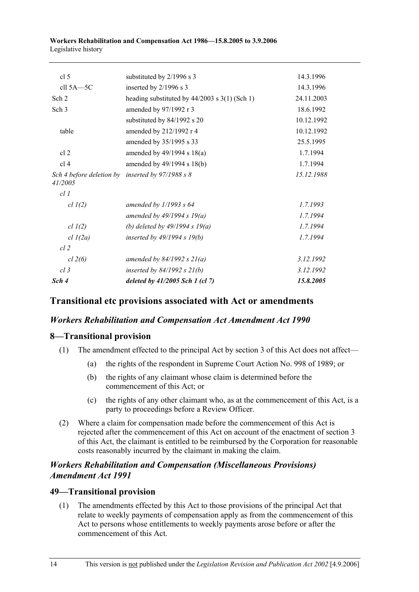| Sch 4                                                         | deleted by $41/2005$ Sch 1 (cl 7)               | 15.8.2005  |
|---------------------------------------------------------------|-------------------------------------------------|------------|
| cl <sub>3</sub>                                               | inserted by $84/1992$ s $21(b)$                 | 3.12.1992  |
| cl 2(6)                                                       | amended by $84/1992 s 21(a)$                    | 3.12.1992  |
| $cl$ 2                                                        |                                                 |            |
| $cl$ $l(2a)$                                                  | inserted by $49/1994 s 19(b)$                   | 1.7.1994   |
| $cl$ $l(2)$                                                   | (b) deleted by $49/1994 s 19(a)$                | 1.7.1994   |
|                                                               | amended by $49/1994 s 19(a)$                    | 1.7.1994   |
| $cl$ $l(2)$                                                   | amended by $1/1993 s 64$                        | 1.7.1993   |
| cl1                                                           |                                                 |            |
| Sch 4 before deletion by inserted by $97/1988 s 8$<br>41/2005 |                                                 | 15.12.1988 |
| cl <sub>4</sub>                                               | amended by 49/1994 s 18(b)                      | 1.7.1994   |
| cl <sub>2</sub>                                               | amended by 49/1994 s 18(a)                      | 1.7.1994   |
|                                                               | amended by 35/1995 s 33                         | 25.5.1995  |
| table                                                         | amended by 212/1992 r 4                         | 10.12.1992 |
|                                                               | substituted by 84/1992 s 20                     | 10.12.1992 |
| Sch <sub>3</sub>                                              | amended by 97/1992 r 3                          | 18.6.1992  |
| Sch 2                                                         | heading substituted by $44/2003$ s 3(1) (Sch 1) | 24.11.2003 |
| cll 5A-5C                                                     | inserted by 2/1996 s 3                          | 14.3.1996  |
| cl <sub>5</sub>                                               | substituted by 2/1996 s 3                       | 14.3.1996  |

## **Transitional etc provisions associated with Act or amendments**

#### *Workers Rehabilitation and Compensation Act Amendment Act 1990*

#### **8—Transitional provision**

- (1) The amendment effected to the principal Act by section 3 of this Act does not affect—
	- (a) the rights of the respondent in Supreme Court Action No. 998 of 1989; or
	- (b) the rights of any claimant whose claim is determined before the commencement of this Act; or
	- (c) the rights of any other claimant who, as at the commencement of this Act, is a party to proceedings before a Review Officer.
- (2) Where a claim for compensation made before the commencement of this Act is rejected after the commencement of this Act on account of the enactment of section 3 of this Act, the claimant is entitled to be reimbursed by the Corporation for reasonable costs reasonably incurred by the claimant in making the claim.

## *Workers Rehabilitation and Compensation (Miscellaneous Provisions) Amendment Act 1991*

#### **49—Transitional provision**

 (1) The amendments effected by this Act to those provisions of the principal Act that relate to weekly payments of compensation apply as from the commencement of this Act to persons whose entitlements to weekly payments arose before or after the commencement of this Act.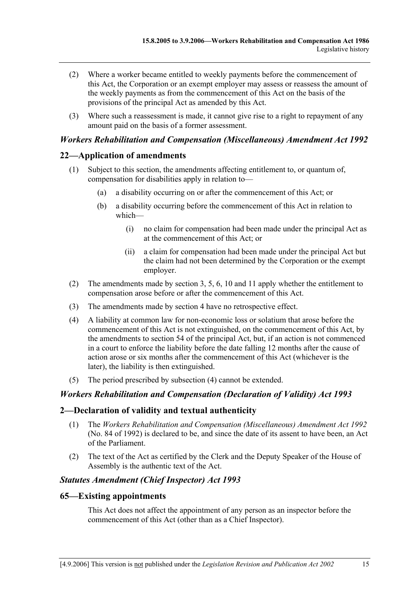- (2) Where a worker became entitled to weekly payments before the commencement of this Act, the Corporation or an exempt employer may assess or reassess the amount of the weekly payments as from the commencement of this Act on the basis of the provisions of the principal Act as amended by this Act.
- (3) Where such a reassessment is made, it cannot give rise to a right to repayment of any amount paid on the basis of a former assessment.

## *Workers Rehabilitation and Compensation (Miscellaneous) Amendment Act 1992*

#### **22—Application of amendments**

- (1) Subject to this section, the amendments affecting entitlement to, or quantum of, compensation for disabilities apply in relation to—
	- (a) a disability occurring on or after the commencement of this Act; or
	- (b) a disability occurring before the commencement of this Act in relation to which—
		- (i) no claim for compensation had been made under the principal Act as at the commencement of this Act; or
		- (ii) a claim for compensation had been made under the principal Act but the claim had not been determined by the Corporation or the exempt employer.
- (2) The amendments made by section 3, 5, 6, 10 and 11 apply whether the entitlement to compensation arose before or after the commencement of this Act.
- (3) The amendments made by section 4 have no retrospective effect.
- (4) A liability at common law for non-economic loss or solatium that arose before the commencement of this Act is not extinguished, on the commencement of this Act, by the amendments to section 54 of the principal Act, but, if an action is not commenced in a court to enforce the liability before the date falling 12 months after the cause of action arose or six months after the commencement of this Act (whichever is the later), the liability is then extinguished.
- (5) The period prescribed by subsection (4) cannot be extended.

#### *Workers Rehabilitation and Compensation (Declaration of Validity) Act 1993*

#### **2—Declaration of validity and textual authenticity**

- (1) The *Workers Rehabilitation and Compensation (Miscellaneous) Amendment Act 1992* (No. 84 of 1992) is declared to be, and since the date of its assent to have been, an Act of the Parliament.
- (2) The text of the Act as certified by the Clerk and the Deputy Speaker of the House of Assembly is the authentic text of the Act.

#### *Statutes Amendment (Chief Inspector) Act 1993*

#### **65—Existing appointments**

This Act does not affect the appointment of any person as an inspector before the commencement of this Act (other than as a Chief Inspector).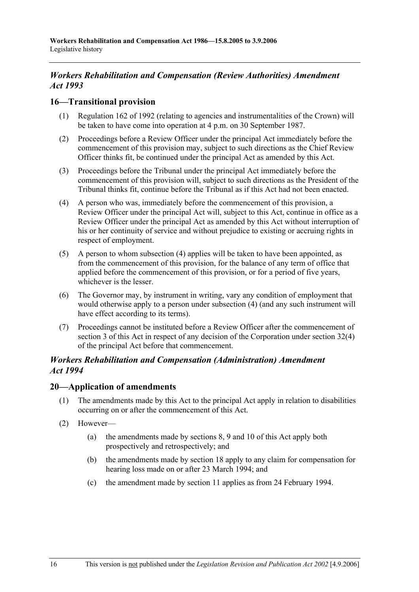# *Workers Rehabilitation and Compensation (Review Authorities) Amendment Act 1993*

### **16—Transitional provision**

- (1) Regulation 162 of 1992 (relating to agencies and instrumentalities of the Crown) will be taken to have come into operation at 4 p.m. on 30 September 1987.
- (2) Proceedings before a Review Officer under the principal Act immediately before the commencement of this provision may, subject to such directions as the Chief Review Officer thinks fit, be continued under the principal Act as amended by this Act.
- (3) Proceedings before the Tribunal under the principal Act immediately before the commencement of this provision will, subject to such directions as the President of the Tribunal thinks fit, continue before the Tribunal as if this Act had not been enacted.
- (4) A person who was, immediately before the commencement of this provision, a Review Officer under the principal Act will, subject to this Act, continue in office as a Review Officer under the principal Act as amended by this Act without interruption of his or her continuity of service and without prejudice to existing or accruing rights in respect of employment.
- (5) A person to whom subsection (4) applies will be taken to have been appointed, as from the commencement of this provision, for the balance of any term of office that applied before the commencement of this provision, or for a period of five years, whichever is the lesser.
- (6) The Governor may, by instrument in writing, vary any condition of employment that would otherwise apply to a person under subsection (4) (and any such instrument will have effect according to its terms).
- (7) Proceedings cannot be instituted before a Review Officer after the commencement of section 3 of this Act in respect of any decision of the Corporation under section 32(4) of the principal Act before that commencement.

## *Workers Rehabilitation and Compensation (Administration) Amendment Act 1994*

#### **20—Application of amendments**

- (1) The amendments made by this Act to the principal Act apply in relation to disabilities occurring on or after the commencement of this Act.
- (2) However—
	- (a) the amendments made by sections 8, 9 and 10 of this Act apply both prospectively and retrospectively; and
	- (b) the amendments made by section 18 apply to any claim for compensation for hearing loss made on or after 23 March 1994; and
	- (c) the amendment made by section 11 applies as from 24 February 1994.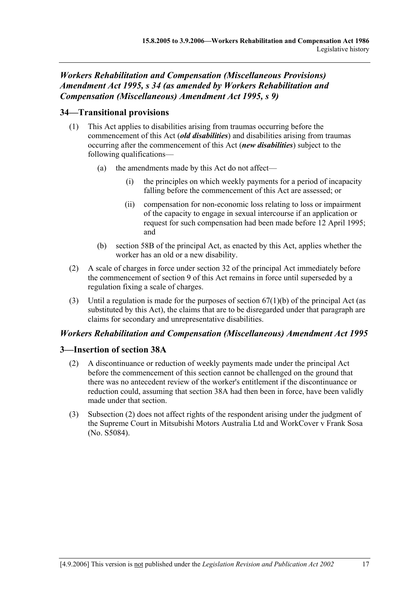# *Workers Rehabilitation and Compensation (Miscellaneous Provisions) Amendment Act 1995, s 34 (as amended by Workers Rehabilitation and Compensation (Miscellaneous) Amendment Act 1995, s 9)*

# **34—Transitional provisions**

- (1) This Act applies to disabilities arising from traumas occurring before the commencement of this Act (*old disabilities*) and disabilities arising from traumas occurring after the commencement of this Act (*new disabilities*) subject to the following qualifications—
	- (a) the amendments made by this Act do not affect
		- the principles on which weekly payments for a period of incapacity falling before the commencement of this Act are assessed; or
		- (ii) compensation for non-economic loss relating to loss or impairment of the capacity to engage in sexual intercourse if an application or request for such compensation had been made before 12 April 1995; and
	- (b) section 58B of the principal Act, as enacted by this Act, applies whether the worker has an old or a new disability.
- (2) A scale of charges in force under section 32 of the principal Act immediately before the commencement of section 9 of this Act remains in force until superseded by a regulation fixing a scale of charges.
- (3) Until a regulation is made for the purposes of section  $67(1)(b)$  of the principal Act (as substituted by this Act), the claims that are to be disregarded under that paragraph are claims for secondary and unrepresentative disabilities.

# *Workers Rehabilitation and Compensation (Miscellaneous) Amendment Act 1995*

# **3—Insertion of section 38A**

- (2) A discontinuance or reduction of weekly payments made under the principal Act before the commencement of this section cannot be challenged on the ground that there was no antecedent review of the worker's entitlement if the discontinuance or reduction could, assuming that section 38A had then been in force, have been validly made under that section.
- (3) Subsection (2) does not affect rights of the respondent arising under the judgment of the Supreme Court in Mitsubishi Motors Australia Ltd and WorkCover v Frank Sosa (No. S5084).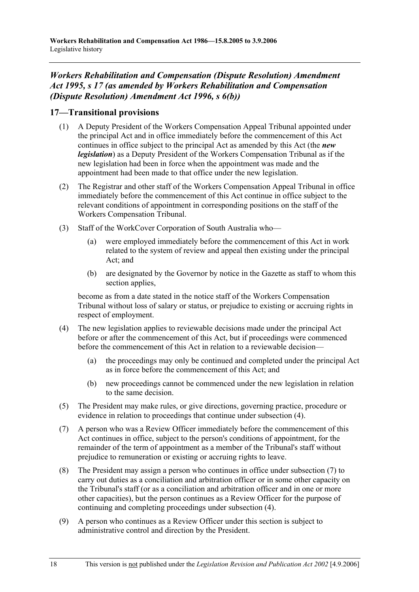# *Workers Rehabilitation and Compensation (Dispute Resolution) Amendment Act 1995, s 17 (as amended by Workers Rehabilitation and Compensation (Dispute Resolution) Amendment Act 1996, s 6(b))*

# **17—Transitional provisions**

- (1) A Deputy President of the Workers Compensation Appeal Tribunal appointed under the principal Act and in office immediately before the commencement of this Act continues in office subject to the principal Act as amended by this Act (the *new legislation*) as a Deputy President of the Workers Compensation Tribunal as if the new legislation had been in force when the appointment was made and the appointment had been made to that office under the new legislation.
- (2) The Registrar and other staff of the Workers Compensation Appeal Tribunal in office immediately before the commencement of this Act continue in office subject to the relevant conditions of appointment in corresponding positions on the staff of the Workers Compensation Tribunal.
- (3) Staff of the WorkCover Corporation of South Australia who—
	- (a) were employed immediately before the commencement of this Act in work related to the system of review and appeal then existing under the principal Act; and
	- (b) are designated by the Governor by notice in the Gazette as staff to whom this section applies.

become as from a date stated in the notice staff of the Workers Compensation Tribunal without loss of salary or status, or prejudice to existing or accruing rights in respect of employment.

- (4) The new legislation applies to reviewable decisions made under the principal Act before or after the commencement of this Act, but if proceedings were commenced before the commencement of this Act in relation to a reviewable decision—
	- (a) the proceedings may only be continued and completed under the principal Act as in force before the commencement of this Act; and
	- (b) new proceedings cannot be commenced under the new legislation in relation to the same decision.
- (5) The President may make rules, or give directions, governing practice, procedure or evidence in relation to proceedings that continue under subsection (4).
- (7) A person who was a Review Officer immediately before the commencement of this Act continues in office, subject to the person's conditions of appointment, for the remainder of the term of appointment as a member of the Tribunal's staff without prejudice to remuneration or existing or accruing rights to leave.
- (8) The President may assign a person who continues in office under subsection (7) to carry out duties as a conciliation and arbitration officer or in some other capacity on the Tribunal's staff (or as a conciliation and arbitration officer and in one or more other capacities), but the person continues as a Review Officer for the purpose of continuing and completing proceedings under subsection (4).
- (9) A person who continues as a Review Officer under this section is subject to administrative control and direction by the President.